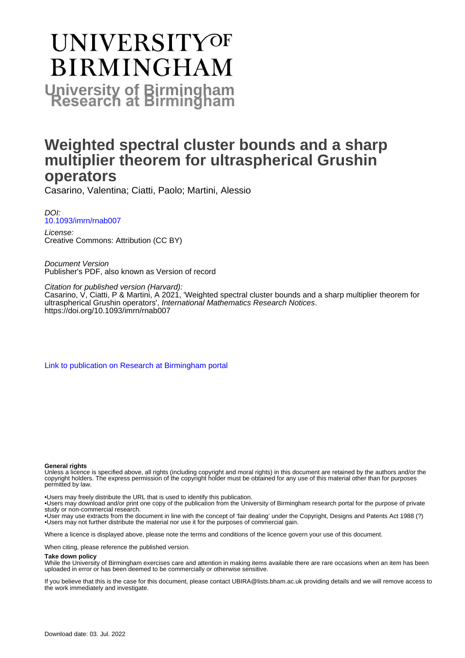# **UNIVERSITYOF BIRMINGHAM University of Birmingham**

## **Weighted spectral cluster bounds and a sharp multiplier theorem for ultraspherical Grushin operators**

Casarino, Valentina; Ciatti, Paolo; Martini, Alessio

DOI: [10.1093/imrn/rnab007](https://doi.org/10.1093/imrn/rnab007)

License: Creative Commons: Attribution (CC BY)

Document Version Publisher's PDF, also known as Version of record

Citation for published version (Harvard): Casarino, V, Ciatti, P & Martini, A 2021, 'Weighted spectral cluster bounds and a sharp multiplier theorem for ultraspherical Grushin operators', International Mathematics Research Notices. <https://doi.org/10.1093/imrn/rnab007>

[Link to publication on Research at Birmingham portal](https://birmingham.elsevierpure.com/en/publications/97fdcf19-c0cc-4f31-a8a2-da924bec2ba1)

#### **General rights**

Unless a licence is specified above, all rights (including copyright and moral rights) in this document are retained by the authors and/or the copyright holders. The express permission of the copyright holder must be obtained for any use of this material other than for purposes permitted by law.

• Users may freely distribute the URL that is used to identify this publication.

• Users may download and/or print one copy of the publication from the University of Birmingham research portal for the purpose of private study or non-commercial research.

• User may use extracts from the document in line with the concept of 'fair dealing' under the Copyright, Designs and Patents Act 1988 (?) • Users may not further distribute the material nor use it for the purposes of commercial gain.

Where a licence is displayed above, please note the terms and conditions of the licence govern your use of this document.

When citing, please reference the published version.

#### **Take down policy**

While the University of Birmingham exercises care and attention in making items available there are rare occasions when an item has been uploaded in error or has been deemed to be commercially or otherwise sensitive.

If you believe that this is the case for this document, please contact UBIRA@lists.bham.ac.uk providing details and we will remove access to the work immediately and investigate.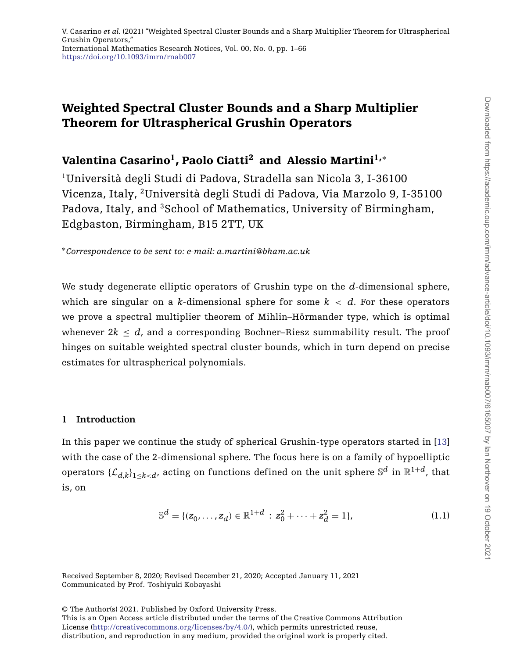### **Weighted Spectral Cluster Bounds and a Sharp Multiplier Theorem for Ultraspherical Grushin Operators**

#### **Valentina Casarino1, Paolo Ciatti2 and Alessio Martini1,**<sup>∗</sup>

1Università degli Studi di Padova, Stradella san Nicola 3, I-36100 Vicenza, Italy, 2Università degli Studi di Padova, Via Marzolo 9, I-35100 Padova, Italy, and <sup>3</sup>School of Mathematics, University of Birmingham, Edgbaston, Birmingham, B15 2TT, UK

<sup>∗</sup>*Correspondence to be sent to: e-mail: a.martini@bham.ac.uk*

We study degenerate elliptic operators of Grushin type on the *d*-dimensional sphere, which are singular on a  $k$ -dimensional sphere for some  $k < d$ . For these operators we prove a spectral multiplier theorem of Mihlin–Hörmander type, which is optimal whenever  $2k < d$ , and a corresponding Bochner–Riesz summability result. The proof hinges on suitable weighted spectral cluster bounds, which in turn depend on precise estimates for ultraspherical polynomials.

#### **1 Introduction**

<span id="page-1-0"></span>In this paper we continue the study of spherical Grushin-type operators started in [\[13\]](#page-63-0) with the case of the 2-dimensional sphere. The focus here is on a family of hypoelliptic operators  $\{\mathcal{L}_{d,k}\}_{1\leq k\leq d}$ , acting on functions defined on the unit sphere  $\mathbb{S}^d$  in  $\mathbb{R}^{1+d}$ , that is, on

$$
\mathbb{S}^{d} = \{ (z_0, \dots, z_d) \in \mathbb{R}^{1+d} : z_0^2 + \dots + z_d^2 = 1 \},\tag{1.1}
$$

Communicated by Prof. Toshiyuki Kobayashi Received September 8, 2020; Revised December 21, 2020; Accepted January 11, 2021

This is an Open Access article distributed under the terms of the Creative Commons Attribution License [\(http://creativecommons.org/licenses/by/4.0/\)](http://creativecommons.org/licenses/by/4.0/), which permits unrestricted reuse, distribution, and reproduction in any medium, provided the original work is properly cited.

<sup>©</sup> The Author(s) 2021. Published by Oxford University Press.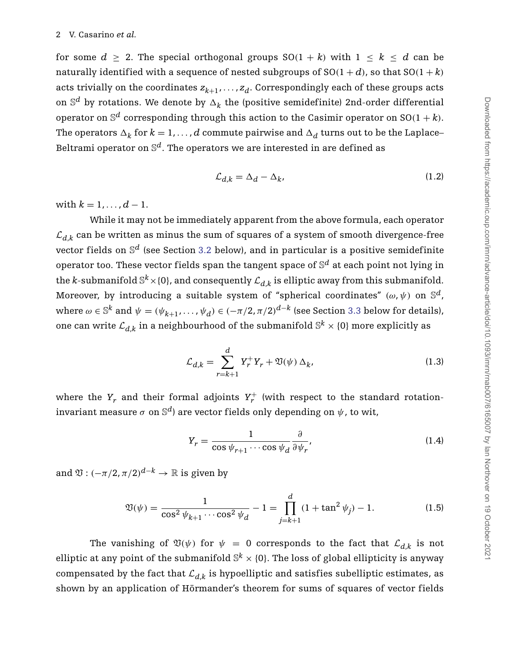#### 2 V. Casarino *et al.*

for some  $d \geq 2$ . The special orthogonal groups  $SO(1 + k)$  with  $1 \leq k \leq d$  can be naturally identified with a sequence of nested subgroups of  $SO(1+d)$ , so that  $SO(1+k)$ acts trivially on the coordinates  $z_{k+1}, \ldots, z_d$ . Correspondingly each of these groups acts on  $\mathbb{S}^d$  by rotations. We denote by  $\Delta_k$  the (positive semidefinite) 2nd-order differential operator on  $\mathbb{S}^d$  corresponding through this action to the Casimir operator on  $SO(1 + k)$ . The operators  $\Delta_k$  for  $k = 1, ..., d$  commute pairwise and  $\Delta_d$  turns out to be the Laplace– Beltrami operator on S*d*. The operators we are interested in are defined as

$$
\mathcal{L}_{d,k} = \Delta_d - \Delta_k,\tag{1.2}
$$

with  $k = 1, ..., d - 1$ .

While it may not be immediately apparent from the above formula, each operator  $\mathcal{L}_{d,k}$  can be written as minus the sum of squares of a system of smooth divergence-free vector fields on S*<sup>d</sup>* (see Section [3.2](#page-10-0) below), and in particular is a positive semidefinite operator too. These vector fields span the tangent space of S*<sup>d</sup>* at each point not lying in the *k*-submanifold  $\mathbb{S}^k \times \{0\}$ , and consequently  $\mathcal{L}_{d,k}$  is elliptic away from this submanifold. Moreover, by introducing a suitable system of "spherical coordinates"  $(\omega, \psi)$  on  $\mathbb{S}^d$ , where  $\omega \in \mathbb{S}^k$  and  $\psi = (\psi_{k+1}, \dots, \psi_d) \in (-\pi/2, \pi/2)^{d-k}$  (see Section [3.3](#page-12-0) below for details), one can write  $\mathcal{L}_{d,k}$  in a neighbourhood of the submanifold  $\mathbb{S}^k\times\{0\}$  more explicitly as

<span id="page-2-0"></span>
$$
\mathcal{L}_{d,k} = \sum_{r=k+1}^{d} Y_r^+ Y_r + \mathfrak{V}(\psi) \Delta_k,\tag{1.3}
$$

where the  $Y_r$  and their formal adjoints  $Y_r^+$  (with respect to the standard rotationinvariant measure  $\sigma$  on  $\mathbb{S}^d$ ) are vector fields only depending on  $\psi$ , to wit,

<span id="page-2-2"></span><span id="page-2-1"></span>
$$
Y_r = \frac{1}{\cos \psi_{r+1} \cdots \cos \psi_d} \frac{\partial}{\partial \psi_r},\tag{1.4}
$$

and  $\mathfrak{V}: (-\pi/2, \pi/2)^{d-k} \to \mathbb{R}$  is given by

$$
\mathfrak{V}(\psi) = \frac{1}{\cos^2 \psi_{k+1} \cdots \cos^2 \psi_d} - 1 = \prod_{j=k+1}^d (1 + \tan^2 \psi_j) - 1.
$$
 (1.5)

The vanishing of  $\mathfrak{V}(\psi)$  for  $\psi = 0$  corresponds to the fact that  $\mathcal{L}_{d,k}$  is not elliptic at any point of the submanifold  $\mathbb{S}^k \times \{0\}$ . The loss of global ellipticity is anyway compensated by the fact that  $\mathcal{L}_{d,k}$  is hypoelliptic and satisfies subelliptic estimates, as shown by an application of Hörmander's theorem for sums of squares of vector fields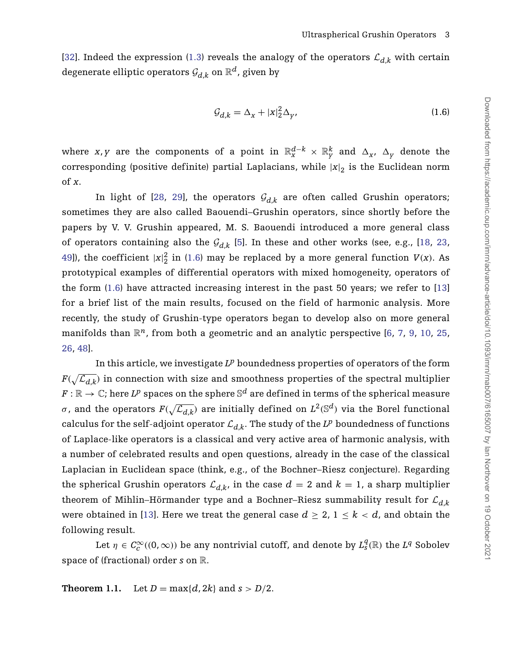[\[32\]](#page-64-0). Indeed the expression [\(1.3\)](#page-2-0) reveals the analogy of the operators  $\mathcal{L}_{d,k}$  with certain degenerate elliptic operators  $\mathcal{G}_{d,k}$  on  $\mathbb{R}^d$ , given by

<span id="page-3-0"></span>
$$
\mathcal{G}_{d,k} = \Delta_x + |x|_2^2 \Delta_y,\tag{1.6}
$$

where *x*, *y* are the components of a point in  $\mathbb{R}_{x}^{d-k} \times \mathbb{R}_{y}^{k}$  and  $\Delta_{x}$ ,  $\Delta_{y}$  denote the corresponding (positive definite) partial Laplacians, while  $|x|_2$  is the Euclidean norm of *x*.

In light of [\[28,](#page-64-1) [29\]](#page-64-2), the operators  $\mathcal{G}_{d,k}$  are often called Grushin operators; sometimes they are also called Baouendi–Grushin operators, since shortly before the papers by V. V. Grushin appeared, M. S. Baouendi introduced a more general class of operators containing also the  $G_{d,k}$  [\[5\]](#page-63-1). In these and other works (see, e.g., [\[18,](#page-64-3) [23,](#page-64-4) [49\]](#page-65-0)), the coefficient  $|x|_2^2$  in [\(1.6\)](#page-3-0) may be replaced by a more general function  $V(x)$ . As prototypical examples of differential operators with mixed homogeneity, operators of the form [\(1.6\)](#page-3-0) have attracted increasing interest in the past 50 years; we refer to [\[13\]](#page-63-0) for a brief list of the main results, focused on the field of harmonic analysis. More recently, the study of Grushin-type operators began to develop also on more general manifolds than  $\mathbb{R}^n$ , from both a geometric and an analytic perspective [\[6,](#page-63-2) [7,](#page-63-3) [9,](#page-63-4) [10,](#page-63-5) [25,](#page-64-5) [26,](#page-64-6) [48\]](#page-65-1).

In this article, we investigate  $L^p$  boundedness properties of operators of the form  $F(\sqrt{\mathcal{L}_{d,k}})$  in connection with size and smoothness properties of the spectral multiplier  $F: \mathbb{R} \to \mathbb{C}$ ; here  $L^p$  spaces on the sphere  $\mathbb{S}^d$  are defined in terms of the spherical measure *σ*, and the operators  $F(\sqrt{\mathcal{L}_{d,k}})$  are initially defined on  $L^2(\mathbb{S}^d)$  via the Borel functional calculus for the self-adjoint operator  $\mathcal{L}_{d,k}$ . The study of the  $L^p$  boundedness of functions of Laplace-like operators is a classical and very active area of harmonic analysis, with a number of celebrated results and open questions, already in the case of the classical Laplacian in Euclidean space (think, e.g., of the Bochner–Riesz conjecture). Regarding the spherical Grushin operators  $\mathcal{L}_{d,k}$ , in the case  $d = 2$  and  $k = 1$ , a sharp multiplier theorem of Mihlin–Hörmander type and a Bochner–Riesz summability result for  $\mathcal{L}_{d,k}$ were obtained in [\[13\]](#page-63-0). Here we treat the general case  $d \geq 2$ ,  $1 \leq k < d$ , and obtain the following result.

Let  $\eta \in C_c^{\infty}((0, \infty))$  be any nontrivial cutoff, and denote by  $L_s^q(\mathbb{R})$  the  $L^q$  Sobolev space of (fractional) order *s* on R.

<span id="page-3-1"></span>**Theorem 1.1.** Let  $D = \max\{d, 2k\}$  and  $s > D/2$ .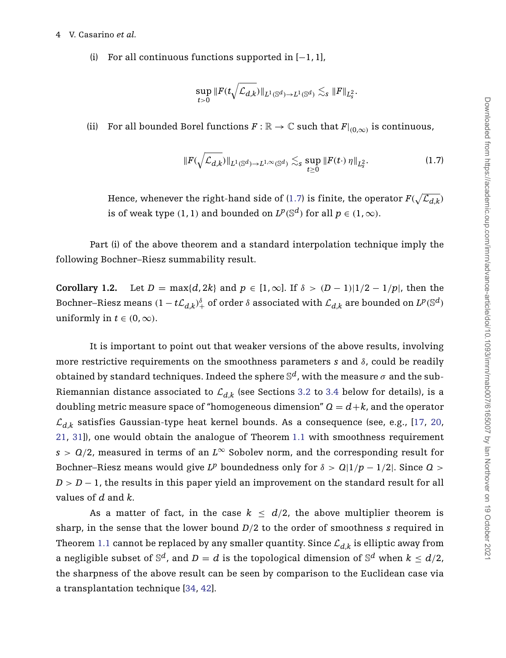#### 4 V. Casarino *et al.*

(i) For all continuous functions supported in  $[-1, 1]$ ,

<span id="page-4-0"></span>
$$
\sup_{t>0}\|F(t\sqrt{\mathcal{L}_{d,k}})\|_{L^1(\mathbb{S}^d)\rightarrow L^1(\mathbb{S}^d)}\lesssim_s \|F\|_{L^2_s}.
$$

(ii) For all bounded Borel functions  $F : \mathbb{R} \to \mathbb{C}$  such that  $F|_{(0,\infty)}$  is continuous,

$$
\|F(\sqrt{\mathcal{L}_{d,k}})\|_{L^1(\mathbb{S}^d)\to L^{1,\infty}(\mathbb{S}^d)} \lesssim_{s} \sup_{t\geq 0} \|F(t\cdot)\,\eta\|_{L^2_s}.\tag{1.7}
$$

Hence, whenever the right-hand side of [\(1.7\)](#page-4-0) is finite, the operator  $F(\sqrt{\mathcal{L}}_{d,k})$ is of weak type  $(1, 1)$  and bounded on  $L^p(\mathbb{S}^d)$  for all  $p \in (1, \infty)$ .

Part (i) of the above theorem and a standard interpolation technique imply the following Bochner–Riesz summability result.

<span id="page-4-1"></span>**Corollary 1.2.** Let  $D = \max\{d, 2k\}$  and  $p \in [1, \infty]$ . If  $\delta > (D-1)\frac{1}{2} - \frac{1}{p}$ , then the Bochner–Riesz means  $(1-t\mathcal{L}_{d,k})_+^{\delta}$  of order  $\delta$  associated with  $\mathcal{L}_{d,k}$  are bounded on  $L^p(\mathbb{S}^d)$ uniformly in  $t \in (0, \infty)$ .

It is important to point out that weaker versions of the above results, involving more restrictive requirements on the smoothness parameters *s* and *δ*, could be readily obtained by standard techniques. Indeed the sphere  $\mathbb{S}^d$ , with the measure  $\sigma$  and the sub-Riemannian distance associated to  $\mathcal{L}_{d,k}$  (see Sections [3.2](#page-10-0) to [3.4](#page-14-0) below for details), is a doubling metric measure space of "homogeneous dimension"  $Q = d + k$ , and the operator  $\mathcal{L}_{d,k}$  satisfies Gaussian-type heat kernel bounds. As a consequence (see, e.g., [\[17,](#page-64-7) [20,](#page-64-8) [21,](#page-64-9) [31\]](#page-64-10)), one would obtain the analogue of Theorem [1.1](#page-3-1) with smoothness requirement  $s > Q/2$ , measured in terms of an  $L^{\infty}$  Sobolev norm, and the corresponding result for Bochner–Riesz means would give  $L^p$  boundedness only for  $\delta > Q(1/p - 1/2)$ . Since  $Q >$ *D* > *D* − 1, the results in this paper yield an improvement on the standard result for all values of *d* and *k*.

As a matter of fact, in the case  $k \leq d/2$ , the above multiplier theorem is sharp, in the sense that the lower bound *D/*2 to the order of smoothness *s* required in Theorem [1.1](#page-3-1) cannot be replaced by any smaller quantity. Since  $\mathcal{L}_{d,k}$  is elliptic away from a negligible subset of  $\mathbb{S}^d$ , and  $D = d$  is the topological dimension of  $\mathbb{S}^d$  when  $k \leq d/2$ , the sharpness of the above result can be seen by comparison to the Euclidean case via a transplantation technique [\[34,](#page-64-11) [42\]](#page-65-2).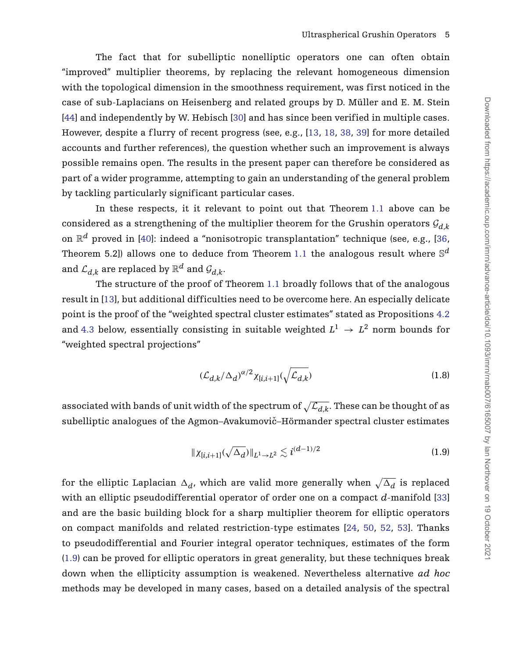The fact that for subelliptic nonelliptic operators one can often obtain "improved" multiplier theorems, by replacing the relevant homogeneous dimension with the topological dimension in the smoothness requirement, was first noticed in the case of sub-Laplacians on Heisenberg and related groups by D. Müller and E. M. Stein [\[44\]](#page-65-3) and independently by W. Hebisch [\[30\]](#page-64-12) and has since been verified in multiple cases. However, despite a flurry of recent progress (see, e.g., [\[13,](#page-63-0) [18,](#page-64-3) [38,](#page-65-4) [39\]](#page-65-5) for more detailed accounts and further references), the question whether such an improvement is always possible remains open. The results in the present paper can therefore be considered as part of a wider programme, attempting to gain an understanding of the general problem by tackling particularly significant particular cases.

In these respects, it it relevant to point out that Theorem [1.1](#page-3-1) above can be considered as a strengthening of the multiplier theorem for the Grushin operators  $\mathcal{G}_{d,k}$ on  $\mathbb{R}^d$  proved in [\[40\]](#page-65-6): indeed a "nonisotropic transplantation" technique (see, e.g., [\[36,](#page-64-13) Theorem 5.2]) allows one to deduce from Theorem [1.1](#page-3-1) the analogous result where  $\mathbb{S}^d$ and  $\mathcal{L}_{d,k}$  are replaced by  $\mathbb{R}^d$  and  $\mathcal{G}_{d,k}$ .

The structure of the proof of Theorem [1.1](#page-3-1) broadly follows that of the analogous result in [\[13\]](#page-63-0), but additional difficulties need to be overcome here. An especially delicate point is the proof of the "weighted spectral cluster estimates" stated as Propositions [4.2](#page-25-0) and [4.3](#page-26-0) below, essentially consisting in suitable weighted  $L^1 \rightarrow L^2$  norm bounds for "weighted spectral projections"

<span id="page-5-1"></span><span id="page-5-0"></span>
$$
(\mathcal{L}_{d,k}/\Delta_d)^{\alpha/2}\chi_{[i,i+1]}(\sqrt{\mathcal{L}_{d,k}})
$$
\n(1.8)

associated with bands of unit width of the spectrum of  $\sqrt{\mathcal{L}_{d,k}}$ . These can be thought of as subelliptic analogues of the Agmon-Avakumovič-Hörmander spectral cluster estimates

$$
\|\chi_{[i,i+1]}(\sqrt{\Delta_d})\|_{L^1 \to L^2} \lesssim i^{(d-1)/2} \tag{1.9}
$$

for the elliptic Laplacian  $\Delta_{d}$ , which are valid more generally when  $\sqrt{\Delta_{d}}$  is replaced with an elliptic pseudodifferential operator of order one on a compact *d*-manifold [\[33\]](#page-64-14) and are the basic building block for a sharp multiplier theorem for elliptic operators on compact manifolds and related restriction-type estimates [\[24,](#page-64-15) [50,](#page-65-7) [52,](#page-65-8) [53\]](#page-65-9). Thanks to pseudodifferential and Fourier integral operator techniques, estimates of the form [\(1.9\)](#page-5-0) can be proved for elliptic operators in great generality, but these techniques break down when the ellipticity assumption is weakened. Nevertheless alternative *ad hoc* methods may be developed in many cases, based on a detailed analysis of the spectral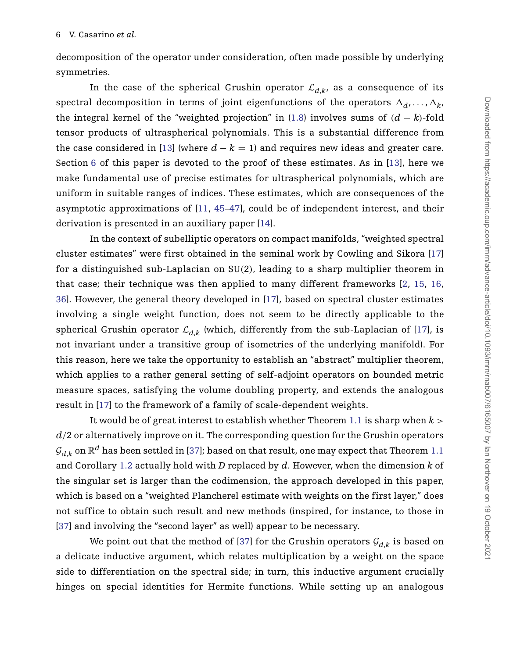decomposition of the operator under consideration, often made possible by underlying symmetries.

In the case of the spherical Grushin operator  $\mathcal{L}_{d,k}$ , as a consequence of its spectral decomposition in terms of joint eigenfunctions of the operators  $\Delta_{d}, \ldots, \Delta_{k}$ , the integral kernel of the "weighted projection" in  $(1.8)$  involves sums of  $(d - k)$ -fold tensor products of ultraspherical polynomials. This is a substantial difference from the case considered in [\[13\]](#page-63-0) (where  $d - k = 1$ ) and requires new ideas and greater care. Section [6](#page-32-0) of this paper is devoted to the proof of these estimates. As in [\[13\]](#page-63-0), here we make fundamental use of precise estimates for ultraspherical polynomials, which are uniform in suitable ranges of indices. These estimates, which are consequences of the asymptotic approximations of [\[11,](#page-63-6) [45](#page-65-10)[–47\]](#page-65-11), could be of independent interest, and their derivation is presented in an auxiliary paper [\[14\]](#page-63-7).

In the context of subelliptic operators on compact manifolds, "weighted spectral cluster estimates" were first obtained in the seminal work by Cowling and Sikora [\[17\]](#page-64-7) for a distinguished sub-Laplacian on SU*(*2*)*, leading to a sharp multiplier theorem in that case; their technique was then applied to many different frameworks [\[2,](#page-63-8) [15,](#page-63-9) [16,](#page-64-16) [36\]](#page-64-13). However, the general theory developed in [\[17\]](#page-64-7), based on spectral cluster estimates involving a single weight function, does not seem to be directly applicable to the spherical Grushin operator  $\mathcal{L}_{d,k}$  (which, differently from the sub-Laplacian of [\[17\]](#page-64-7), is not invariant under a transitive group of isometries of the underlying manifold). For this reason, here we take the opportunity to establish an "abstract" multiplier theorem, which applies to a rather general setting of self-adjoint operators on bounded metric measure spaces, satisfying the volume doubling property, and extends the analogous result in [\[17\]](#page-64-7) to the framework of a family of scale-dependent weights.

It would be of great interest to establish whether Theorem [1.1](#page-3-1) is sharp when *k > d/*2 or alternatively improve on it. The corresponding question for the Grushin operators  $\mathcal{G}_{d,k}$  on  $\mathbb{R}^d$  has been settled in [\[37\]](#page-64-17); based on that result, one may expect that Theorem [1.1](#page-3-1) and Corollary [1.2](#page-4-1) actually hold with *D* replaced by *d*. However, when the dimension *k* of the singular set is larger than the codimension, the approach developed in this paper, which is based on a "weighted Plancherel estimate with weights on the first layer," does not suffice to obtain such result and new methods (inspired, for instance, to those in [\[37\]](#page-64-17) and involving the "second layer" as well) appear to be necessary.

We point out that the method of [\[37\]](#page-64-17) for the Grushin operators  $\mathcal{G}_{d,k}$  is based on a delicate inductive argument, which relates multiplication by a weight on the space side to differentiation on the spectral side; in turn, this inductive argument crucially hinges on special identities for Hermite functions. While setting up an analogous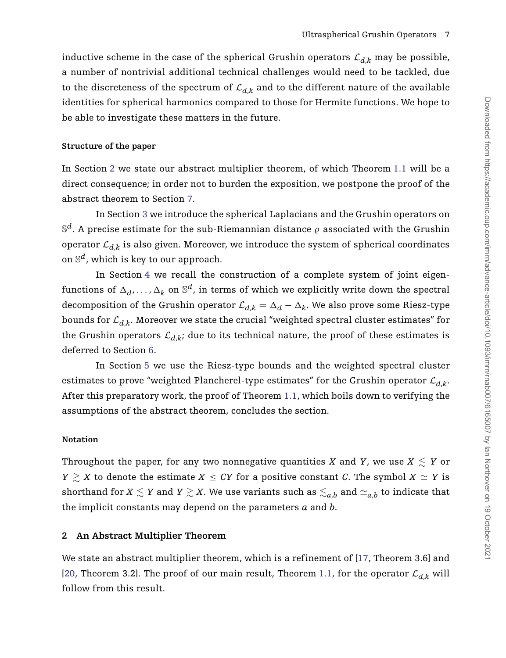inductive scheme in the case of the spherical Grushin operators  $\mathcal{L}_{d,k}$  may be possible, a number of nontrivial additional technical challenges would need to be tackled, due to the discreteness of the spectrum of  $\mathcal{L}_{d,k}$  and to the different nature of the available identities for spherical harmonics compared to those for Hermite functions. We hope to be able to investigate these matters in the future.

#### **Structure of the paper**

In Section [2](#page-7-0) we state our abstract multiplier theorem, of which Theorem [1.1](#page-3-1) will be a direct consequence; in order not to burden the exposition, we postpone the proof of the abstract theorem to Section [7.](#page-57-0)

In Section [3](#page-9-0) we introduce the spherical Laplacians and the Grushin operators on  $\mathbb{S}^d$ . A precise estimate for the sub-Riemannian distance  $\rho$  associated with the Grushin operator  $\mathcal{L}_{d,k}$  is also given. Moreover, we introduce the system of spherical coordinates on S*d*, which is key to our approach.

In Section [4](#page-16-0) we recall the construction of a complete system of joint eigenfunctions of  $\Delta_d, \ldots, \Delta_k$  on  $\mathbb{S}^d$ , in terms of which we explicitly write down the spectral decomposition of the Grushin operator  $\mathcal{L}_{d,k} = \Delta_d - \Delta_k$ . We also prove some Riesz-type bounds for  $\mathcal{L}_{d,k}$ . Moreover we state the crucial "weighted spectral cluster estimates" for the Grushin operators  $\mathcal{L}_{d,k}$ ; due to its technical nature, the proof of these estimates is deferred to Section [6.](#page-32-0)

In Section [5](#page-26-1) we use the Riesz-type bounds and the weighted spectral cluster estimates to prove "weighted Plancherel-type estimates" for the Grushin operator  $\mathcal{L}_{d,k}$ . After this preparatory work, the proof of Theorem [1.1,](#page-3-1) which boils down to verifying the assumptions of the abstract theorem, concludes the section.

#### **Notation**

Throughout the paper, for any two nonnegative quantities  $X$  and  $Y$ , we use  $X\lesssim Y$  or *Y*  $\geq$  *X* to denote the estimate *X*  $\leq$  *CY* for a positive constant *C*. The symbol *X*  $\approx$  *Y* is shorthand for  $X \lesssim Y$  and  $Y \gtrsim X.$  We use variants such as  $\lesssim_{a,b}$  and  $\simeq_{a,b}$  to indicate that the implicit constants may depend on the parameters *a* and *b*.

#### <span id="page-7-0"></span>**2 An Abstract Multiplier Theorem**

We state an abstract multiplier theorem, which is a refinement of [\[17,](#page-64-7) Theorem 3.6] and [\[20,](#page-64-8) Theorem 3.2]. The proof of our main result, Theorem [1.1,](#page-3-1) for the operator  $\mathcal{L}_{d,k}$  will follow from this result.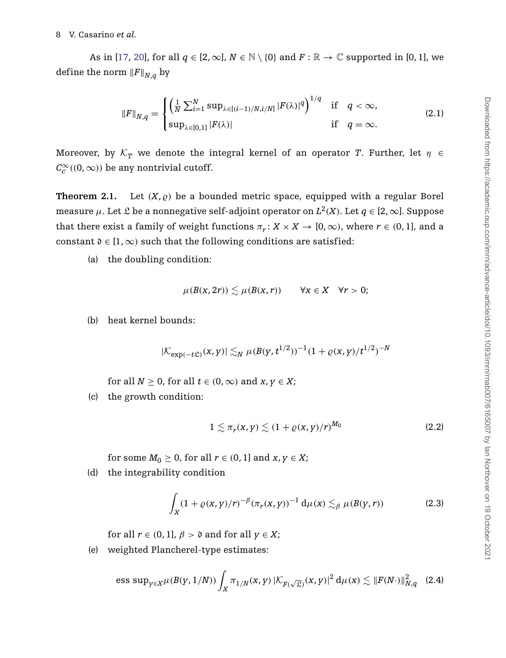#### 8 V. Casarino *et al.*

As in [\[17,](#page-64-7) [20\]](#page-64-8), for all  $q \in [2,\infty]$ ,  $N \in \mathbb{N} \setminus \{0\}$  and  $F : \mathbb{R} \to \mathbb{C}$  supported in [0, 1], we define the norm  $\|F\|_{N,q}$  by

<span id="page-8-1"></span>
$$
||F||_{N,q} = \begin{cases} \left(\frac{1}{N} \sum_{i=1}^{N} \sup_{\lambda \in [(i-1)/N, i/N]} |F(\lambda)|^q\right)^{1/q} & \text{if } q < \infty, \\ \sup_{\lambda \in [0,1]} |F(\lambda)| & \text{if } q = \infty. \end{cases}
$$
(2.1)

Moreover, by  $K_T$  we denote the integral kernel of an operator *T*. Further, let  $\eta \in$  $C_c^{\infty}((0, \infty))$  be any nontrivial cutoff.

<span id="page-8-2"></span>**Theorem 2.1.** Let  $(X, \varrho)$  be a bounded metric space, equipped with a regular Borel measure  $\mu$ . Let  $\mathfrak L$  be a nonnegative self-adjoint operator on  $L^2(X)$ . Let  $q \in [2,\infty]$ . Suppose that there exist a family of weight functions  $\pi_r$ :  $X \times X \to [0, \infty)$ , where  $r \in (0, 1]$ , and a constant  $\mathfrak{d} \in [1,\infty)$  such that the following conditions are satisfied:

(a) the doubling condition:

$$
\mu(B(x,2r)) \lesssim \mu(B(x,r)) \qquad \forall x \in X \quad \forall r > 0;
$$

(b) heat kernel bounds:

$$
|\mathcal{K}_{\exp(-t\mathfrak{L})}(x,y)| \lesssim_N \mu(B(y,t^{1/2}))^{-1}(1+\varrho(x,y)/t^{1/2})^{-N}
$$

for all  $N \geq 0$ , for all  $t \in (0, \infty)$  and  $x, y \in X$ ;

(c) the growth condition:

<span id="page-8-4"></span><span id="page-8-3"></span>
$$
1 \lesssim \pi_r(x, y) \lesssim (1 + \varrho(x, y)/r)^{M_0} \tag{2.2}
$$

for some  $M_0 \geq 0$ , for all  $r \in (0, 1]$  and  $x, y \in X$ ;

(d) the integrability condition

<span id="page-8-0"></span>
$$
\int_{X} (1 + \varrho(x, y)/r)^{-\beta} (\pi_r(x, y))^{-1} d\mu(x) \lesssim_{\beta} \mu(B(y, r))
$$
\n(2.3)

for all  $r \in (0, 1]$ ,  $\beta > \mathfrak{d}$  and for all  $y \in X$ ;

(e) weighted Plancherel-type estimates:

ess sup<sub>y\in X</sub> 
$$
\mu(B(y, 1/N)) \int_X \pi_{1/N}(x, y) |\mathcal{K}_{F(\sqrt{\mathfrak{L}})}(x, y)|^2 d\mu(x) \lesssim ||F(N \cdot)||_{N,q}^2
$$
 (2.4)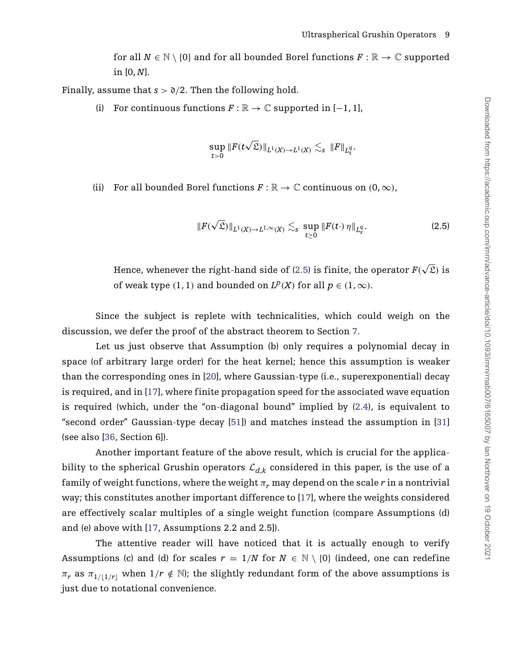for all  $N \in \mathbb{N} \setminus \{0\}$  and for all bounded Borel functions  $F : \mathbb{R} \to \mathbb{C}$  supported in [0, *N*].

Finally, assume that  $s > \frac{d}{2}$ . Then the following hold.

(i) For continuous functions  $F : \mathbb{R} \to \mathbb{C}$  supported in  $[-1, 1]$ ,

<span id="page-9-1"></span>
$$
\sup_{t>0} ||F(t\sqrt{\mathfrak{L}})||_{L^1(X)\to L^1(X)} \lesssim_s ||F||_{L^q_s}.
$$

(ii) For all bounded Borel functions  $F : \mathbb{R} \to \mathbb{C}$  continuous on  $(0, \infty)$ ,

$$
\|F(\sqrt{\mathfrak{L}})\|_{L^{1}(X)\to L^{1,\infty}(X)} \lesssim_{s} \sup_{t\geq 0} \|F(t)\,\eta\|_{L_{s}^{q}}.
$$
 (2.5)

Hence, whenever the right-hand side of [\(2.5\)](#page-9-1) is finite, the operator *F(* √ L*)* is of weak type  $(1, 1)$  and bounded on  $L^p(X)$  for all  $p \in (1, \infty)$ .

Since the subject is replete with technicalities, which could weigh on the discussion, we defer the proof of the abstract theorem to Section [7.](#page-57-0)

Let us just observe that Assumption (b) only requires a polynomial decay in space (of arbitrary large order) for the heat kernel; hence this assumption is weaker than the corresponding ones in [\[20\]](#page-64-8), where Gaussian-type (i.e., superexponential) decay is required, and in [\[17\]](#page-64-7), where finite propagation speed for the associated wave equation is required (which, under the "on-diagonal bound" implied by [\(2.4\)](#page-8-0), is equivalent to "second order" Gaussian-type decay [\[51\]](#page-65-12)) and matches instead the assumption in [\[31\]](#page-64-10) (see also [\[36,](#page-64-13) Section 6]).

Another important feature of the above result, which is crucial for the applicability to the spherical Grushin operators  $\mathcal{L}_{d,k}$  considered in this paper, is the use of a family of weight functions, where the weight  $\pi_r$  may depend on the scale  $r$  in a nontrivial way; this constitutes another important difference to [\[17\]](#page-64-7), where the weights considered are effectively scalar multiples of a single weight function (compare Assumptions (d) and (e) above with [\[17,](#page-64-7) Assumptions 2.2 and 2.5]).

<span id="page-9-0"></span>The attentive reader will have noticed that it is actually enough to verify Assumptions (c) and (d) for scales  $r = 1/N$  for  $N \in \mathbb{N} \setminus \{0\}$  (indeed, one can redefine  $\pi_r$  as  $\pi_{1/|1/r|}$  when  $1/r \notin \mathbb{N}$ ; the slightly redundant form of the above assumptions is just due to notational convenience.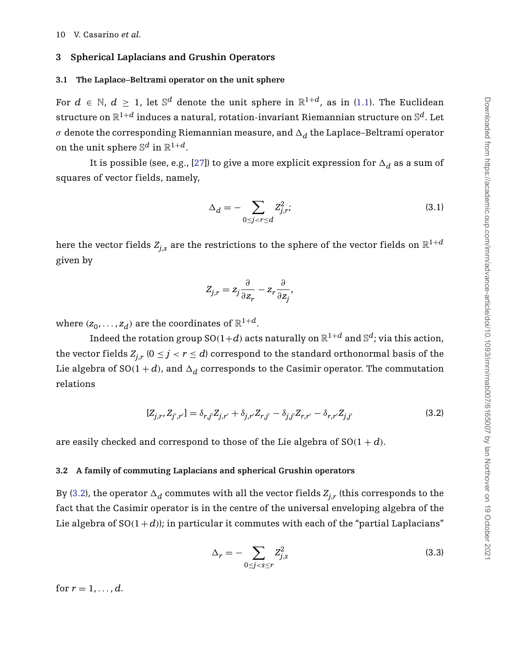#### **3 Spherical Laplacians and Grushin Operators**

#### **3.1 The Laplace–Beltrami operator on the unit sphere**

For  $d \in \mathbb{N}$ ,  $d \geq 1$ , let  $\mathbb{S}^d$  denote the unit sphere in  $\mathbb{R}^{1+d}$ , as in [\(1.1\)](#page-1-0). The Euclidean structure on R1+*<sup>d</sup>* induces a natural, rotation-invariant Riemannian structure on S*d*. Let  $\sigma$  denote the corresponding Riemannian measure, and  $\Delta_{d}$  the Laplace–Beltrami operator on the unit sphere  $\mathbb{S}^d$  in  $\mathbb{R}^{1+d}$ .

It is possible (see, e.g., [\[27\]](#page-64-18)) to give a more explicit expression for  $\Delta_{\boldsymbol{d}}$  as a sum of squares of vector fields, namely,

$$
\Delta_d = -\sum_{0 \le j < r \le d} Z_{j,r'}^2,\tag{3.1}
$$

here the vector fields  $Z_{j,s}$  are the restrictions to the sphere of the vector fields on  $\mathbb{R}^{1+d}$ given by

$$
Z_{j,r} = z_j \frac{\partial}{\partial z_r} - z_r \frac{\partial}{\partial z_j},
$$

where  $(z_0, \ldots, z_d)$  are the coordinates of  $\mathbb{R}^{1+d}$ .

Indeed the rotation group  $SO(1+d)$  acts naturally on  $\mathbb{R}^{1+d}$  and  $\mathbb{S}^d$ ; via this action, the vector fields  $Z_{i,r}$  ( $0 \leq j < r \leq d$ ) correspond to the standard orthonormal basis of the Lie algebra of SO(1  $+$  *d*), and  $\Delta_d$  corresponds to the Casimir operator. The commutation relations

<span id="page-10-1"></span>
$$
[Z_{j,r}, Z_{j',r'}] = \delta_{r,j'} Z_{j,r'} + \delta_{j,r'} Z_{r,j'} - \delta_{j,j'} Z_{r,r'} - \delta_{r,r'} Z_{j,j'}
$$
\n(3.2)

<span id="page-10-0"></span>are easily checked and correspond to those of the Lie algebra of  $SO(1+d)$ .

#### **3.2 A family of commuting Laplacians and spherical Grushin operators**

By [\(3.2\)](#page-10-1), the operator  $\Delta_d$  commutes with all the vector fields  $Z_{j,r}$  (this corresponds to the fact that the Casimir operator is in the centre of the universal enveloping algebra of the Lie algebra of  $SO(1+d)$ ; in particular it commutes with each of the "partial Laplacians"

<span id="page-10-2"></span>
$$
\Delta_r = -\sum_{0 \le j < s \le r} Z_{j,s}^2 \tag{3.3}
$$

for  $r = 1, ..., d$ .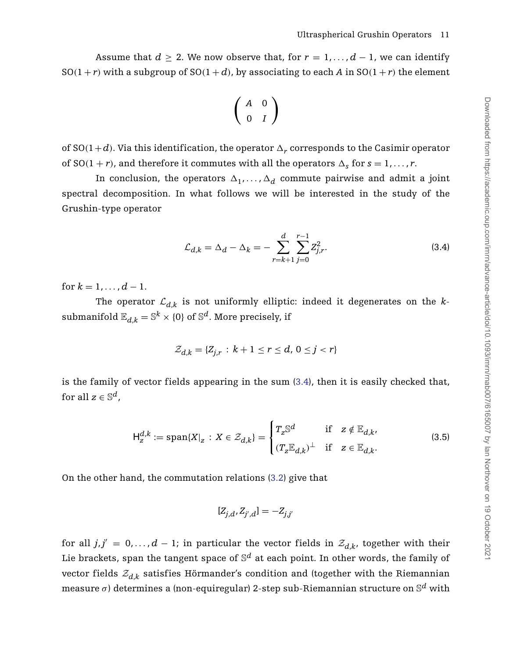Assume that  $d \geq 2$ . We now observe that, for  $r = 1, \ldots, d - 1$ , we can identify SO(1 + *r*) with a subgroup of SO(1 + *d*), by associating to each *A* in SO(1 + *r*) the element

$$
\left(\begin{array}{cc}A&0\\0&I\end{array}\right)
$$

of SO(1+*d*). Via this identification, the operator  $\Delta_r$  corresponds to the Casimir operator of  $SO(1 + r)$ , and therefore it commutes with all the operators  $\Delta_s$  for  $s = 1, \ldots, r$ .

In conclusion, the operators  $\Delta_1, \ldots, \Delta_d$  commute pairwise and admit a joint spectral decomposition. In what follows we will be interested in the study of the Grushin-type operator

<span id="page-11-0"></span>
$$
\mathcal{L}_{d,k} = \Delta_d - \Delta_k = -\sum_{r=k+1}^d \sum_{j=0}^{r-1} Z_{j,r}^2.
$$
 (3.4)

for  $k = 1, ..., d - 1$ .

The operator  $\mathcal{L}_{d,k}$  is not uniformly elliptic: indeed it degenerates on the *k*submanifold  $\mathbb{E}_{d,k} = \mathbb{S}^k \times \{0\}$  of  $\mathbb{S}^d$ . More precisely, if

$$
\mathcal{Z}_{d,k} = \{Z_{j,r} : k+1 \le r \le d, \, 0 \le j < r\}
$$

is the family of vector fields appearing in the sum [\(3.4\)](#page-11-0), then it is easily checked that, for all  $z \in \mathbb{S}^d$ ,

<span id="page-11-1"></span>
$$
\mathsf{H}_{z}^{d,k} := \mathrm{span}\{X|_{z} : X \in \mathcal{Z}_{d,k}\} = \begin{cases} T_{z} \mathbb{S}^{d} & \text{if } z \notin \mathbb{E}_{d,k}, \\ (T_{z} \mathbb{E}_{d,k})^{\perp} & \text{if } z \in \mathbb{E}_{d,k}. \end{cases}
$$
(3.5)

On the other hand, the commutation relations [\(3.2\)](#page-10-1) give that

$$
[Z_{j,d},Z_{j',d}]=-Z_{j,j'}
$$

for all  $j$ , $j' = 0, ..., d - 1$ ; in particular the vector fields in  $\mathcal{Z}_{d,k'}$ , together with their Lie brackets, span the tangent space of  $\mathbb{S}^d$  at each point. In other words, the family of vector fields  $Z_{d,k}$  satisfies Hörmander's condition and (together with the Riemannian measure  $\sigma$ ) determines a (non-equiregular) 2-step sub-Riemannian structure on  $\mathbb{S}^d$  with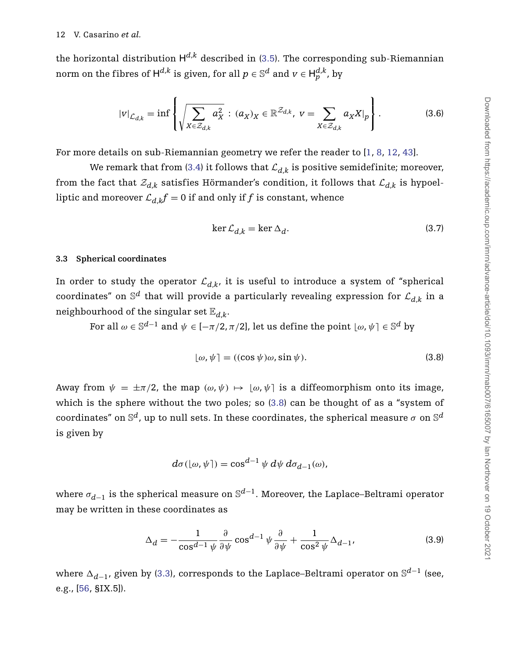the horizontal distribution  $H^{d,k}$  described in [\(3.5\)](#page-11-1). The corresponding sub-Riemannian norm on the fibres of  $\bm{\mathsf{H}}^{d,k}$  is given, for all  $p \in \mathbb{S}^d$  and  $v \in \bm{\mathsf{H}}^{d,k}_p$ , by

$$
|v|_{\mathcal{L}_{d,k}} = \inf \left\{ \sqrt{\sum_{X \in \mathcal{Z}_{d,k}} a_X^2} : (a_X)_X \in \mathbb{R}^{\mathcal{Z}_{d,k}}, \ v = \sum_{X \in \mathcal{Z}_{d,k}} a_X X|_{p} \right\}.
$$
 (3.6)

For more details on sub-Riemannian geometry we refer the reader to [\[1,](#page-63-10) [8,](#page-63-11) [12,](#page-63-12) [43\]](#page-65-13).

We remark that from [\(3.4\)](#page-11-0) it follows that  $\mathcal{L}_{d,k}$  is positive semidefinite; moreover, from the fact that  $Z_{d,k}$  satisfies Hörmander's condition, it follows that  $\mathcal{L}_{d,k}$  is hypoelliptic and moreover  $\mathcal{L}_{d,k}f = 0$  if and only if *f* is constant, whence

<span id="page-12-4"></span><span id="page-12-3"></span>
$$
\ker \mathcal{L}_{d,k} = \ker \Delta_d. \tag{3.7}
$$

#### <span id="page-12-0"></span>**3.3 Spherical coordinates**

In order to study the operator  $\mathcal{L}_{d,k}$ , it is useful to introduce a system of "spherical coordinates" on  $\mathbb{S}^d$  that will provide a particularly revealing expression for  $\mathcal{L}_{d,k}$  in a neighbourhood of the singular set  $\mathbb{E}_{d,k}$ .

For all  $\omega \in \mathbb{S}^{d-1}$  and  $\psi \in [-\pi/2, \pi/2]$ , let us define the point  $[\omega, \psi] \in \mathbb{S}^d$  by

<span id="page-12-1"></span>
$$
[\omega, \psi] = ((\cos \psi)\omega, \sin \psi). \tag{3.8}
$$

Away from  $\psi = \pm \pi/2$ , the map  $(\omega, \psi) \mapsto [\omega, \psi]$  is a diffeomorphism onto its image, which is the sphere without the two poles; so [\(3.8\)](#page-12-1) can be thought of as a "system of coordinates" on  $\mathbb{S}^d$ , up to null sets. In these coordinates, the spherical measure  $\sigma$  on  $\mathbb{S}^d$ is given by

<span id="page-12-2"></span>
$$
d\sigma(\lfloor \omega, \psi \rceil) = \cos^{d-1} \psi \, d\psi \, d\sigma_{d-1}(\omega),
$$

where  $\sigma_{d-1}$  is the spherical measure on  $\mathbb{S}^{d-1}$ . Moreover, the Laplace–Beltrami operator may be written in these coordinates as

$$
\Delta_d = -\frac{1}{\cos^{d-1}\psi} \frac{\partial}{\partial \psi} \cos^{d-1}\psi \frac{\partial}{\partial \psi} + \frac{1}{\cos^2\psi} \Delta_{d-1},\tag{3.9}
$$

where  $\Delta_{d-1}$ , given by [\(3.3\)](#page-10-2), corresponds to the Laplace–Beltrami operator on  $\mathbb{S}^{d-1}$  (see, e.g., [\[56,](#page-66-0) §IX.5]).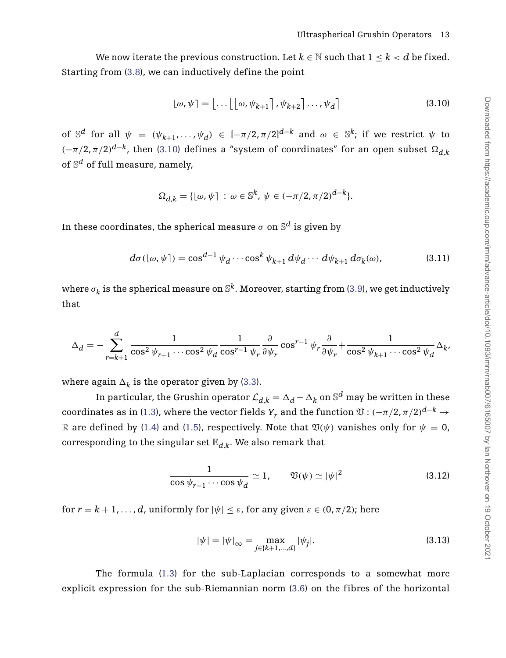We now iterate the previous construction. Let  $k \in \mathbb{N}$  such that  $1 \leq k \leq d$  be fixed. Starting from [\(3.8\)](#page-12-1), we can inductively define the point

<span id="page-13-0"></span>
$$
\lfloor \omega, \psi \rceil = \lfloor \dots \lfloor \lfloor \omega, \psi_{k+1} \rceil, \psi_{k+2} \rceil, \dots, \psi_d \rceil \tag{3.10}
$$

of S<sup>*d*</sup> for all  $\psi = (\psi_{k+1}, \dots, \psi_d) \in [-\pi/2, \pi/2]^{d-k}$  and  $\omega \in \mathbb{S}^k$ ; if we restrict  $\psi$  to  $(-\pi/2, \pi/2)^{d-k}$ , then [\(3.10\)](#page-13-0) defines a "system of coordinates" for an open subset  $\Omega_{d,k}$ of S*<sup>d</sup>* of full measure, namely,

<span id="page-13-3"></span>
$$
\Omega_{d,k} = \{ \lfloor \omega, \psi \rceil \, : \, \omega \in \mathbb{S}^k, \, \psi \in (-\pi/2, \pi/2)^{d-k} \}.
$$

In these coordinates, the spherical measure  $\sigma$  on  $\mathbb{S}^d$  is given by

$$
d\sigma(\lfloor \omega, \psi \rceil) = \cos^{d-1} \psi_d \cdots \cos^k \psi_{k+1} \, d\psi_d \cdots \, d\psi_{k+1} \, d\sigma_k(\omega), \tag{3.11}
$$

where  $\sigma_k$  is the spherical measure on  $\mathbb{S}^k$ . Moreover, starting from [\(3.9\)](#page-12-2), we get inductively that

$$
\Delta_d = -\sum_{r=k+1}^d \frac{1}{\cos^2 \psi_{r+1} \cdots \cos^2 \psi_d} \frac{1}{\cos^{r-1} \psi_r} \frac{\partial}{\partial \psi_r} \cos^{r-1} \psi_r \frac{\partial}{\partial \psi_r} + \frac{1}{\cos^2 \psi_{k+1} \cdots \cos^2 \psi_d} \Delta_k
$$

where again  $\Delta_k$  is the operator given by [\(3.3\)](#page-10-2).

In particular, the Grushin operator  $\mathcal{L}_{d,k} = \Delta_d - \Delta_k$  on  $\mathbb{S}^d$  may be written in these coordinates as in [\(1.3\)](#page-2-0), where the vector fields  $Y_r$  and the function  $\mathfrak{V}$  :  $(-\pi/2, \pi/2)^{d-k}$  → R are defined by [\(1.4\)](#page-2-1) and [\(1.5\)](#page-2-2), respectively. Note that  $\mathfrak{V}(\psi)$  vanishes only for  $\psi = 0$ , corresponding to the singular set  $\mathbb{E}_{d,k}$ . We also remark that

$$
\frac{1}{\cos\psi_{r+1}\cdots\cos\psi_d} \simeq 1, \qquad \mathfrak{V}(\psi) \simeq |\psi|^2 \tag{3.12}
$$

for  $r = k + 1, \ldots, d$ , uniformly for  $|\psi| \leq \varepsilon$ , for any given  $\varepsilon \in (0, \pi/2)$ ; here

<span id="page-13-2"></span><span id="page-13-1"></span>
$$
|\psi| = |\psi|_{\infty} = \max_{j \in \{k+1, \dots, d\}} |\psi_j|.
$$
\n(3.13)

The formula [\(1.3\)](#page-2-0) for the sub-Laplacian corresponds to a somewhat more explicit expression for the sub-Riemannian norm [\(3.6\)](#page-12-3) on the fibres of the horizontal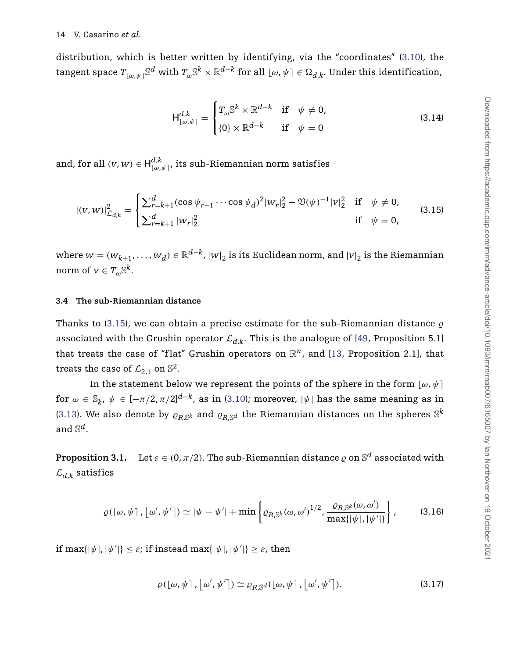distribution, which is better written by identifying, via the "coordinates" [\(3.10\)](#page-13-0), the tangent space  $T_{\{\omega,\psi\}}\mathbb{S}^d$  with  $T_{\omega}\mathbb{S}^k \times \mathbb{R}^{d-k}$  for all  $\{\omega,\psi\} \in \Omega_{d,k}$ . Under this identification,

<span id="page-14-4"></span><span id="page-14-1"></span>
$$
\mathsf{H}_{\lfloor\omega,\psi\rfloor}^{d,k} = \begin{cases} T_{\omega} \mathbb{S}^k \times \mathbb{R}^{d-k} & \text{if } \psi \neq 0, \\ \{0\} \times \mathbb{R}^{d-k} & \text{if } \psi = 0 \end{cases}
$$
 (3.14)

and, for all  $(v, w) \in H_{\lfloor \omega, \psi \rfloor}^{d, k}$ , its sub-Riemannian norm satisfies

$$
|(v, w)|_{\mathcal{L}_{d,k}}^2 = \begin{cases} \sum_{r=k+1}^d (\cos \psi_{r+1} \cdots \cos \psi_d)^2 |w_r|_2^2 + \mathfrak{V}(\psi)^{-1} |v|_2^2 & \text{if } \psi \neq 0, \\ \sum_{r=k+1}^d |w_r|_2^2 & \text{if } \psi = 0, \end{cases}
$$
(3.15)

where  $w = (w_{k+1}, \ldots, w_d) \in \mathbb{R}^{d-k}$ ,  $|w|_2$  is its Euclidean norm, and  $|v|_2$  is the Riemannian norm of  $v \in T_{\omega} \mathbb{S}^k$ .

#### <span id="page-14-0"></span>**3.4 The sub-Riemannian distance**

Thanks to [\(3.15\)](#page-14-1), we can obtain a precise estimate for the sub-Riemannian distance  $\rho$ associated with the Grushin operator  $\mathcal{L}_{d,k}$ . This is the analogue of [\[49,](#page-65-0) Proposition 5.1] that treats the case of "flat" Grushin operators on  $\mathbb{R}^n$ , and [\[13,](#page-63-0) Proposition 2.1], that treats the case of  $\mathcal{L}_{2,1}$  on  $\mathbb{S}^2$ .

In the statement below we represent the points of the sphere in the form  $[\omega, \psi]$ for  $\omega \in \mathbb{S}_k$ ,  $\psi \in [-\pi/2, \pi/2]^{d-k}$ , as in [\(3.10\)](#page-13-0); moreover,  $|\psi|$  has the same meaning as in [\(3.13\)](#page-13-1). We also denote by  $\rho_{R,S^k}$  and  $\rho_{R,S^d}$  the Riemannian distances on the spheres  $S^k$ and S*d*.

<span id="page-14-5"></span>**Proposition 3.1.** Let  $\varepsilon \in (0, \pi/2)$ . The sub-Riemannian distance  $\varrho$  on  $\mathbb{S}^d$  associated with  $\mathcal{L}_{d,k}$  satisfies

<span id="page-14-3"></span>
$$
\varrho(\lfloor \omega, \psi \rceil, \lfloor \omega', \psi' \rceil) \simeq |\psi - \psi'| + \min \left\{ \varrho_{R, \mathbb{S}^k}(\omega, \omega')^{1/2}, \frac{\varrho_{R, \mathbb{S}^k}(\omega, \omega')}{\max\{|\psi|, |\psi'|\}} \right\},
$$
(3.16)

if  $\max\{|\psi|, |\psi'|\} \leq \varepsilon$ ; if instead  $\max\{|\psi|, |\psi'|\} \geq \varepsilon$ , then

<span id="page-14-2"></span>
$$
\varrho(\lfloor \omega, \psi \rceil, \lfloor \omega', \psi' \rceil) \simeq \varrho_{R, \mathbb{S}^d}(\lfloor \omega, \psi \rceil, \lfloor \omega', \psi' \rceil). \tag{3.17}
$$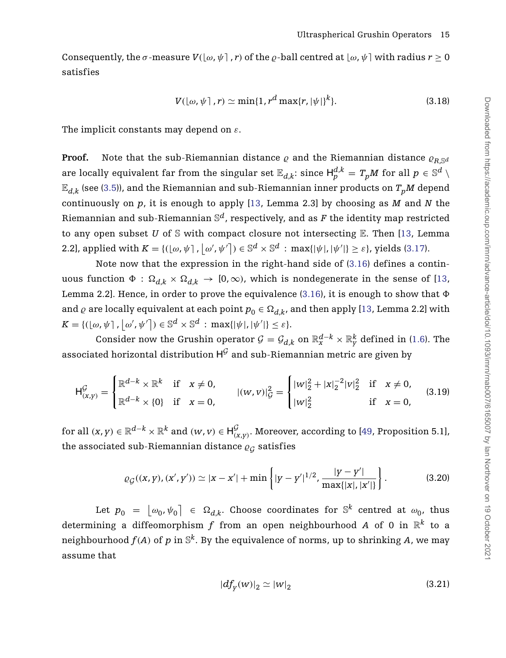<span id="page-15-3"></span>Consequently, the  $\sigma$ -measure  $V(\omega, \psi \mid r)$  of the  $\varrho$ -ball centred at  $\omega, \psi$  with radius  $r \geq 0$ satisfies

$$
V(\lfloor \omega, \psi \rceil, r) \simeq \min\{1, r^d \max\{r, |\psi|\}^k\}.
$$
 (3.18)

The implicit constants may depend on *ε*.

**Proof.** Note that the sub-Riemannian distance  $\rho$  and the Riemannian distance  $\rho_{R, \mathbb{S}^d}$ are locally equivalent far from the singular set  $\mathbb{E}_{d,k}$ : since  $\bm{\mathsf{H}}^{d,k}_p = T_pM$  for all  $p\in\mathbb{S}^d\setminus\mathbb{S}^d$  $\mathbb{E}_{d,k}$  (see [\(3.5\)](#page-11-1)), and the Riemannian and sub-Riemannian inner products on  $T_pM$  depend continuously on *p*, it is enough to apply [\[13,](#page-63-0) Lemma 2.3] by choosing as *M* and *N* the Riemannian and sub-Riemannian  $\mathbb{S}^d$ , respectively, and as *F* the identity map restricted to any open subset *U* of  $\mathcal S$  with compact closure not intersecting  $\mathbb E$ . Then [\[13,](#page-63-0) Lemma 2.2], applied with  $K = \{([\omega, \psi]$  ,  $\big| \omega', \psi'\big|) \in \mathbb{S}^d \times \mathbb{S}^d \, : \, \max\{|\psi|, |\psi'|\} \geq \varepsilon\}$ , yields [\(3.17\)](#page-14-2).

Note now that the expression in the right-hand side of [\(3.16\)](#page-14-3) defines a continuous function  $\Phi$ :  $\Omega_{d,k} \times \Omega_{d,k} \to [0,\infty)$ , which is nondegenerate in the sense of [\[13,](#page-63-0) Lemma 2.2]. Hence, in order to prove the equivalence [\(3.16\)](#page-14-3), it is enough to show that  $\Phi$ and  $\varrho$  are locally equivalent at each point  $p_0 \in \Omega_{d,k}$ , and then apply [\[13,](#page-63-0) Lemma 2.2] with  $K = \{([\omega, \psi], \big| \omega', \psi'\big|) \in \mathbb{S}^d \times \mathbb{S}^d \,:\, \max\{|\psi|, |\psi'|\} \leq \varepsilon\}.$ 

Consider now the Grushin operator  $G = G_{d,k}$  on  $\mathbb{R}^{d-k}_x \times \mathbb{R}^k_y$  defined in [\(1.6\)](#page-3-0). The associated horizontal distribution  $H^{\mathcal{G}}$  and sub-Riemannian metric are given by

$$
\mathsf{H}_{(x,y)}^{\mathcal{G}} = \begin{cases} \mathbb{R}^{d-k} \times \mathbb{R}^k & \text{if } x \neq 0, \\ \mathbb{R}^{d-k} \times \{0\} & \text{if } x = 0, \end{cases} \qquad |(w,v)|_{\mathcal{G}}^2 = \begin{cases} |w|_2^2 + |x|_2^{-2} |v|_2^2 & \text{if } x \neq 0, \\ |w|_2^2 & \text{if } x = 0, \end{cases} \qquad (3.19)
$$

 $f$  for all  $(x,y)\in\mathbb{R}^{d-k}\times\mathbb{R}^k$  and  $(w,v)\in \mathsf{H}^{\mathcal{G}}_{(x,y)}.$  Moreover, according to [\[49,](#page-65-0) Proposition 5.1], the associated sub-Riemannian distance  $\varrho_G$  satisfies

$$
\varrho_{\mathcal{G}}((x, y), (x', y')) \simeq |x - x'| + \min\left\{|y - y'|^{1/2}, \frac{|y - y'|}{\max\{|x|, |x'|\}}\right\}.
$$
 (3.20)

<span id="page-15-0"></span>Let  $p_0 = \lfloor \omega_0, \psi_0 \rfloor \in \Omega_{d,k}$ . Choose coordinates for  $\mathbb{S}^k$  centred at  $\omega_0$ , thus determining a diffeomorphism  $f$  from an open neighbourhood  $A$  of 0 in  $\mathbb{R}^k$  to a neighbourhood  $f(A)$  of p in  $\mathbb{S}^k$ . By the equivalence of norms, up to shrinking A, we may assume that

<span id="page-15-2"></span><span id="page-15-1"></span>
$$
|df_{y}(w)|_{2} \simeq |w|_{2} \tag{3.21}
$$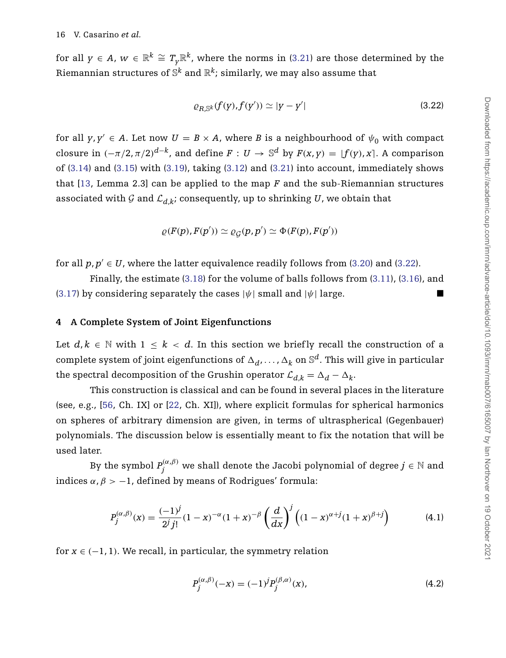for all  $y \in A$ ,  $w \in \mathbb{R}^k \cong T_v \mathbb{R}^k$ , where the norms in [\(3.21\)](#page-15-0) are those determined by the Riemannian structures of  $\mathbb{S}^k$  and  $\mathbb{R}^k$ ; similarly, we may also assume that

<span id="page-16-1"></span>
$$
\varrho_{R,S^k}(f(y), f(y')) \simeq |y - y'| \tag{3.22}
$$

for all  $\gamma, \gamma' \in A$ . Let now  $U = B \times A$ , where *B* is a neighbourhood of  $\psi_0$  with compact closure in  $(-\pi/2, \pi/2)^{d-k}$ , and define  $F: U \to \mathbb{S}^d$  by  $F(x, y) = |f(y), x|$ . A comparison of  $(3.14)$  and  $(3.15)$  with  $(3.19)$ , taking  $(3.12)$  and  $(3.21)$  into account, immediately shows that [\[13,](#page-63-0) Lemma 2.3] can be applied to the map *F* and the sub-Riemannian structures associated with G and  $\mathcal{L}_{d,k}$ ; consequently, up to shrinking U, we obtain that

$$
\varrho(F(p), F(p')) \simeq \varrho_{\mathcal{G}}(p, p') \simeq \Phi(F(p), F(p'))
$$

for all  $p, p' \in U$ , where the latter equivalence readily follows from [\(3.20\)](#page-15-2) and [\(3.22\)](#page-16-1).

Finally, the estimate [\(3.18\)](#page-15-3) for the volume of balls follows from [\(3.11\)](#page-13-3), [\(3.16\)](#page-14-3), and [\(3.17\)](#page-14-2) by considering separately the cases  $|\psi|$  small and  $|\psi|$  large.

#### <span id="page-16-0"></span>**4 A Complete System of Joint Eigenfunctions**

Let  $d, k \in \mathbb{N}$  with  $1 \leq k < d$ . In this section we briefly recall the construction of a complete system of joint eigenfunctions of  $\Delta_d, \ldots, \Delta_k$  on  $\mathbb{S}^d$ . This will give in particular the spectral decomposition of the Grushin operator  $\mathcal{L}_{d,k} = \Delta_d - \Delta_k$ .

This construction is classical and can be found in several places in the literature (see, e.g., [\[56,](#page-66-0) Ch. IX] or [\[22,](#page-64-19) Ch. XI]), where explicit formulas for spherical harmonics on spheres of arbitrary dimension are given, in terms of ultraspherical (Gegenbauer) polynomials. The discussion below is essentially meant to fix the notation that will be used later.

By the symbol  $P^{(\alpha,\beta)}_j$  we shall denote the Jacobi polynomial of degree  $j\in\mathbb{N}$  and indices *α*, *β >* −1, defined by means of Rodrigues' formula:

$$
P_j^{(\alpha,\beta)}(x) = \frac{(-1)^j}{2^j j!} (1-x)^{-\alpha} (1+x)^{-\beta} \left(\frac{d}{dx}\right)^j \left((1-x)^{\alpha+j} (1+x)^{\beta+j}\right)
$$
(4.1)

for  $x \in (-1, 1)$ . We recall, in particular, the symmetry relation

<span id="page-16-2"></span>
$$
P_j^{(\alpha,\beta)}(-x) = (-1)^j P_j^{(\beta,\alpha)}(x),
$$
\n(4.2)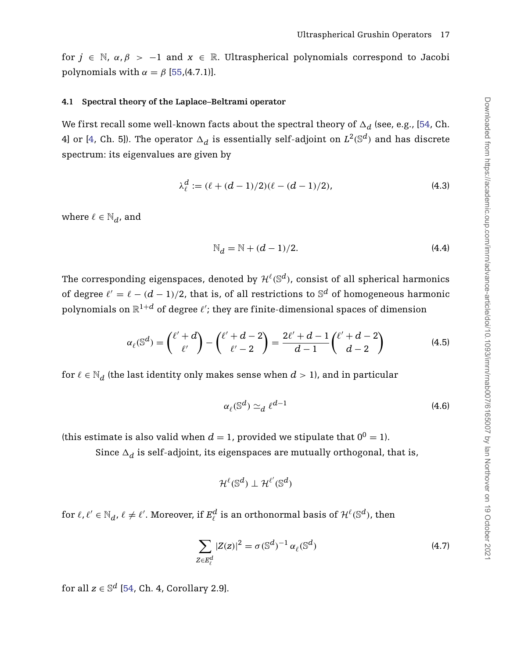for  $j \in \mathbb{N}$ ,  $\alpha, \beta > -1$  and  $x \in \mathbb{R}$ . Ultraspherical polynomials correspond to Jacobi polynomials with  $\alpha = \beta$  [\[55,](#page-65-14)(4.7.1)].

#### **4.1 Spectral theory of the Laplace–Beltrami operator**

We first recall some well-known facts about the spectral theory of  $\Delta_{\boldsymbol{d}}$  (see, e.g., [\[54,](#page-65-15) Ch. 4] or [\[4,](#page-63-13) Ch. 5]). The operator  $\Delta_d$  is essentially self-adjoint on  $L^2(\mathbb{S}^d)$  and has discrete spectrum: its eigenvalues are given by

<span id="page-17-3"></span><span id="page-17-0"></span>
$$
\lambda_{\ell}^d := (\ell + (d-1)/2)(\ell - (d-1)/2),\tag{4.3}
$$

where  $\ell \in \mathbb{N}_d$ , and

$$
\mathbb{N}_d = \mathbb{N} + (d - 1)/2. \tag{4.4}
$$

The corresponding eigenspaces, denoted by  $\mathcal{H}^{\ell}(\mathbb{S}^{d})$ , consist of all spherical harmonics of degree  $\ell' = \ell - (d-1)/2$ , that is, of all restrictions to  $\mathbb{S}^d$  of homogeneous harmonic polynomials on  $\mathbb{R}^{1+d}$  of degree  $\ell'$ ; they are finite-dimensional spaces of dimension

$$
\alpha_{\ell}(\mathbb{S}^d) = {\ell' + d \choose \ell'} - {\ell' + d - 2 \choose \ell' - 2} = \frac{2\ell' + d - 1}{d - 1} {\ell' + d - 2 \choose d - 2} \tag{4.5}
$$

for  $\ell \in \mathbb{N}_d$  (the last identity only makes sense when  $d > 1$ ), and in particular

<span id="page-17-5"></span><span id="page-17-2"></span>
$$
\alpha_{\ell}(\mathbb{S}^d) \simeq_d \ell^{d-1} \tag{4.6}
$$

(this estimate is also valid when  $d = 1$ , provided we stipulate that  $0^0 = 1$ ).

Since  $\Delta_d$  is self-adjoint, its eigenspaces are mutually orthogonal, that is,

<span id="page-17-1"></span>
$$
\mathcal{H}^{\ell}(\mathbb{S}^d) \perp \mathcal{H}^{\ell'}(\mathbb{S}^d)
$$

for  $\ell, \ell' \in \mathbb{N}_d$ ,  $\ell \neq \ell'.$  Moreover, if  $E^d_\ell$  is an orthonormal basis of  $\mathcal{H}^{\ell}(\mathbb{S}^d)$ , then

$$
\sum_{Z \in E_{\ell}^d} |Z(z)|^2 = \sigma(\mathbb{S}^d)^{-1} \alpha_{\ell}(\mathbb{S}^d)
$$
\n(4.7)

<span id="page-17-4"></span>for all  $z \in \mathbb{S}^d$  [\[54,](#page-65-15) Ch. 4, Corollary 2.9].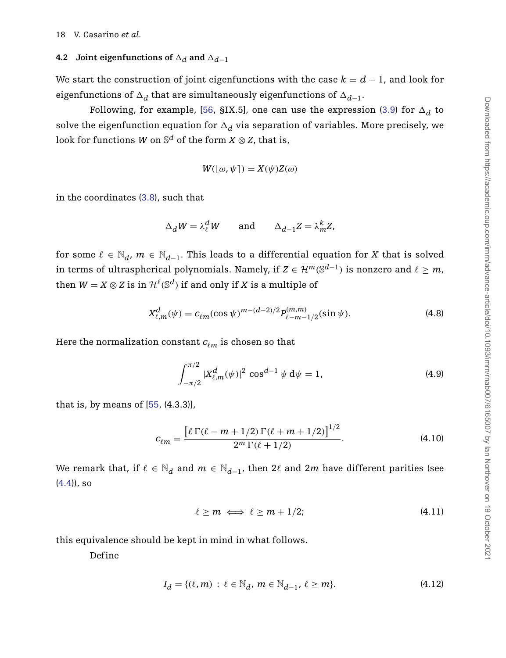#### 18 V. Casarino *et al.*

#### **4.2** Joint eigenfunctions of  $\Delta_d$  and  $\Delta_{d-1}$

We start the construction of joint eigenfunctions with the case  $k = d - 1$ , and look for eigenfunctions of  $\Delta_d$  that are simultaneously eigenfunctions of  $\Delta_{d-1}.$ 

Following, for example, [\[56,](#page-66-0) §IX.5], one can use the expression [\(3.9\)](#page-12-2) for  $\Delta_d$  to solve the eigenfunction equation for  $\Delta_d$  via separation of variables. More precisely, we look for functions *W* on  $\mathbb{S}^d$  of the form  $X \otimes Z$ , that is,

$$
W([\omega,\psi])=X(\psi)Z(\omega)
$$

in the coordinates [\(3.8\)](#page-12-1), such that

$$
\Delta_d W = \lambda_\ell^d W \qquad \text{and} \qquad \Delta_{d-1} Z = \lambda_m^k Z,
$$

for some  $\ell \in \mathbb{N}_d$ ,  $m \in \mathbb{N}_{d-1}$ . This leads to a differential equation for *X* that is solved in terms of ultraspherical polynomials. Namely, if  $Z \in \mathcal{H}^m(\mathbb{S}^{d-1})$  is nonzero and  $\ell \geq m$ , then  $W = X \otimes Z$  is in  $\mathcal{H}^{\ell}(\mathbb{S}^d)$  if and only if *X* is a multiple of

$$
X_{\ell,m}^d(\psi) = c_{\ell m} (\cos \psi)^{m - (d-2)/2} P_{\ell - m - 1/2}^{(m,m)}(\sin \psi).
$$
 (4.8)

Here the normalization constant  $c_{\ell m}$  is chosen so that

<span id="page-18-1"></span><span id="page-18-0"></span>
$$
\int_{-\pi/2}^{\pi/2} |X_{\ell,m}^d(\psi)|^2 \cos^{d-1} \psi \, d\psi = 1,
$$
\n(4.9)

that is, by means of [\[55,](#page-65-14) (4.3.3)],

<span id="page-18-3"></span>
$$
c_{\ell m} = \frac{\left[\ell \Gamma(\ell - m + 1/2) \Gamma(\ell + m + 1/2)\right]^{1/2}}{2^m \Gamma(\ell + 1/2)}.
$$
 (4.10)

<span id="page-18-2"></span>We remark that, if  $\ell \in \mathbb{N}_d$  and  $m \in \mathbb{N}_{d-1}$ , then 2 $\ell$  and 2 $m$  have different parities (see  $(4.4)$ , so

$$
\ell \ge m \iff \ell \ge m + 1/2; \tag{4.11}
$$

this equivalence should be kept in mind in what follows.

Define

$$
I_d = \{ (\ell, m) : \ell \in \mathbb{N}_d, \, m \in \mathbb{N}_{d-1}, \, \ell \ge m \}. \tag{4.12}
$$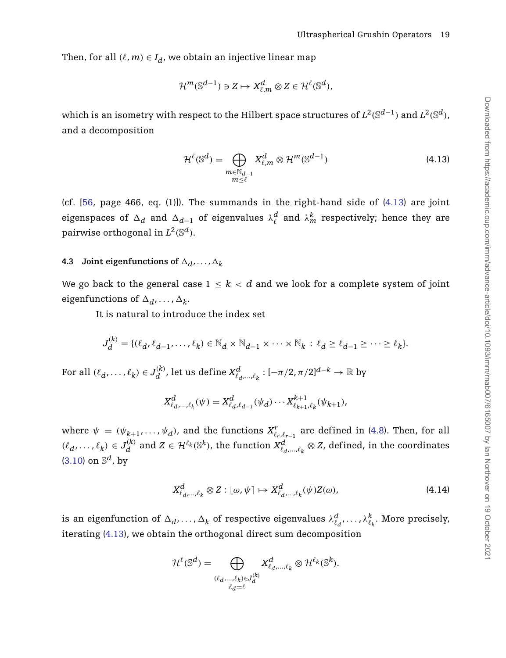Then, for all  $(\ell, m) \in I_d$ , we obtain an injective linear map

$$
\mathcal{H}^m(\mathbb{S}^{d-1}) \ni Z \mapsto X_{\ell,m}^d \otimes Z \in \mathcal{H}^{\ell}(\mathbb{S}^d),
$$

which is an isometry with respect to the Hilbert space structures of  $L^2(\mathbb{S}^{d-1})$  and  $L^2(\mathbb{S}^d)$ , and a decomposition

<span id="page-19-0"></span>
$$
\mathcal{H}^{\ell}(\mathbb{S}^{d}) = \bigoplus_{\substack{m \in \mathbb{N}_{d-1} \\ m \le \ell}} X_{\ell,m}^{d} \otimes \mathcal{H}^{m}(\mathbb{S}^{d-1})
$$
(4.13)

(cf.  $[56, page 466, eq. (1)]$  $[56, page 466, eq. (1)]$ ). The summands in the right-hand side of  $(4.13)$  are joint eigenspaces of  $\Delta_d$  and  $\Delta_{d-1}$  of eigenvalues  $\lambda_\ell^d$  and  $\lambda_m^k$  respectively; hence they are pairwise orthogonal in  $L^2(\mathbb{S}^d)$ .

#### <span id="page-19-1"></span>**4.3** Joint eigenfunctions of  $\Delta_d, \ldots, \Delta_k$

We go back to the general case  $1 \leq k < d$  and we look for a complete system of joint eigenfunctions of  $\Delta_d$ , . . . ,  $\Delta_k$ .

It is natural to introduce the index set

$$
J_d^{(k)} = \{ (\ell_d, \ell_{d-1}, \dots, \ell_k) \in \mathbb{N}_d \times \mathbb{N}_{d-1} \times \dots \times \mathbb{N}_k : \ell_d \ge \ell_{d-1} \ge \dots \ge \ell_k \}.
$$

 $\text{For all } (\ell_d, \ldots, \ell_k) \in J_d^{(k)}$ , let us define  $X_{\ell_d, \ldots, \ell_k}^d: [-\pi/2, \pi/2]^{d-k} \to \mathbb{R}$  by

$$
X_{\ell_d,\ldots,\ell_k}^d(\psi) = X_{\ell_d,\ell_{d-1}}^d(\psi_d) \cdots X_{\ell_{k+1},\ell_k}^{k+1}(\psi_{k+1}),
$$

where  $\psi = (\psi_{k+1}, \dots, \psi_d)$ , and the functions  $X_{\ell_r, \ell_{r-1}}^r$  are defined in [\(4.8\)](#page-18-0). Then, for all  $(\ell_d,\ldots,\ell_k)\in J_d^{(k)}$  and  $Z\in\mathcal{H}^{\ell_k}(\mathbb{S}^k)$ , the function  $X_{\ell_d,\ldots,\ell_k}^d\otimes Z$ , defined, in the coordinates  $(3.10)$  on  $\mathbb{S}^d$ , by

$$
X_{\ell_d,\ldots,\ell_k}^d \otimes Z : [\omega,\psi] \mapsto X_{\ell_d,\ldots,\ell_k}^d(\psi)Z(\omega), \tag{4.14}
$$

is an eigenfunction of  $\Delta_d, \ldots, \Delta_k$  of respective eigenvalues  $\lambda^d_{\ell_d}, \ldots, \lambda^k_{\ell_k}.$  More precisely, iterating [\(4.13\)](#page-19-0), we obtain the orthogonal direct sum decomposition

$$
\mathcal{H}^{\ell}(\mathbb{S}^{d})=\bigoplus_{\substack{(\ell_{d},\ldots,\ell_{k})\in J_{d}^{(k)} \\ \ell_{d}=\ell}}X_{\ell_{d},\ldots,\ell_{k}}^{d}\otimes\mathcal{H}^{\ell_{k}}(\mathbb{S}^{k}).
$$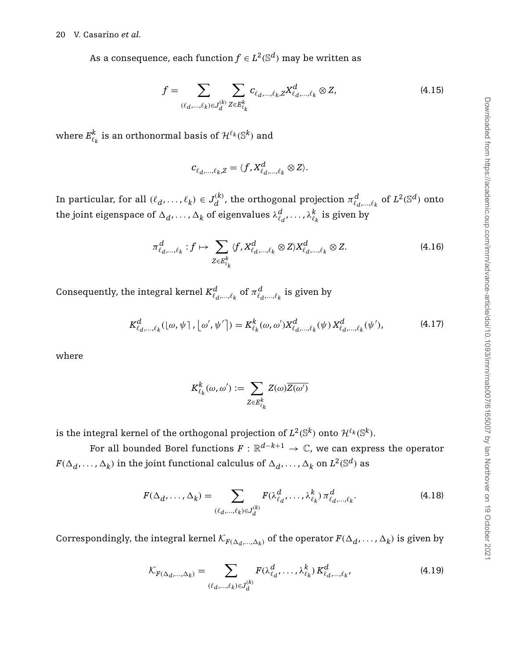As a consequence, each function  $f \in L^2(\mathbb{S}^d)$  may be written as

$$
f = \sum_{(\ell_d, ..., \ell_k) \in J_d^{(k)}} \sum_{Z \in E_{\ell_k}^k} c_{\ell_d, ..., \ell_k, Z} X_{\ell_d, ..., \ell_k}^d \otimes Z,
$$
 (4.15)

where  $E_{\ell_k}^k$  is an orthonormal basis of  $\mathcal{H}^{\ell_k}(\mathbb{S}^k)$  and

<span id="page-20-1"></span>
$$
c_{\ell_d,\ldots,\ell_k,Z} = \langle f, X_{\ell_d,\ldots,\ell_k}^d \otimes Z \rangle.
$$

In particular, for all  $(\ell_d,\ldots,\ell_k)\in J_d^{(k)}$ , the orthogonal projection  $\pi^d_{\ell_d,\ldots,\ell_k}$  of  $L^2(\mathbb{S}^d)$  onto the joint eigenspace of  $\Delta_d, \ldots, \Delta_k$  of eigenvalues  $\lambda_{\ell_d}^d, \ldots, \lambda_{\ell_k}^k$  is given by

$$
\pi_{\ell_d,\ldots,\ell_k}^d: f \mapsto \sum_{Z \in E_{\ell_k}^k} \langle f, X_{\ell_d,\ldots,\ell_k}^d \otimes Z \rangle X_{\ell_d,\ldots,\ell_k}^d \otimes Z. \tag{4.16}
$$

Consequently, the integral kernel  $K_{\ell_d,\ldots,\ell_k}^d$  of  $\pi_{\ell_d,\ldots,\ell_k}^d$  is given by

$$
K_{\ell_{d},\ldots,\ell_{k}}^{d}(\omega,\psi), [\omega',\psi']) = K_{\ell_{k}}^{k}(\omega,\omega')X_{\ell_{d},\ldots,\ell_{k}}^{d}(\psi)X_{\ell_{d},\ldots,\ell_{k}}^{d}(\psi'), \tag{4.17}
$$

where

<span id="page-20-0"></span>
$$
K_{\ell_k}^k(\omega,\omega') := \sum_{Z \in E_{\ell_k}^k} Z(\omega) \overline{Z(\omega')}
$$

is the integral kernel of the orthogonal projection of  $L^2(\mathbb{S}^k)$  onto  $\mathcal{H}^{\ell_k}(\mathbb{S}^k)$ .

For all bounded Borel functions  $F : \mathbb{R}^{d-k+1} \to \mathbb{C}$ , we can express the operator  $F(\Delta_d, \ldots, \Delta_k)$  in the joint functional calculus of  $\Delta_d, \ldots, \Delta_k$  on  $L^2(\mathbb S^d)$  as

$$
F(\Delta_{d}, \dots, \Delta_{k}) = \sum_{(\ell_{d}, \dots, \ell_{k}) \in J_{d}^{(k)}} F(\lambda_{\ell_{d}}^{d}, \dots, \lambda_{\ell_{k}}^{k}) \pi_{\ell_{d}, \dots, \ell_{k}}^{d}.
$$
 (4.18)

Correspondingly, the integral kernel  $\mathcal{K}_{F(\Delta_d,\ldots,\Delta_k)}$  of the operator  $F(\Delta_d,\ldots,\Delta_k)$  is given by

<span id="page-20-2"></span>
$$
\mathcal{K}_{F(\Delta_d,\ldots,\Delta_k)} = \sum_{(\ell_d,\ldots,\ell_k)\in J_d^{(k)}} F(\lambda_{\ell_d}^d,\ldots,\lambda_{\ell_k}^k) K_{\ell_d,\ldots,\ell_k}^d,
$$
\n(4.19)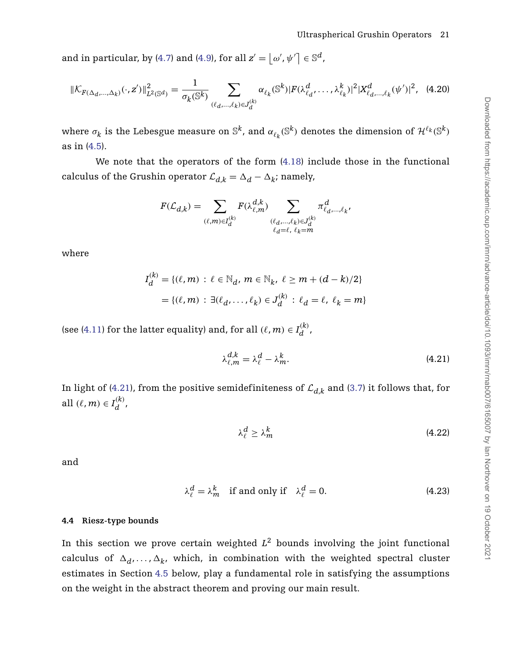and in particular, by [\(4.7\)](#page-17-1) and [\(4.9\)](#page-18-1), for all  $z' = \lfloor \omega', \psi' \rceil \in \mathbb{S}^d$ ,

$$
\|\mathcal{K}_{F(\Delta_d,\ldots,\Delta_k)}(\cdot,z')\|_{L^2(\mathbb{S}^d)}^2 = \frac{1}{\sigma_k(\mathbb{S}^k)} \sum_{(\ell_d,\ldots,\ell_k)\in J_d^{(k)}} \alpha_{\ell_k}(\mathbb{S}^k) |F(\lambda_{\ell_d}^d,\ldots,\lambda_{\ell_k}^k)|^2 |X_{\ell_d,\ldots,\ell_k}^d(\psi')|^2, \quad (4.20)
$$

where  $\sigma_k$  is the Lebesgue measure on  $\mathbb{S}^k$ , and  $\alpha_{\ell_k}(\mathbb{S}^k)$  denotes the dimension of  $\mathcal{H}^{\ell_k}(\mathbb{S}^k)$ as in [\(4.5\)](#page-17-2).

We note that the operators of the form [\(4.18\)](#page-20-0) include those in the functional calculus of the Grushin operator  $\mathcal{L}_{d,k} = \Delta_d - \Delta_k$ ; namely,

<span id="page-21-4"></span>
$$
F(\mathcal{L}_{d,k})=\sum_{(\ell,m)\in I_{d}^{(k)}}F(\lambda_{\ell,m}^{d,k})\sum_{\substack{(\ell_{d},\ldots,\ell_{k})\in J_{d}^{(k)} \\ \ell_{d}=\ell,\ \ell_{k}=m}}\pi_{\ell_{d},\ldots,\ell_{k}}^{d},
$$

where

$$
I_d^{(k)} = \{ (\ell, m) : \ell \in \mathbb{N}_d, m \in \mathbb{N}_k, \ell \ge m + (d - k)/2 \}
$$
  
= \{ (\ell, m) : \exists (\ell\_d, \dots, \ell\_k) \in J\_d^{(k)} : \ell\_d = \ell, \ell\_k = m \}

(see [\(4.11\)](#page-18-2) for the latter equality) and, for all  $(\ell, m) \in I_d^{(k)}$ ,

<span id="page-21-0"></span>
$$
\lambda_{\ell,m}^{d,k} = \lambda_{\ell}^d - \lambda_m^k. \tag{4.21}
$$

<span id="page-21-1"></span>In light of [\(4.21\)](#page-21-0), from the positive semidefiniteness of  $\mathcal{L}_{d,k}$  and [\(3.7\)](#page-12-4) it follows that, for all  $(\ell, m) \in I_d^{(k)}$ ,

$$
\lambda_{\ell}^d \ge \lambda_m^k \tag{4.22}
$$

<span id="page-21-2"></span>and

$$
\lambda_{\ell}^d = \lambda_m^k \quad \text{if and only if} \quad \lambda_{\ell}^d = 0. \tag{4.23}
$$

#### <span id="page-21-3"></span>**4.4 Riesz-type bounds**

In this section we prove certain weighted  $L^2$  bounds involving the joint functional calculus of  $\Delta_{d}, \ldots, \Delta_{k}$ , which, in combination with the weighted spectral cluster estimates in Section [4.5](#page-25-1) below, play a fundamental role in satisfying the assumptions on the weight in the abstract theorem and proving our main result.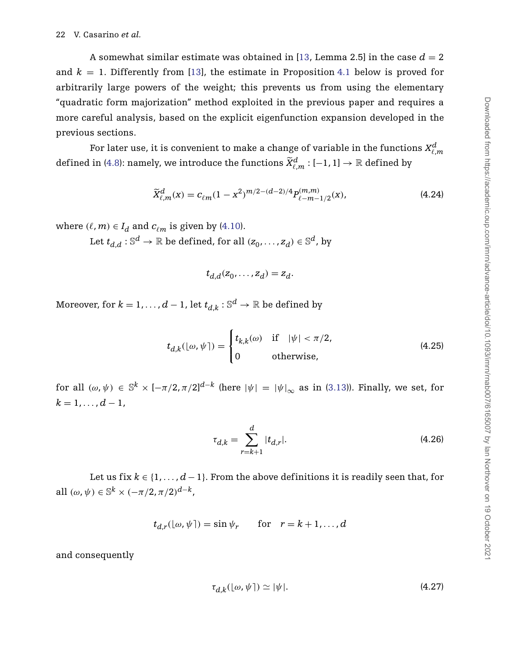A somewhat similar estimate was obtained in [\[13,](#page-63-0) Lemma 2.5] in the case  $d = 2$ and  $k = 1$ . Differently from [\[13\]](#page-63-0), the estimate in Proposition [4.1](#page-23-0) below is proved for arbitrarily large powers of the weight; this prevents us from using the elementary "quadratic form majorization" method exploited in the previous paper and requires a more careful analysis, based on the explicit eigenfunction expansion developed in the previous sections.

For later use, it is convenient to make a change of variable in the functions  $X_{\ell,m}^d$ defined in [\(4.8\)](#page-18-0): namely, we introduce the functions  $\widetilde{X}_{\ell,m}^d: [-1,1] \to \mathbb{R}$  defined by

$$
\widetilde{X}_{\ell,m}^d(x) = c_{\ell m} (1 - x^2)^{m/2 - (d-2)/4} P_{\ell - m - 1/2}^{(m,m)}(x),\tag{4.24}
$$

where  $(\ell, m) \in I_d$  and  $c_{\ell m}$  is given by [\(4.10\)](#page-18-3).

Let  $t_{d,d}: \mathbb{S}^d \to \mathbb{R}$  be defined, for all  $(z_0, \ldots, z_d) \in \mathbb{S}^d$ , by

<span id="page-22-1"></span><span id="page-22-0"></span>
$$
t_{d,d}(z_0,\ldots,z_d)=z_d.
$$

Moreover, for  $k = 1, ..., d - 1$ , let  $t_{d,k}: \mathbb{S}^d \to \mathbb{R}$  be defined by

$$
t_{d,k}(\lfloor \omega, \psi \rceil) = \begin{cases} t_{k,k}(\omega) & \text{if } |\psi| < \pi/2, \\ 0 & \text{otherwise,} \end{cases} \tag{4.25}
$$

<span id="page-22-2"></span>for all  $(\omega, \psi) \in \mathbb{S}^k \times [-\pi/2, \pi/2]^{d-k}$  (here  $|\psi| = |\psi|_{\infty}$  as in [\(3.13\)](#page-13-1)). Finally, we set, for  $k = 1, \ldots, d - 1$ 

$$
\tau_{d,k} = \sum_{r=k+1}^{d} |t_{d,r}|. \tag{4.26}
$$

Let us fix  $k \in \{1, \ldots, d-1\}$ . From the above definitions it is readily seen that, for all  $(\omega, \psi) \in \mathbb{S}^k \times (-\pi/2, \pi/2)^{d-k}$ ,

<span id="page-22-3"></span> $t_{d,r}(\omega, \psi) = \sin \psi_r$  for  $r = k + 1, ..., d$ 

and consequently

$$
\tau_{d,k}(\lfloor \omega, \psi \rceil) \simeq |\psi|. \tag{4.27}
$$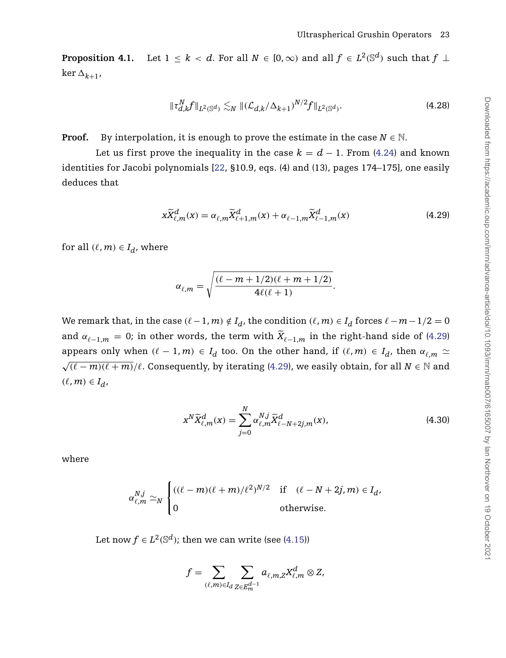<span id="page-23-3"></span><span id="page-23-0"></span>**Proposition 4.1.** Let  $1 \leq k < d$ . For all  $N \in [0, \infty)$  and all  $f \in L^2(\mathbb{S}^d)$  such that  $f \perp$  $\ker \Delta_{k+1}$  ,

$$
\|\tau_{d,k}^N f\|_{L^2(\mathbb{S}^d)} \lesssim_N \|\left(\mathcal{L}_{d,k}/\Delta_{k+1}\right)^{N/2} f\|_{L^2(\mathbb{S}^d)}.\tag{4.28}
$$

**Proof.** By interpolation, it is enough to prove the estimate in the case  $N \in \mathbb{N}$ .

Let us first prove the inequality in the case  $k = d - 1$ . From [\(4.24\)](#page-22-0) and known identities for Jacobi polynomials [\[22,](#page-64-19) §10.9, eqs. (4) and (13), pages 174–175], one easily deduces that

<span id="page-23-1"></span>
$$
x\widetilde{X}_{\ell,m}^d(x) = \alpha_{\ell,m}\widetilde{X}_{\ell+1,m}^d(x) + \alpha_{\ell-1,m}\widetilde{X}_{\ell-1,m}^d(x)
$$
\n(4.29)

for all  $(\ell, m) \in I_d$ , where

$$
\alpha_{\ell,m} = \sqrt{\frac{(\ell-m+1/2)(\ell+m+1/2)}{4\ell(\ell+1)}}.
$$

We remark that, in the case  $(\ell-1, m) \notin I_d$ , the condition  $(\ell, m) \in I_d$  forces  $\ell - m - 1/2 = 0$ and  $\alpha_{\ell-1,m} = 0$ ; in other words, the term with  $\tilde{X}_{\ell-1,m}$  in the right-hand side of [\(4.29\)](#page-23-1) appears only when  $(\ell - 1, m) \in I_d$  too. On the other hand, if  $(\ell, m) \in I_d$ , then  $\alpha_{\ell,m} \simeq$  $\sqrt{(l-m)(l+m)}/l$ . Consequently, by iterating [\(4.29\)](#page-23-1), we easily obtain, for all *N* ∈ N and  $(\ell, m) \in I_d$ 

<span id="page-23-2"></span>
$$
x^{N}\widetilde{X}_{\ell,m}^{d}(x) = \sum_{j=0}^{N} \alpha_{\ell,m}^{N,j} \widetilde{X}_{\ell-N+2j,m}^{d}(x),
$$
\n(4.30)

where

$$
\alpha_{\ell,m}^{N,j} \simeq_N \begin{cases} ((\ell-m)(\ell+m)/\ell^2)^{N/2} & \text{if } (\ell-N+2j,m) \in I_d, \\ 0 & \text{otherwise.} \end{cases}
$$

Let now  $f \in L^2(\mathbb{S}^d)$ ; then we can write (see [\(4.15\)](#page-20-1))

$$
f = \sum_{(\ell,m)\in I_d} \sum_{Z\in E_m^{d-1}} a_{\ell,m,Z} X_{\ell,m}^d\otimes Z,
$$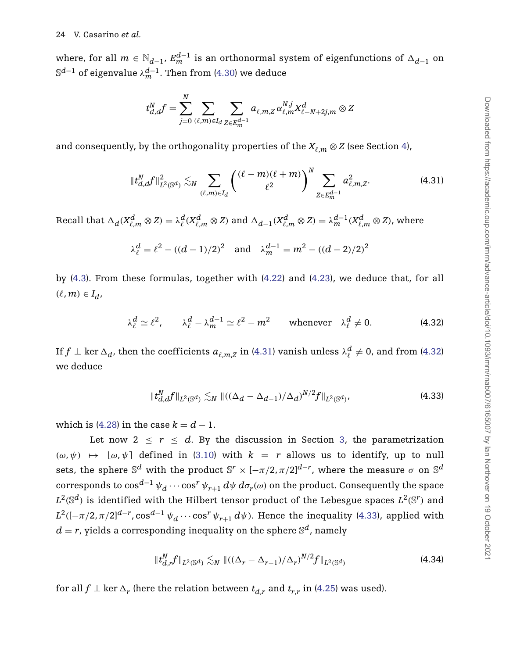where, for all  $m \in \mathbb{N}_{d-1}$ ,  $E_m^{d-1}$  is an orthonormal system of eigenfunctions of  $\Delta_{d-1}$  on  $\mathbb{S}^{d-1}$  of eigenvalue  $\lambda_m^{d-1}$ . Then from [\(4.30\)](#page-23-2) we deduce

<span id="page-24-0"></span>
$$
t_{d,d}^N f = \sum_{j=0}^N \sum_{(\ell,m)\in I_d} \sum_{Z\in E_m^{d-1}} a_{\ell,m,Z} \, \alpha_{\ell,m}^{N,j} X_{\ell-N+2j,m}^d\otimes Z
$$

and consequently, by the orthogonality properties of the  $X_{\ell,m} \otimes Z$  (see Section [4\)](#page-16-0),

$$
||t_{d,d}^N f||_{L^2(\mathbb{S}^d)}^2 \lesssim_N \sum_{(\ell,m)\in I_d} \left(\frac{(\ell-m)(\ell+m)}{\ell^2}\right)^N \sum_{Z\in E_m^{d-1}} a_{\ell,m,Z}^2.
$$
 (4.31)

Recall that  $\Delta_d(X_{\ell,m}^d\otimes Z)=\lambda_\ell^d(X_{\ell,m}^d\otimes Z)$  and  $\Delta_{d-1}(X_{\ell,m}^d\otimes Z)=\lambda_m^{d-1}(X_{\ell,m}^d\otimes Z)$ , where

$$
\lambda_{\ell}^d = \ell^2 - ((d-1)/2)^2
$$
 and  $\lambda_m^{d-1} = m^2 - ((d-2)/2)^2$ 

by [\(4.3\)](#page-17-3). From these formulas, together with [\(4.22\)](#page-21-1) and [\(4.23\)](#page-21-2), we deduce that, for all  $(\ell, m) \in I_d$ 

<span id="page-24-1"></span>
$$
\lambda_{\ell}^d \simeq \ell^2, \qquad \lambda_{\ell}^d - \lambda_m^{d-1} \simeq \ell^2 - m^2 \qquad \text{whenever} \quad \lambda_{\ell}^d \neq 0. \tag{4.32}
$$

If  $f \perp \ker \Delta_d$ , then the coefficients  $a_{\ell,m,Z}$  in [\(4.31\)](#page-24-0) vanish unless  $\lambda_\ell^d \neq 0$ , and from [\(4.32\)](#page-24-1) we deduce

<span id="page-24-2"></span>
$$
||t_{d,d}^N f||_{L^2(\mathbb{S}^d)} \lesssim_N ||((\Delta_d - \Delta_{d-1})/\Delta_d)^{N/2} f||_{L^2(\mathbb{S}^d)},
$$
\n(4.33)

which is  $(4.28)$  in the case  $k = d - 1$ .

Let now  $2 \le r \le d$ . By the discussion in Section [3,](#page-9-0) the parametrization  $(\omega, \psi) \mapsto [\omega, \psi]$  defined in [\(3.10\)](#page-13-0) with  $k = r$  allows us to identify, up to null sets, the sphere S<sup>*d*</sup> with the product S<sup>*r*</sup> × [ $-\pi/2$ ,  $\pi/2$ ]<sup>*d*-*r*</sup>, where the measure  $\sigma$  on S<sup>*d*</sup> corresponds to  $\cos^{d-1} \psi_d \cdots \cos^r \psi_{r+1} d\psi d\sigma_r(\omega)$  on the product. Consequently the space  $L^2(\mathbb{S}^d)$  is identified with the Hilbert tensor product of the Lebesgue spaces  $L^2(\mathbb{S}^r)$  and  $L^2([- \pi/2, \pi/2]^{d-r}$ , cos<sup>*d*-1</sup>  $\psi_d \cdots \cos^r \psi_{r+1} d\psi$ ). Hence the inequality [\(4.33\)](#page-24-2), applied with  $d = r$ , yields a corresponding inequality on the sphere  $\mathbb{S}^d$ , namely

<span id="page-24-3"></span>
$$
||t_{d,r}^N f||_{L^2(\mathbb{S}^d)} \lesssim_N ||((\Delta_r - \Delta_{r-1})/\Delta_r)^{N/2} f||_{L^2(\mathbb{S}^d)}
$$
(4.34)

for all  $f \perp \ker \Delta_r$  (here the relation between  $t_{d,r}$  and  $t_{r,r}$  in [\(4.25\)](#page-22-1) was used).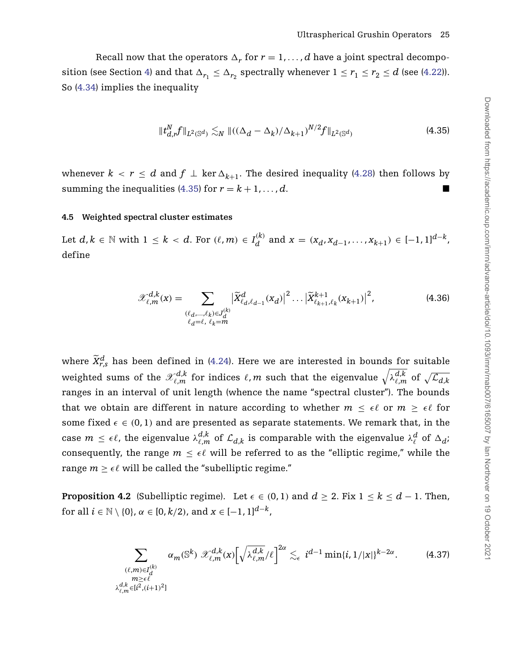Recall now that the operators  $\Delta_r$  for  $r = 1, \ldots, d$  have a joint spectral decompo-sition (see Section [4\)](#page-16-0) and that  $\Delta_{r_1} \leq \Delta_{r_2}$  spectrally whenever  $1 \leq r_1 \leq r_2 \leq d$  (see [\(4.22\)](#page-21-1)). So [\(4.34\)](#page-24-3) implies the inequality

<span id="page-25-2"></span>
$$
||t_{d,r}^N f||_{L^2(\mathbb{S}^d)} \lesssim_N ||((\Delta_d - \Delta_k)/\Delta_{k+1})^{N/2} f||_{L^2(\mathbb{S}^d)}
$$
(4.35)

whenever  $k\,<\,r\,\leq\,d\,$  and  $f\,\perp\,\ker\Delta_{k+1}.$  The desired inequality [\(4.28\)](#page-23-3) then follows by summing the inequalities [\(4.35\)](#page-25-2) for  $r = k + 1, \ldots, d$ .

#### <span id="page-25-1"></span>**4.5 Weighted spectral cluster estimates**

<span id="page-25-3"></span>Let  $d, k \in \mathbb{N}$  with  $1 \leq k < d$ . For  $(\ell, m) \in I_d^{(k)}$  and  $x = (x_d, x_{d-1}, \ldots, x_{k+1}) \in [-1, 1]^{d-k}$ , define

$$
\mathcal{X}_{\ell,m}^{d,k}(x) = \sum_{\substack{(\ell_d,\ldots,\ell_k)\in J_d^{(k)}\\ \ell_d = \ell,\ \ell_k = m}} \left|\widetilde{X}_{\ell_d,\ell_{d-1}}^d(x_d)\right|^2\ldots\left|\widetilde{X}_{\ell_{k+1},\ell_k}^{k+1}(x_{k+1})\right|^2,\tag{4.36}
$$

where  $\widetilde{X}_{r,s}^d$  has been defined in [\(4.24\)](#page-22-0). Here we are interested in bounds for suitable weighted sums of the  $\mathscr{X}_{\ell,m}^{d,k}$  for indices  $\ell,m$  such that the eigenvalue  $\sqrt{\lambda_{\ell,m}^{d,k}}$  of  $\sqrt{\mathcal{L}_{d,k}}$ ranges in an interval of unit length (whence the name "spectral cluster"). The bounds that we obtain are different in nature according to whether  $m \leq \epsilon \ell$  or  $m \geq \epsilon \ell$  for some fixed  $\epsilon \in (0, 1)$  and are presented as separate statements. We remark that, in the case  $m \leq \epsilon \ell$ , the eigenvalue  $\lambda_{\ell,m}^{d,k}$  of  $\mathcal{L}_{d,k}$  is comparable with the eigenvalue  $\lambda_{\ell}^d$  of  $\Delta_d$ ; consequently, the range  $m \leq \epsilon \ell$  will be referred to as the "elliptic regime," while the range  $m \ge \epsilon \ell$  will be called the "subelliptic regime."

<span id="page-25-0"></span>**Proposition 4.2** (Subelliptic regime). Let  $\epsilon \in (0, 1)$  and  $d \ge 2$ . Fix  $1 \le k \le d - 1$ . Then, for all  $i \in \mathbb{N} \setminus \{0\}$ ,  $\alpha \in [0, k/2)$ , and  $x \in [-1, 1]^{d-k}$ ,

<span id="page-25-4"></span>
$$
\sum_{\substack{(\ell,m)\in I_d^{(k)}\\m\geq\epsilon\ell\\ \lambda_{\ell,m}^{d,k}\in[i^2,(i+1)^2]}} \alpha_m(\mathbb{S}^k) \mathcal{X}_{\ell,m}^{d,k}(x) \left[\sqrt{\lambda_{\ell,m}^{d,k}}/\ell\right]^{2\alpha} \lesssim_{\epsilon} i^{d-1} \min\{i,1/|x|\}^{k-2\alpha}.
$$
 (4.37)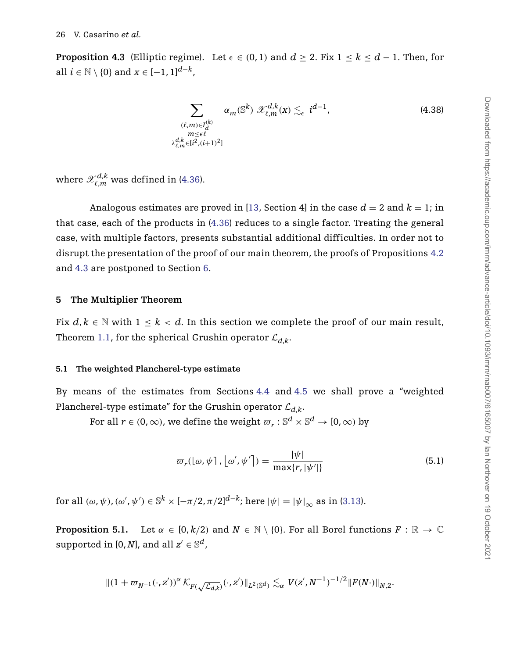<span id="page-26-0"></span>**Proposition 4.3** (Elliptic regime). Let  $\epsilon \in (0,1)$  and  $d \geq 2$ . Fix  $1 \leq k \leq d-1$ . Then, for all  $i \in \mathbb{N} \setminus \{0\}$  and  $x \in [-1, 1]^{d-k}$ ,

$$
\sum_{\substack{(\ell,m)\in I_d^{(k)}\\m\leq\epsilon\ell\\ \lambda_{\ell,m}^d\in\{i^2,(i+1)^2\}}}\alpha_m(\mathbb{S}^k)\mathcal{X}_{\ell,m}^{d,k}(x)\lesssim_{\epsilon}i^{d-1},\tag{4.38}
$$

where  $\mathscr{X}_{\ell,m}^{d,k}$  was defined in [\(4.36\)](#page-25-3).

Analogous estimates are proved in [\[13,](#page-63-0) Section 4] in the case  $d = 2$  and  $k = 1$ ; in that case, each of the products in [\(4.36\)](#page-25-3) reduces to a single factor. Treating the general case, with multiple factors, presents substantial additional difficulties. In order not to disrupt the presentation of the proof of our main theorem, the proofs of Propositions [4.2](#page-25-0) and [4.3](#page-26-0) are postponed to Section [6.](#page-32-0)

#### <span id="page-26-1"></span>**5 The Multiplier Theorem**

Fix  $d, k \in \mathbb{N}$  with  $1 \leq k < d$ . In this section we complete the proof of our main result, Theorem [1.1,](#page-3-1) for the spherical Grushin operator  $\mathcal{L}_{d,k}$ .

#### **5.1 The weighted Plancherel-type estimate**

By means of the estimates from Sections [4.4](#page-21-3) and [4.5](#page-25-1) we shall prove a "weighted Plancherel-type estimate" for the Grushin operator  $\mathcal{L}_{d,k}$ .

For all  $r \in (0, \infty)$ , we define the weight  $\varpi_r : \mathbb{S}^d \times \mathbb{S}^d \to [0, \infty)$  by

<span id="page-26-3"></span>
$$
\varpi_r(\lfloor \omega, \psi \rceil, \lfloor \omega', \psi' \rceil) = \frac{|\psi|}{\max\{r, |\psi'|\}}\tag{5.1}
$$

for all  $(\omega, \psi)$ ,  $(\omega', \psi') \in \mathbb{S}^k \times [-\pi/2, \pi/2]^{d-k}$ ; here  $|\psi| = |\psi|_{\infty}$  as in [\(3.13\)](#page-13-1).

<span id="page-26-2"></span>**Proposition 5.1.** Let  $\alpha \in [0, k/2)$  and  $N \in \mathbb{N} \setminus \{0\}$ . For all Borel functions  $F : \mathbb{R} \to \mathbb{C}$ supported in [0, *N*], and all  $z' \in \mathbb{S}^d$ ,

$$
\|(1+\varpi_{N^{-1}}(\cdot,z'))^{\alpha} \mathcal{K}_{F(\sqrt{\mathcal{L}_{d,k}})}(\cdot,z')\|_{L^{2}(\mathbb{S}^{d})} \lesssim_{\alpha} V(z',N^{-1})^{-1/2} \|F(N\cdot)\|_{N,2}.
$$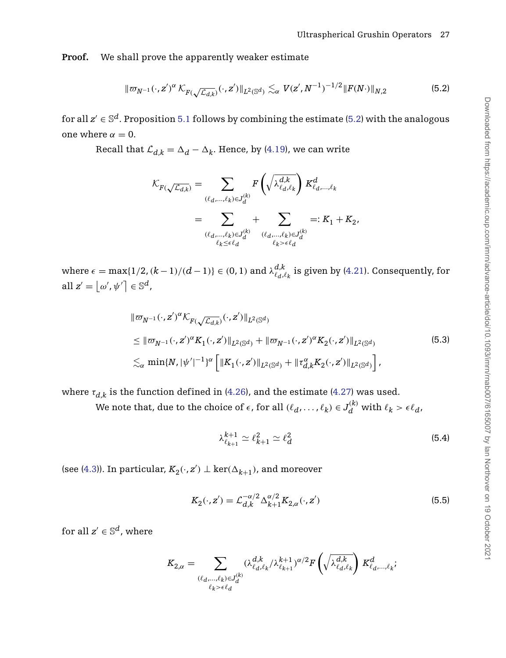**Proof.** We shall prove the apparently weaker estimate

<span id="page-27-0"></span>
$$
\|\varpi_{N^{-1}}(\cdot, z')^{\alpha} \mathcal{K}_{F(\sqrt{\mathcal{L}_{d,k}})}(\cdot, z')\|_{L^{2}(\mathbb{S}^{d})} \lesssim_{\alpha} V(z', N^{-1})^{-1/2} \|F(N \cdot)\|_{N,2}
$$
(5.2)

for all  $z' \in \mathbb{S}^d$ . Proposition [5.1](#page-26-2) follows by combining the estimate [\(5.2\)](#page-27-0) with the analogous one where  $\alpha = 0$ .

Recall that  $\mathcal{L}_{d,k} = \Delta_d - \Delta_k$ . Hence, by [\(4.19\)](#page-20-2), we can write

$$
\begin{aligned} \mathcal{K}_{F(\sqrt{\mathcal{L}_{d,k}})} &= \sum_{(\ell_d,\ldots,\ell_k)\in J_d^{(k)}} F\left(\sqrt{\lambda_{\ell_d,\ell_k}^{d,k}}\right) K_{\ell_d,\ldots,\ell_k}^d\\ &= \sum_{(\ell_d,\ldots,\ell_k)\in J_d^{(k)}} + \sum_{(\ell_d,\ldots,\ell_k)\in J_d^{(k)}} =: K_1 + K_2,\\ &\qquad \qquad \ell_k \leq \epsilon \ell_d \end{aligned}
$$

where  $\epsilon = \max\{1/2$ ,  $(k-1)/(d-1)\} \in (0,1)$  and  $\lambda_{\ell_d,\ell_k}^{d,k}$  is given by [\(4.21\)](#page-21-0). Consequently, for all  $z' = | \omega', \psi' | \in \mathbb{S}^d$ ,

<span id="page-27-2"></span>
$$
\|\varpi_{N-1}(\cdot,z')^{\alpha} \mathcal{K}_{F(\sqrt{\mathcal{L}_{d,k}})}(\cdot,z')\|_{L^{2}(\mathbb{S}^{d})}
$$
\n
$$
\leq \|\varpi_{N-1}(\cdot,z')^{\alpha} K_{1}(\cdot,z')\|_{L^{2}(\mathbb{S}^{d})} + \|\varpi_{N-1}(\cdot,z')^{\alpha} K_{2}(\cdot,z')\|_{L^{2}(\mathbb{S}^{d})}
$$
\n
$$
\lesssim_{\alpha} \min\{N,|\psi'|^{-1}\}^{\alpha} \left[ \|K_{1}(\cdot,z')\|_{L^{2}(\mathbb{S}^{d})} + \|\tau_{d,k}^{\alpha} K_{2}(\cdot,z')\|_{L^{2}(\mathbb{S}^{d})} \right],
$$
\n(5.3)

where  $\tau_{d,k}$  is the function defined in [\(4.26\)](#page-22-2), and the estimate [\(4.27\)](#page-22-3) was used.

We note that, due to the choice of  $\epsilon$ , for all  $(\ell_d, \ldots, \ell_k) \in J_d^{(k)}$  with  $\ell_k > \epsilon \ell_d$ ,

<span id="page-27-3"></span><span id="page-27-1"></span>
$$
\lambda_{\ell_{k+1}}^{k+1} \simeq \ell_{k+1}^2 \simeq \ell_d^2 \tag{5.4}
$$

(see [\(4.3\)](#page-17-3)). In particular,  $K_2(\cdot, z') \perp \ker(\Delta_{k+1})$ , and moreover

$$
K_2(\cdot, z') = \mathcal{L}_{d,k}^{-\alpha/2} \Delta_{k+1}^{\alpha/2} K_{2,\alpha}(\cdot, z') \tag{5.5}
$$

for all  $z' \in \mathbb{S}^d$ , where

$$
K_{2,\alpha} = \sum_{\substack{(\ell_d,\ldots,\ell_k)\in J_d^{(k)}\\ \ell_k > \epsilon \ell_d}} (\lambda_{\ell_d,\ell_k}^{d,k} / \lambda_{\ell_{k+1}}^{k+1})^{\alpha/2} F\left(\sqrt{\lambda_{\ell_d,\ell_k}^{d,k}}\right) K_{\ell_d,\ldots,\ell_k}^d;
$$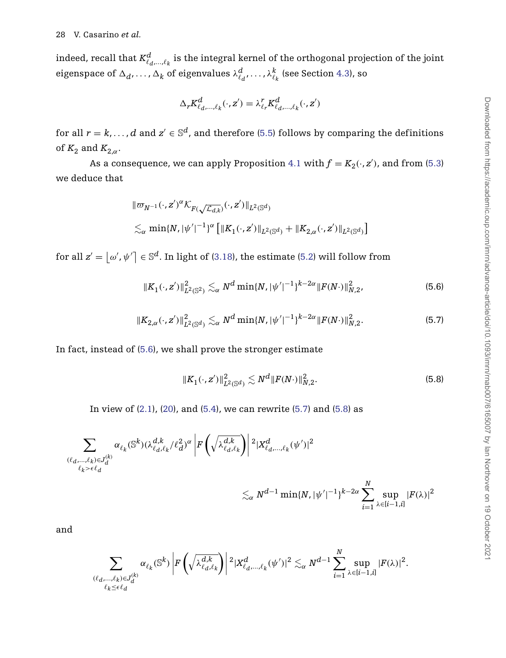indeed, recall that  $K^d_{\ell_d,...,\ell_k}$  is the integral kernel of the orthogonal projection of the joint eigenspace of  $\Delta_d, \ldots, \Delta_k$  of eigenvalues  $\lambda_{\ell_d}^d, \ldots, \lambda_{\ell_k}^k$  (see Section [4.3\)](#page-19-1), so

$$
\Delta_r K^d_{\ell_d,\ldots,\ell_k}(\cdot, \boldsymbol{z}') = \lambda_{\ell_r}^r K^d_{\ell_d,\ldots,\ell_k}(\cdot, \boldsymbol{z}')
$$

for all  $r = k, ..., d$  and  $z' \in \mathbb{S}^d$ , and therefore [\(5.5\)](#page-27-1) follows by comparing the definitions of  $K_2$  and  $K_{2,\alpha}$ .

As a consequence, we can apply Proposition [4.1](#page-23-0) with  $f = K_2(\cdot, z')$ , and from [\(5.3\)](#page-27-2) we deduce that

$$
\begin{aligned} & \|\varpi_{N^{-1}}(\cdot,z')^\alpha \mathcal{K}_{F(\sqrt{\mathcal{L}_{d,k}})}(\cdot,z')\|_{L^2(\mathbb{S}^d)} \\ & \lesssim_\alpha \min\{N,|\psi'|^{-1}\}^\alpha\left[\|K_1(\cdot,z')\|_{L^2(\mathbb{S}^d)}+\|K_{2,\alpha}(\cdot,z')\|_{L^2(\mathbb{S}^d)}\right] \end{aligned}
$$

for all  $z' = \lfloor \omega', \psi' \rceil \in \mathbb{S}^d.$  In light of [\(3.18\)](#page-15-3), the estimate [\(5.2\)](#page-27-0) will follow from

$$
||K_1(\cdot, z')||^2_{L^2(\mathbb{S}^2)} \lesssim_{\alpha} N^d \min\{N, |\psi'|^{-1}\}^{k-2\alpha} ||F(N \cdot)||^2_{N,2},\tag{5.6}
$$

$$
||K_{2,\alpha}(\cdot,z')||_{L^2(\mathbb{S}^d)}^2 \lesssim_{\alpha} N^d \min\{N,|\psi'|^{-1}\}^{k-2\alpha} ||F(N\cdot)||_{N,2}^2.
$$
 (5.7)

<span id="page-28-1"></span>In fact, instead of [\(5.6\)](#page-28-0), we shall prove the stronger estimate

<span id="page-28-2"></span><span id="page-28-0"></span>
$$
||K_1(\cdot, z')||^2_{L^2(\mathbb{S}^d)} \lesssim N^d ||F(N \cdot)||^2_{N,2}.
$$
\n(5.8)

In view of [\(2.1\)](#page-8-1), [\(20\)](#page-21-4), and [\(5.4\)](#page-27-3), we can rewrite [\(5.7\)](#page-28-1) and [\(5.8\)](#page-28-2) as

$$
\begin{aligned} \sum_{\left(\ell_d,\ldots,\ell_k\right)\in J_d^{(k)}}\alpha_{\ell_k}(\mathbb{S}^k)(\lambda_{\ell_d,\ell_k}^{d,k}/\ell_d^2)^{\alpha}\left|F\left(\sqrt{\lambda_{\ell_d,\ell_k}^{d,k}}\right)\right|^2|X_{\ell_d,\ldots,\ell_k}^d(\psi')|^2\\ \lesssim_\alpha N^{d-1}\min\{N,|\psi'|^{-1}\}^{k-2\alpha}\sum_{i=1}^N\sup_{\lambda\in [i-1,i]}|F(\lambda)|^2 \end{aligned}
$$

and

$$
\sum_{(\ell_d,\ldots,\ell_k)\in {\cal J}_d^{(k)}}\alpha_{\ell_k}(\mathbb{S}^k)\left|F\left(\sqrt{\lambda_{\ell_d,\ell_k}^{d,k}}\right)\right|^2|X_{\ell_d,\ldots,\ell_k}^d(\psi')|^2\lesssim_\alpha N^{d-1}\sum_{i=1}^N\sup_{\lambda\in [i-1,i]}|F(\lambda)|^2.
$$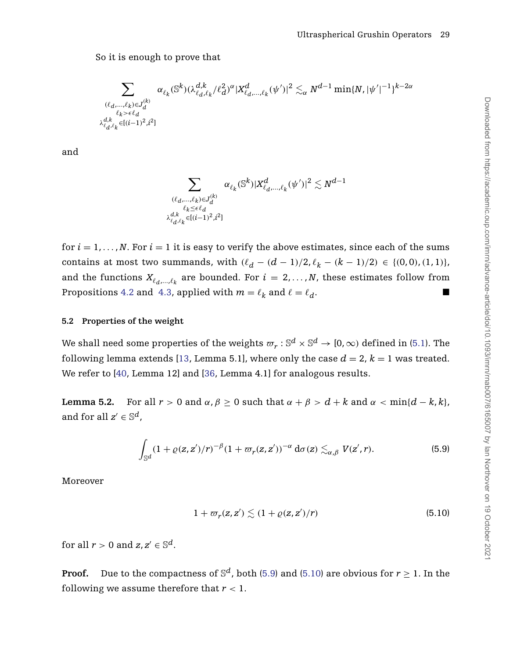#### So it is enough to prove that

$$
\sum_{\substack{(\ell_d,\ldots,\ell_k)\in {\cal J}_d^{(k)}\\ \ell_k> \epsilon \ell_d\\ \lambda_{\ell_d,\ell_k}^d \in [(i-1)^2,i^2]}} \alpha_{\ell_k}(\mathbb{S}^k)(\lambda_{\ell_d,\ell_k}^{d,k}/\ell_d^2)^\alpha|X_{\ell_d,\ldots,\ell_k}^d(\psi')|^2 \lesssim_\alpha N^{d-1}\min\{N,|\psi'|^{-1}\}^{k-2\alpha}
$$

and

$$
\sum_{\substack{(\ell_d,\ldots,\ell_k)\in J_d^{(k)}\\ \ell_k\leq \epsilon \ell_d\\ \lambda_{\ell_d,\ell_k}^{d,k}\in [({i-1})^2,{i^2}]} }\alpha_{\ell_k}(\mathbb{S}^k)|X_{\ell_d,\ldots,\ell_k}^d(\psi')|^2\lesssim N^{d-1}
$$

for  $i = 1, \ldots, N$ . For  $i = 1$  it is easy to verify the above estimates, since each of the sums contains at most two summands, with  $(\ell_d - (d-1)/2, \ell_k - (k-1)/2) \in \{(0,0), (1,1)\},\$ and the functions  $X_{\ell, \ell_1, \ldots, \ell_k}$  are bounded. For  $i = 2, \ldots, N$ , these estimates follow from Propositions [4.2](#page-25-0) and [4.3,](#page-26-0) applied with  $m = \ell_k$  and  $\ell = \ell_d$ .

#### **5.2 Properties of the weight**

We shall need some properties of the weights  $\varpi_r : \mathbb{S}^d \times \mathbb{S}^d \to [0, \infty)$  defined in [\(5.1\)](#page-26-3). The following lemma extends [\[13,](#page-63-0) Lemma 5.1], where only the case  $d = 2$ ,  $k = 1$  was treated. We refer to [\[40,](#page-65-6) Lemma 12] and [\[36,](#page-64-13) Lemma 4.1] for analogous results.

<span id="page-29-2"></span>**Lemma 5.2.** For all  $r > 0$  and  $\alpha, \beta > 0$  such that  $\alpha + \beta > d + k$  and  $\alpha < \min\{d - k, k\}$ , and for all  $z' \in \mathbb{S}^d$ ,

<span id="page-29-0"></span>
$$
\int_{\mathbb{S}^d} (1+\varrho(z,z')/r)^{-\beta} (1+\varpi_r(z,z'))^{-\alpha} \, \mathrm{d}\sigma(z) \lesssim_{\alpha,\beta} V(z',r). \tag{5.9}
$$

<span id="page-29-1"></span>Moreover

$$
1 + \varpi_r(z, z') \lesssim (1 + \varrho(z, z')/r) \tag{5.10}
$$

for all  $r > 0$  and  $z, z' \in \mathbb{S}^d$ .

**Proof.** Due to the compactness of  $\mathbb{S}^d$ , both [\(5.9\)](#page-29-0) and [\(5.10\)](#page-29-1) are obvious for  $r \geq 1$ . In the following we assume therefore that  $r < 1$ .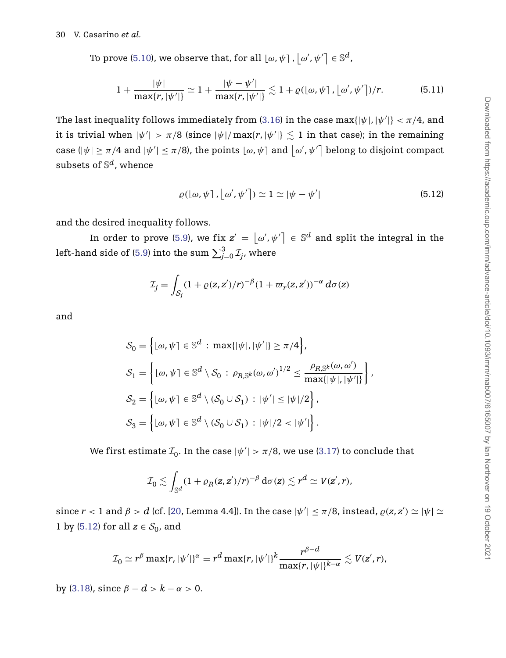To prove [\(5.10\)](#page-29-1), we observe that, for all  $\lfloor \omega, \psi \rceil$  ,  $\lfloor \omega', \psi' \rceil \in \mathbb{S}^d$ ,

$$
1+\frac{|\psi|}{\max\{r,|\psi'|\}}\simeq 1+\frac{|\psi-\psi'|}{\max\{r,|\psi'|\}}\lesssim 1+\varrho(|\omega,\psi|,|\omega',\psi'|)/r.
$$
 (5.11)

The last inequality follows immediately from [\(3.16\)](#page-14-3) in the case max $\{|\psi|, |\psi'|\} < \pi/4$ , and it is trivial when  $|\psi'| > \pi/8$  (since  $|\psi|/\max\{r,|\psi'|\} \lesssim 1$  in that case); in the remaining case ( $|\psi| \ge \pi/4$  and  $|\psi'| \le \pi/8$ ), the points  $[\omega, \psi]$  and  $[\omega', \psi']$  belong to disjoint compact subsets of S*d*, whence

<span id="page-30-1"></span><span id="page-30-0"></span>
$$
\varrho(\lfloor \omega, \psi \rceil, \lfloor \omega', \psi' \rceil) \simeq 1 \simeq |\psi - \psi'| \tag{5.12}
$$

and the desired inequality follows.

In order to prove [\(5.9\)](#page-29-0), we fix  $z' = \lfloor \omega', \psi' \rceil \in \mathbb{S}^d$  and split the integral in the left-hand side of [\(5.9\)](#page-29-0) into the sum  $\sum_{j=0}^3 \mathcal{I}_j$ , where

$$
\mathcal{I}_j = \int_{\mathcal{S}_j} (1 + \varrho(z, z')/r)^{-\beta} (1 + \varpi_r(z, z'))^{-\alpha} d\sigma(z)
$$

and

$$
S_0 = \left\{ \lfloor \omega, \psi \rfloor \in \mathbb{S}^d : \max\{ |\psi|, |\psi'| \} \ge \pi/4 \right\},\
$$
  
\n
$$
S_1 = \left\{ \lfloor \omega, \psi \rfloor \in \mathbb{S}^d \setminus S_0 : \rho_{R, \mathbb{S}^k}(\omega, \omega')^{1/2} \le \frac{\rho_{R, \mathbb{S}^k}(\omega, \omega')}{\max\{ |\psi|, |\psi'| \}} \right\},\
$$
  
\n
$$
S_2 = \left\{ \lfloor \omega, \psi \rfloor \in \mathbb{S}^d \setminus (\mathcal{S}_0 \cup \mathcal{S}_1) : |\psi'| \le |\psi|/2 \right\},\
$$
  
\n
$$
S_3 = \left\{ \lfloor \omega, \psi \rfloor \in \mathbb{S}^d \setminus (\mathcal{S}_0 \cup \mathcal{S}_1) : |\psi|/2 < |\psi'| \right\}.
$$

We first estimate  $\mathcal{I}_0$ . In the case  $|\psi'| > \pi/8$ , we use [\(3.17\)](#page-14-2) to conclude that

$$
\mathcal{I}_0 \lesssim \int_{\mathbb{S}^d} (1 + \varrho_R(z, z')/r)^{-\beta} \, \mathrm{d}\sigma(z) \lesssim r^d \simeq V(z', r),
$$

since  $r < 1$  and  $\beta > d$  (cf. [\[20,](#page-64-8) Lemma 4.4]). In the case  $|\psi'| \leq \pi/8$ , instead,  $\varrho(z, z') \simeq |\psi| \simeq$ 1 by [\(5.12\)](#page-30-0) for all  $z \in S_0$ , and

$$
\mathcal{I}_0 \simeq r^{\beta} \max\{r, |\psi'| \}^{\alpha} = r^d \max\{r, |\psi'| \}^k \frac{r^{\beta-d}}{\max\{r, |\psi| \}^{k-\alpha}} \lesssim V(z', r),
$$

by [\(3.18\)](#page-15-3), since  $\beta - d > k - \alpha > 0$ .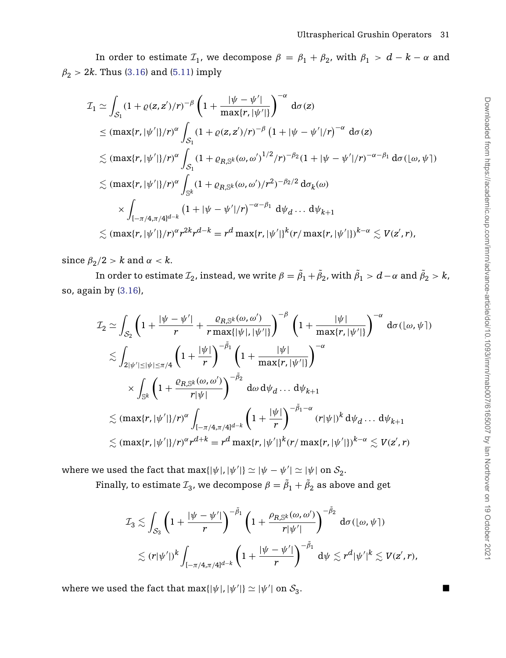In order to estimate  $\mathcal{I}_1$ , we decompose  $\beta = \beta_1 + \beta_2$ , with  $\beta_1 > d - k - \alpha$  and  $\beta_2 > 2k$ . Thus [\(3.16\)](#page-14-3) and [\(5.11\)](#page-30-1) imply

$$
\mathcal{I}_{1} \simeq \int_{S_{1}} (1 + \varrho(z,z')/r)^{-\beta} \left( 1 + \frac{|\psi - \psi'|}{\max\{r, |\psi'|\}} \right)^{-\alpha} d\sigma(z)
$$
\n
$$
\leq (\max\{r, |\psi'|\}/r)^{\alpha} \int_{S_{1}} (1 + \varrho(z,z')/r)^{-\beta} (1 + |\psi - \psi'|/r)^{-\alpha} d\sigma(z)
$$
\n
$$
\lesssim (\max\{r, |\psi'|\}/r)^{\alpha} \int_{S_{1}} (1 + \varrho_{R,S^{k}}(\omega, \omega')^{1/2}/r)^{-\beta_{2}} (1 + |\psi - \psi'|/r)^{-\alpha-\beta_{1}} d\sigma(|\omega, \psi|)
$$
\n
$$
\lesssim (\max\{r, |\psi'|\}/r)^{\alpha} \int_{S^{k}} (1 + \varrho_{R,S^{k}}(\omega, \omega')/r^{2})^{-\beta_{2}/2} d\sigma_{k}(\omega)
$$
\n
$$
\times \int_{[-\pi/4, \pi/4]^{d-k}} (1 + |\psi - \psi'|/r)^{-\alpha-\beta_{1}} d\psi_{d} \dots d\psi_{k+1}
$$
\n
$$
\lesssim (\max\{r, |\psi'|\}/r)^{\alpha} r^{2k} r^{d-k} = r^{d} \max\{r, |\psi'|\}^{k} (r/ \max\{r, |\psi'|\})^{k-\alpha} \lesssim V(z', r),
$$

since  $\beta_2/2 > k$  and  $\alpha < k$ .

In order to estimate  $\mathcal{I}_2$ , instead, we write  $\beta = \tilde{\beta}_1 + \tilde{\beta}_2$ , with  $\tilde{\beta}_1 > d - \alpha$  and  $\tilde{\beta}_2 > k$ , so, again by [\(3.16\)](#page-14-3),

$$
\mathcal{I}_2 \simeq \int_{S_2} \left( 1 + \frac{|\psi - \psi'|}{r} + \frac{\varrho_{R,S^k}(\omega, \omega')}{r \max\{|\psi|, |\psi'|\}} \right)^{-\beta} \left( 1 + \frac{|\psi|}{\max\{r, |\psi'|\}} \right)^{-\alpha} d\sigma(\omega, \psi])
$$
\n
$$
\lesssim \int_{2|\psi'| \leq |\psi| \leq \pi/4} \left( 1 + \frac{|\psi|}{r} \right)^{-\tilde{\beta}_1} \left( 1 + \frac{|\psi|}{\max\{r, |\psi'|\}} \right)^{-\alpha}
$$
\n
$$
\times \int_{\mathbb{S}^k} \left( 1 + \frac{\varrho_{R,S^k}(\omega, \omega')}{r |\psi|} \right)^{-\tilde{\beta}_2} d\omega d\psi_d \dots d\psi_{k+1}
$$
\n
$$
\lesssim (\max\{r, |\psi'| \}/r)^{\alpha} \int_{[-\pi/4, \pi/4]^{d-k}} \left( 1 + \frac{|\psi|}{r} \right)^{-\tilde{\beta}_1 - \alpha} (r |\psi|)^k d\psi_d \dots d\psi_{k+1}
$$
\n
$$
\lesssim (\max\{r, |\psi'| \}/r)^{\alpha} r^{d+k} = r^d \max\{r, |\psi'| \}^k (r) \max\{r, |\psi'| \}^{k-\alpha} \lesssim V(z', r)
$$

where we used the fact that  $\max\{|\psi|, |\psi'|\} \simeq |\psi - \psi'| \simeq |\psi|$  on  $\mathcal{S}_2$ .

Finally, to estimate  $\mathcal{I}_3$ , we decompose  $\beta = \tilde{\beta}_1 + \tilde{\beta}_2$  as above and get

$$
\begin{aligned} \mathcal{I}_3 \lesssim & \int_{\mathcal{S}_3} \left( 1+ \frac{|\psi - \psi'|}{r} \right)^{-\tilde{\beta}_1} \left( 1+ \frac{\rho_{R,\mathbb{S}^k}(\omega, \omega')}{r |\psi'|} \right)^{-\tilde{\beta}_2} \, \mathrm{d} \sigma(\lfloor \omega, \psi \rceil) \\ & \lesssim & \, (r|\psi'|)^k \int_{[-\pi/4,\pi/4]^{d-k}} \left( 1+ \frac{|\psi - \psi'|}{r} \right)^{-\tilde{\beta}_1} \, \mathrm{d} \psi \lesssim r^d |\psi'|^k \lesssim V(z',r), \end{aligned}
$$

where we used the fact that  $\max\{|\psi|, |\psi'|\} \simeq |\psi'|$  on  $\mathcal{S}_3$ .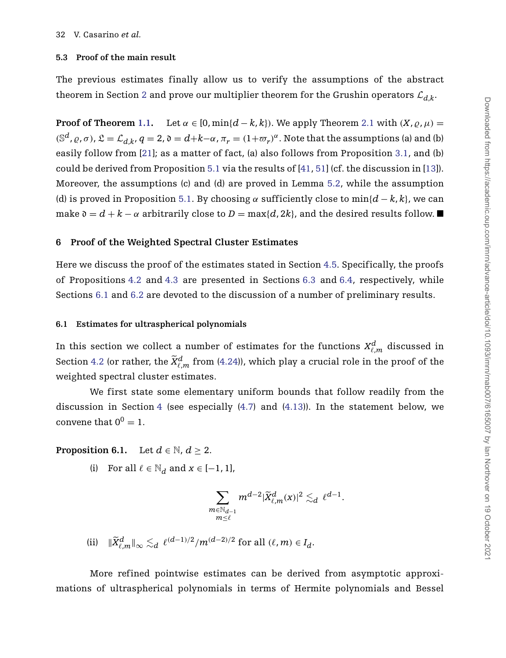#### **5.3 Proof of the main result**

The previous estimates finally allow us to verify the assumptions of the abstract theorem in Section [2](#page-7-0) and prove our multiplier theorem for the Grushin operators  $\mathcal{L}_{d,k}$ .

**Proof of Theorem [1.1.](#page-3-1)** Let  $\alpha \in [0, \min\{d - k, k\})$ . We apply Theorem [2.1](#page-8-2) with  $(X, \rho, \mu) =$  $(S^d, \varrho, \sigma)$ ,  $\mathfrak{L} = \mathcal{L}_{d,k}$ ,  $q = 2$ ,  $\mathfrak{d} = d + k - \alpha$ ,  $\pi_r = (1 + \varpi_r)^{\alpha}$ . Note that the assumptions (a) and (b) easily follow from [\[21\]](#page-64-9); as a matter of fact, (a) also follows from Proposition [3.1,](#page-14-5) and (b) could be derived from Proposition [5.1](#page-26-2) via the results of [\[41,](#page-65-16) [51\]](#page-65-12) (cf. the discussion in [\[13\]](#page-63-0)). Moreover, the assumptions (c) and (d) are proved in Lemma [5.2,](#page-29-2) while the assumption (d) is proved in Proposition [5.1.](#page-26-2) By choosing  $\alpha$  sufficiently close to min $\{d - k, k\}$ , we can make  $\mathfrak{d} = d + k - \alpha$  arbitrarily close to  $D = \max\{d, 2k\}$ , and the desired results follow.

#### <span id="page-32-0"></span>**6 Proof of the Weighted Spectral Cluster Estimates**

Here we discuss the proof of the estimates stated in Section [4.5.](#page-25-1) Specifically, the proofs of Propositions [4.2](#page-25-0) and [4.3](#page-26-0) are presented in Sections [6.3](#page-36-0) and [6.4,](#page-48-0) respectively, while Sections [6.1](#page-32-1) and [6.2](#page-34-0) are devoted to the discussion of a number of preliminary results.

#### <span id="page-32-1"></span>**6.1 Estimates for ultraspherical polynomials**

In this section we collect a number of estimates for the functions  $X_{\ell,m}^d$  discussed in Section [4.2](#page-17-4) (or rather, the  $\widetilde{X}_{\ell,m}^d$  from [\(4.24\)](#page-22-0)), which play a crucial role in the proof of the weighted spectral cluster estimates.

We first state some elementary uniform bounds that follow readily from the discussion in Section [4](#page-16-0) (see especially [\(4.7\)](#page-17-1) and [\(4.13\)](#page-19-0)). In the statement below, we convene that  $0^0 = 1$ .

#### <span id="page-32-2"></span>**Proposition 6.1.** Let  $d \in \mathbb{N}$ ,  $d \geq 2$ .

(i) For all  $\ell \in \mathbb{N}_d$  and  $x \in [-1, 1]$ ,

$$
\sum_{\substack{m\in\mathbb{N}_{d-1}\\m\leq\ell}}m^{d-2}|\widetilde{X}_{\ell,m}^d(x)|^2\lesssim_d\ell^{d-1}.
$$

(ii)  $\|\widetilde{X}_{\ell,m}^d\|_{\infty} \lesssim_d \ell^{(d-1)/2}/m^{(d-2)/2}$  for all  $(\ell,m) \in I_d$ .

More refined pointwise estimates can be derived from asymptotic approximations of ultraspherical polynomials in terms of Hermite polynomials and Bessel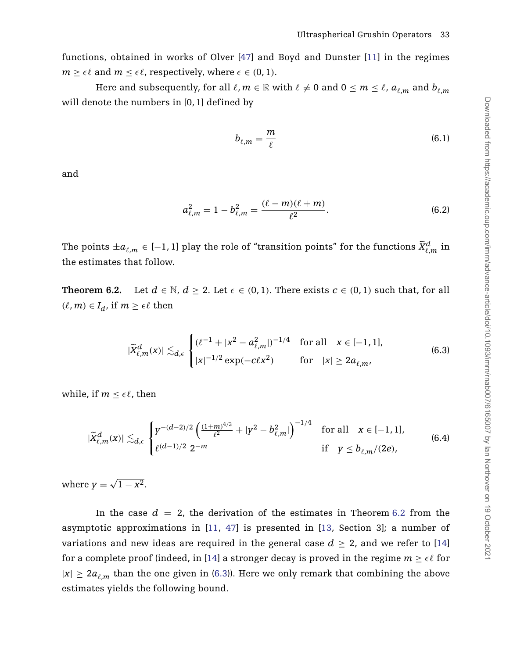functions, obtained in works of Olver [\[47\]](#page-65-11) and Boyd and Dunster [\[11\]](#page-63-6) in the regimes  $m > \epsilon \ell$  and  $m < \epsilon \ell$ , respectively, where  $\epsilon \in (0, 1)$ .

Here and subsequently, for all  $\ell, m \in \mathbb{R}$  with  $\ell \neq 0$  and  $0 \leq m \leq \ell, a_{\ell,m}$  and  $b_{\ell,m}$ will denote the numbers in [0, 1] defined by

<span id="page-33-4"></span>
$$
b_{\ell,m} = \frac{m}{\ell} \tag{6.1}
$$

<span id="page-33-3"></span>and

$$
a_{\ell,m}^2 = 1 - b_{\ell,m}^2 = \frac{(\ell - m)(\ell + m)}{\ell^2}.
$$
 (6.2)

The points  $\pm a_{\ell,m} \in [-1,1]$  play the role of "transition points" for the functions  $\widetilde{X}_{\ell,m}^d$  in the estimates that follow.

<span id="page-33-0"></span>**Theorem 6.2.** Let  $d \in \mathbb{N}$ ,  $d \ge 2$ . Let  $\epsilon \in (0, 1)$ . There exists  $c \in (0, 1)$  such that, for all  $(ℓ, m) ∈ I_d$ , if  $m ≥ ∈ ℓ$  then

<span id="page-33-2"></span><span id="page-33-1"></span>
$$
|\widetilde{X}_{\ell,m}^d(x)| \lesssim_{d,\epsilon} \begin{cases} (\ell^{-1} + |x^2 - a_{\ell,m}^2|)^{-1/4} & \text{for all } x \in [-1,1],\\ |x|^{-1/2} \exp(-c\ell x^2) & \text{for } |x| \ge 2a_{\ell,m}, \end{cases} \tag{6.3}
$$

while, if  $m < \epsilon \ell$ , then

$$
|\widetilde{X}_{\ell,m}^d(x)| \lesssim_{d,\epsilon} \begin{cases} y^{-(d-2)/2} \left( \frac{(1+m)^{4/3}}{\ell^2} + |y^2 - b_{\ell,m}^2| \right)^{-1/4} & \text{for all } x \in [-1,1],\\ \ell^{(d-1)/2} 2^{-m} & \text{if } y \le b_{\ell,m}/(2\epsilon), \end{cases} \tag{6.4}
$$

where  $y = \sqrt{1 - x^2}$ .

In the case  $d = 2$ , the derivation of the estimates in Theorem [6.2](#page-33-0) from the asymptotic approximations in  $[11, 47]$  $[11, 47]$  $[11, 47]$  is presented in  $[13,$  Section 3]; a number of variations and new ideas are required in the general case  $d \geq 2$ , and we refer to [\[14\]](#page-63-7) for a complete proof (indeed, in [\[14\]](#page-63-7) a stronger decay is proved in the regime  $m > \epsilon \ell$  for  $|x| \geq 2a_{\ell,m}$  than the one given in [\(6.3\)](#page-33-1)). Here we only remark that combining the above estimates yields the following bound.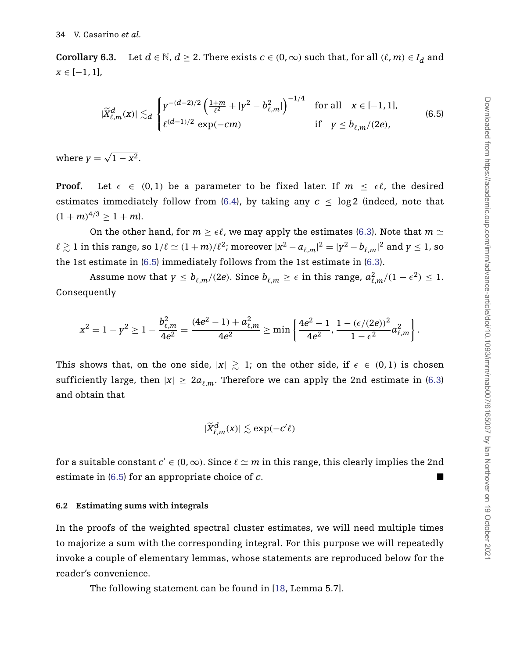<span id="page-34-2"></span>**Corollary 6.3.** Let  $d \in \mathbb{N}$ ,  $d \geq 2$ . There exists  $c \in (0, \infty)$  such that, for all  $(\ell, m) \in I_d$  and *x* ∈ [−1, 1],

<span id="page-34-1"></span>
$$
|\widetilde{X}_{\ell,m}^d(x)| \lesssim_d \begin{cases} y^{-(d-2)/2} \left( \frac{1+m}{\ell^2} + |y^2 - b_{\ell,m}^2| \right)^{-1/4} & \text{for all } x \in [-1,1],\\ \ell^{(d-1)/2} \exp(-cm) & \text{if } y \le b_{\ell,m}/(2e), \end{cases} \tag{6.5}
$$

where  $y = \sqrt{1 - x^2}$ .

**Proof.** Let  $\epsilon \in (0,1)$  be a parameter to be fixed later. If  $m \leq \epsilon \ell$ , the desired estimates immediately follow from  $(6.4)$ , by taking any  $c \leq \log 2$  (indeed, note that  $(1 + m)^{4/3} \ge 1 + m$ .

On the other hand, for  $m \ge \epsilon \ell$ , we may apply the estimates [\(6.3\)](#page-33-1). Note that  $m \simeq$  $\ell\gtrsim 1$  in this range, so  $1/\ell\simeq (1+m)/\ell^2$ ; moreover  $|x^2-a_{\ell,m}|^2=|y^2-b_{\ell,m}|^2$  and  $y\le 1$ , so the 1st estimate in [\(6.5\)](#page-34-1) immediately follows from the 1st estimate in [\(6.3\)](#page-33-1).

Assume now that  $y \le b_{\ell,m}/(2e)$ . Since  $b_{\ell,m} \ge \epsilon$  in this range,  $a_{\ell,m}^2/(1-\epsilon^2) \le 1$ . Consequently

$$
x^2 = 1 - y^2 \geq 1 - \frac{b_{\ell,m}^2}{4e^2} = \frac{(4e^2 - 1) + a_{\ell,m}^2}{4e^2} \geq \min\left\{\frac{4e^2 - 1}{4e^2}, \frac{1 - (\epsilon/(2e))^2}{1 - \epsilon^2} a_{\ell,m}^2\right\}.
$$

This shows that, on the one side,  $|x| \ge 1$ ; on the other side, if  $\epsilon \in (0,1)$  is chosen sufficiently large, then  $|x| \geq 2a_{\ell,m}$ . Therefore we can apply the 2nd estimate in [\(6.3\)](#page-33-1) and obtain that

$$
|\widetilde{X}_{\ell,m}^d(x)|\lesssim \exp(-c'\ell)
$$

for a suitable constant  $c' \in (0, \infty)$ . Since  $\ell \simeq m$  in this range, this clearly implies the 2nd estimate in [\(6.5\)](#page-34-1) for an appropriate choice of *c*.

#### <span id="page-34-0"></span>**6.2 Estimating sums with integrals**

In the proofs of the weighted spectral cluster estimates, we will need multiple times to majorize a sum with the corresponding integral. For this purpose we will repeatedly invoke a couple of elementary lemmas, whose statements are reproduced below for the reader's convenience.

The following statement can be found in [\[18,](#page-64-3) Lemma 5.7].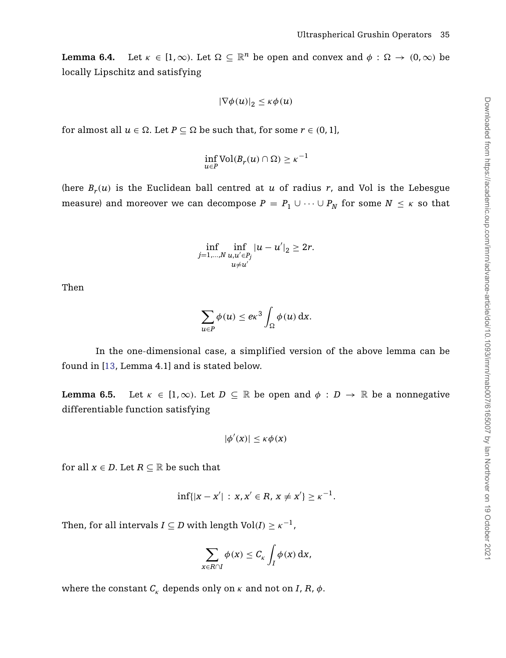<span id="page-35-1"></span>**Lemma 6.4.** Let  $\kappa \in [1,\infty)$ . Let  $\Omega \subseteq \mathbb{R}^n$  be open and convex and  $\phi : \Omega \to (0,\infty)$  be locally Lipschitz and satisfying

$$
|\nabla \phi(u)|_2 \leq \kappa \phi(u)
$$

for almost all  $u \in \Omega$ . Let  $P \subset \Omega$  be such that, for some  $r \in (0, 1]$ ,

$$
\inf_{u \in P} \text{Vol}(B_r(u) \cap \Omega) \ge \kappa^{-1}
$$

(here  $B_r(u)$  is the Euclidean ball centred at *u* of radius *r*, and Vol is the Lebesgue measure) and moreover we can decompose  $P = P_1 \cup \cdots \cup P_N$  for some  $N \leq \kappa$  so that

$$
\inf_{\substack{j=1,\ldots,N}}\inf_{\substack{u,u'\in P_j\\u\neq u'}}|u-u'|_2\geq 2r.
$$

Then

$$
\sum_{u \in P} \phi(u) \le e\kappa^3 \int_{\Omega} \phi(u) \, \mathrm{d} x.
$$

In the one-dimensional case, a simplified version of the above lemma can be found in [\[13,](#page-63-0) Lemma 4.1] and is stated below.

<span id="page-35-0"></span>**Lemma 6.5.** Let  $\kappa \in [1,\infty)$ . Let  $D \subseteq \mathbb{R}$  be open and  $\phi : D \to \mathbb{R}$  be a nonnegative differentiable function satisfying

$$
|\phi'(x)| \le \kappa \phi(x)
$$

for all  $x \in D$ . Let  $R \subseteq \mathbb{R}$  be such that

$$
\inf\{|x-x'| : x, x' \in R, x \neq x'\} \geq \kappa^{-1}.
$$

Then, for all intervals  $I \subseteq D$  with length  $Vol(I) \geq \kappa^{-1}$ ,

$$
\sum_{x \in R \cap I} \phi(x) \leq C_{\kappa} \int_{I} \phi(x) \, \mathrm{d} x,
$$

where the constant  $C_k$  depends only on  $k$  and not on *I*,  $R$ ,  $\phi$ .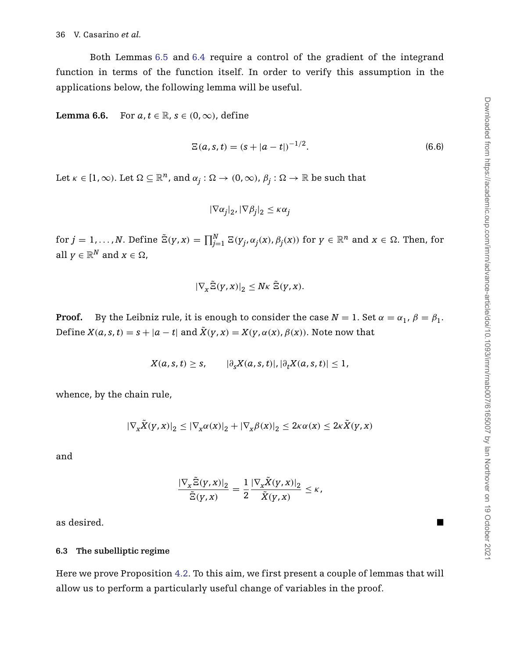Both Lemmas [6.5](#page-35-0) and [6.4](#page-35-1) require a control of the gradient of the integrand function in terms of the function itself. In order to verify this assumption in the applications below, the following lemma will be useful.

<span id="page-36-2"></span>**Lemma 6.6.** For  $a, t \in \mathbb{R}$ ,  $s \in (0, \infty)$ , define

<span id="page-36-1"></span>
$$
\Xi(a,s,t) = (s+|a-t|)^{-1/2}.
$$
\n(6.6)

Let  $\kappa \in [1,\infty)$ . Let  $\Omega \subseteq \mathbb{R}^n$ , and  $\alpha_i : \Omega \to (0,\infty)$ ,  $\beta_i : \Omega \to \mathbb{R}$  be such that

$$
|\nabla \alpha_j|_2, |\nabla \beta_j|_2 \leq \kappa \alpha_j
$$

for  $j=1,\ldots,N.$  Define  $\tilde{\Xi}(y,x)=\prod_{j=1}^N\Xi(y_j,\alpha_j(x),\beta_j(x))$  for  $y\in\mathbb{R}^n$  and  $x\in\Omega.$  Then, for all  $y \in \mathbb{R}^N$  and  $x \in \Omega$ ,

$$
|\nabla_x \tilde{\Xi}(y, x)|_2 \leq N\kappa \tilde{\Xi}(y, x).
$$

**Proof.** By the Leibniz rule, it is enough to consider the case  $N = 1$ . Set  $\alpha = \alpha_1$ ,  $\beta = \beta_1$ . Define  $X(a, s, t) = s + |a - t|$  and  $\tilde{X}(y, x) = X(y, \alpha(x), \beta(x))$ . Note now that

$$
X(a,s,t) \geq s, \qquad |\partial_s X(a,s,t)|, |\partial_t X(a,s,t)| \leq 1,
$$

whence, by the chain rule,

$$
|\nabla_x \tilde{X}(y,x)|_2 \leq |\nabla_x \alpha(x)|_2 + |\nabla_x \beta(x)|_2 \leq 2\kappa \alpha(x) \leq 2\kappa \tilde{X}(y,x)
$$

and

$$
\frac{|\nabla_{\mathbf{x}}\tilde{\Xi}(\mathbf{y},\mathbf{x})|_2}{\tilde{\Xi}(\mathbf{y},\mathbf{x})} = \frac{1}{2} \frac{|\nabla_{\mathbf{x}}\tilde{X}(\mathbf{y},\mathbf{x})|_2}{\tilde{X}(\mathbf{y},\mathbf{x})} \leq \kappa,
$$

as desired.

#### <span id="page-36-0"></span>**6.3 The subelliptic regime**

Here we prove Proposition [4.2.](#page-25-0) To this aim, we first present a couple of lemmas that will allow us to perform a particularly useful change of variables in the proof.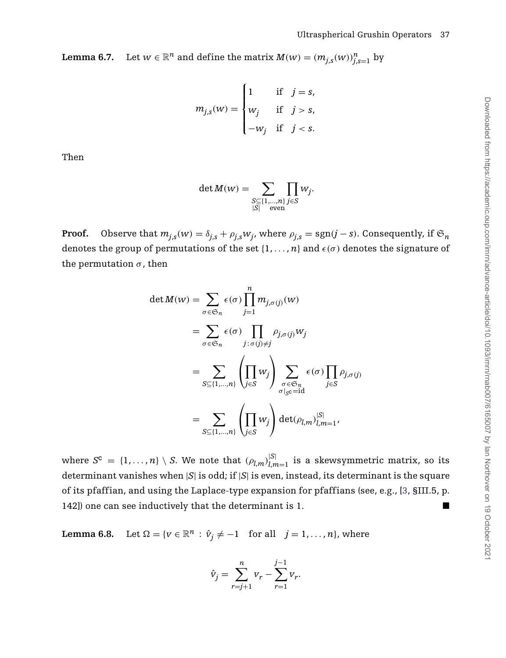<span id="page-37-0"></span>**Lemma 6.7.** Let  $w \in \mathbb{R}^n$  and define the matrix  $M(w) = (m_{j,s}(w))_{j,s=1}^n$  by

$$
m_{j,s}(w) = \begin{cases} 1 & \text{if } j = s, \\ w_j & \text{if } j > s, \\ -w_j & \text{if } j < s. \end{cases}
$$

Then

$$
\det M(w) = \sum_{\substack{S \subseteq \{1,\ldots,n\} \\ |S|}} \prod_{j \in S} w_j.
$$

**Proof.** Observe that  $m_{i,s}(w) = \delta_{i,s} + \rho_{i,s} w_i$ , where  $\rho_{i,s} = \text{sgn}(j-s)$ . Consequently, if  $\mathfrak{S}_n$ denotes the group of permutations of the set  $\{1, \ldots, n\}$  and  $\epsilon(\sigma)$  denotes the signature of the permutation  $\sigma$ , then

$$
\det M(w) = \sum_{\sigma \in \mathfrak{S}_n} \epsilon(\sigma) \prod_{j=1}^n m_{j,\sigma(j)}(w)
$$
  
\n
$$
= \sum_{\sigma \in \mathfrak{S}_n} \epsilon(\sigma) \prod_{j:\sigma(j)\neq j} \rho_{j,\sigma(j)} w_j
$$
  
\n
$$
= \sum_{S \subseteq \{1,\dots,n\}} \left( \prod_{j\in S} w_j \right) \sum_{\substack{\sigma \in \mathfrak{S}_n \\ \sigma|_{S}c = id}} \epsilon(\sigma) \prod_{j\in S} \rho_{j,\sigma(j)}
$$
  
\n
$$
= \sum_{S \subseteq \{1,\dots,n\}} \left( \prod_{j\in S} w_j \right) \det(\rho_{l,m})_{l,m=1}^{|S|},
$$

where  $S^c = \{1, \ldots, n\} \setminus S$ . We note that  $(\rho_{l,m})_{l,m=1}^{|S|}$  is a skewsymmetric matrix, so its determinant vanishes when |*S*| is odd; if |*S*| is even, instead, its determinant is the square of its pfaffian, and using the Laplace-type expansion for pfaffians (see, e.g., [\[3,](#page-63-14) §III.5, p. 142]) one can see inductively that the determinant is 1.

<span id="page-37-1"></span>**Lemma 6.8.** Let  $\Omega = \{v \in \mathbb{R}^n : \hat{v}_j \neq -1 \text{ for all } j = 1, ..., n\}$ , where

$$
\hat{v}_j = \sum_{r=j+1}^n v_r - \sum_{r=1}^{j-1} v_r.
$$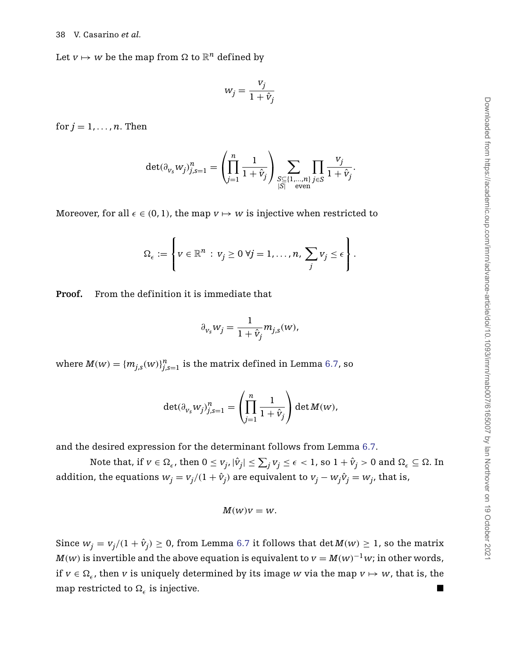Let  $v \mapsto w$  be the map from  $\Omega$  to  $\mathbb{R}^n$  defined by

$$
W_j = \frac{V_j}{1 + \hat{V}_j}
$$

for  $j = 1, \ldots, n$ . Then

$$
\det(\partial_{v_{\mathcal{S}}}w_j)_{j,\mathcal{S}=1}^n=\left(\prod_{j=1}^n\frac{1}{1+\hat{v}_j}\right)\sum_{\substack{S\subseteq\{1,\ldots,n\}\\|S|}}\prod_{i\in S}\frac{v_j}{1+\hat{v}_j}.
$$

Moreover, for all  $\epsilon \in (0, 1)$ , the map  $v \mapsto w$  is injective when restricted to

$$
\Omega_{\epsilon} := \left\{ v \in \mathbb{R}^n : v_j \geq 0 \; \forall j = 1, \ldots, n, \; \sum_j v_j \leq \epsilon \right\}.
$$

**Proof.** From the definition it is immediate that

$$
\partial_{v_s} w_j = \frac{1}{1 + \hat{v}_j} m_{j,s}(w),
$$

where  $M(w) = \{m_{j,s}(w)\}_{j,s=1}^n$  is the matrix defined in Lemma [6.7,](#page-37-0) so

$$
\det(\partial_{v_s}w_j)_{j,s=1}^n=\left(\prod_{j=1}^n\frac{1}{1+\hat{v}_j}\right)\det M(w),
$$

and the desired expression for the determinant follows from Lemma [6.7.](#page-37-0)

Note that, if  $v \in \Omega_\epsilon$ , then  $0 \le v_j$ ,  $|\hat{v}_j| \le \sum_j v_j \le \epsilon < 1$ , so  $1 + \hat{v}_j > 0$  and  $\Omega_\epsilon \subseteq \Omega$ . In addition, the equations  $w_j = v_j/(1 + \hat{v}_j)$  are equivalent to  $v_j - w_j \hat{v}_j = w_j$ , that is,

$$
M(w)v=w.
$$

Since  $w_j = v_j/(1 + \hat{v}_j) \ge 0$ , from Lemma [6.7](#page-37-0) it follows that det  $M(w) \ge 1$ , so the matrix *M*(*w*) is invertible and the above equation is equivalent to  $v = M(w)^{-1}w$ ; in other words, if  $v \in \Omega$ , then *v* is uniquely determined by its image *w* via the map  $v \mapsto w$ , that is, the map restricted to  $\Omega_{\epsilon}$  is injective.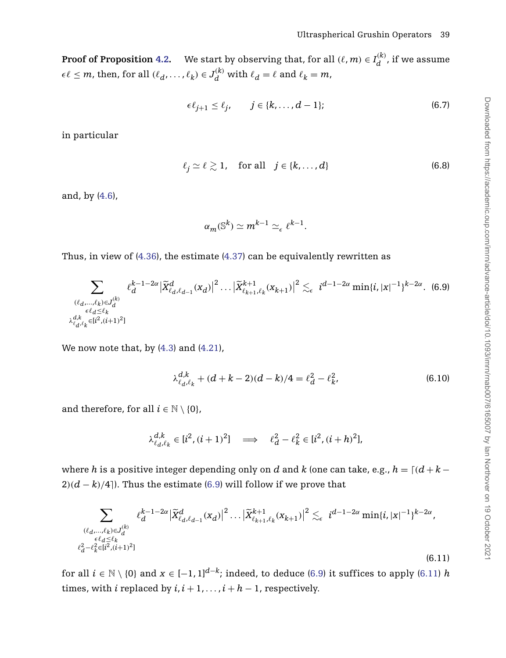**Proof of Proposition [4.2.](#page-25-0)** We start by observing that, for all  $(\ell, m) \in I_d^{(k)}$ , if we assume  $\epsilon \ell \leq m$ , then, for all  $(\ell_d, \ldots, \ell_k) \in J_d^{(k)}$  with  $\ell_d = \ell$  and  $\ell_k = m$ ,

<span id="page-39-2"></span>
$$
\epsilon \ell_{j+1} \le \ell_j, \qquad j \in \{k, \dots, d-1\};\tag{6.7}
$$

<span id="page-39-3"></span>in particular

$$
\ell_j \simeq \ell \gtrsim 1, \quad \text{for all} \quad j \in \{k, \dots, d\}
$$
 (6.8)

and, by [\(4.6\)](#page-17-5),

<span id="page-39-0"></span>
$$
\alpha_m(\mathbb{S}^k) \simeq m^{k-1} \simeq_{\epsilon} \ell^{k-1}.
$$

Thus, in view of [\(4.36\)](#page-25-3), the estimate [\(4.37\)](#page-25-4) can be equivalently rewritten as

$$
\sum_{\substack{(\ell_d,\ldots,\ell_k)\in J_d^{(k)}\\ \epsilon \ell_d\leq \ell_k\\ \lambda_{\ell_d,\ell_k}^{d, \epsilon} \in [i^2, (i+1)^2]}} \ell_d^{k-1-2\alpha} |\widetilde{X}_{\ell_d,\ell_{d-1}}^{d}(x_d)|^2 \ldots |\widetilde{X}_{\ell_{k+1},\ell_k}^{k+1}(x_{k+1})|^2 \lesssim_{\epsilon} i^{d-1-2\alpha} \min\{i, |x|^{-1}\}^{k-2\alpha}.\tag{6.9}
$$

We now note that, by  $(4.3)$  and  $(4.21)$ ,

$$
\lambda_{\ell_d,\ell_k}^{d,k} + (d+k-2)(d-k)/4 = \ell_d^2 - \ell_k^2,\tag{6.10}
$$

and therefore, for all  $i \in \mathbb{N} \setminus \{0\}$ ,

<span id="page-39-1"></span>
$$
\lambda_{\ell_d,\ell_k}^{d,k} \in [i^2, (i+1)^2] \quad \Longrightarrow \quad \ell_d^2 - \ell_k^2 \in [i^2, (i+h)^2],
$$

where *h* is a positive integer depending only on *d* and *k* (one can take, e.g.,  $h = \lfloor (d + k - 1) \rfloor$  $2(a-k)/4$ ]). Thus the estimate [\(6.9\)](#page-39-0) will follow if we prove that

$$
\sum_{\substack{(\ell_d,\ldots,\ell_k)\in J_d^{(k)}\\ \epsilon \ell_d \leq \ell_k\\ \ell_d^2 - \ell_k^2 \in [i^2,(i+1)^2]}} \ell_d^{k-1-2\alpha} |\widetilde{X}_{\ell_d,\ell_{d-1}}^d(x_d)|^2 \ldots |\widetilde{X}_{\ell_{k+1},\ell_k}^{k+1}(x_{k+1})|^2 \lesssim_{\epsilon} i^{d-1-2\alpha} \min\{i, |x|^{-1}\}^{k-2\alpha},\tag{6.11}
$$

for all  $i \in \mathbb{N} \setminus \{0\}$  and  $x \in [-1, 1]^{d-k}$ ; indeed, to deduce [\(6.9\)](#page-39-0) it suffices to apply [\(6.11\)](#page-39-1) *h* times, with *i* replaced by  $i, i + 1, \ldots, i + h - 1$ , respectively.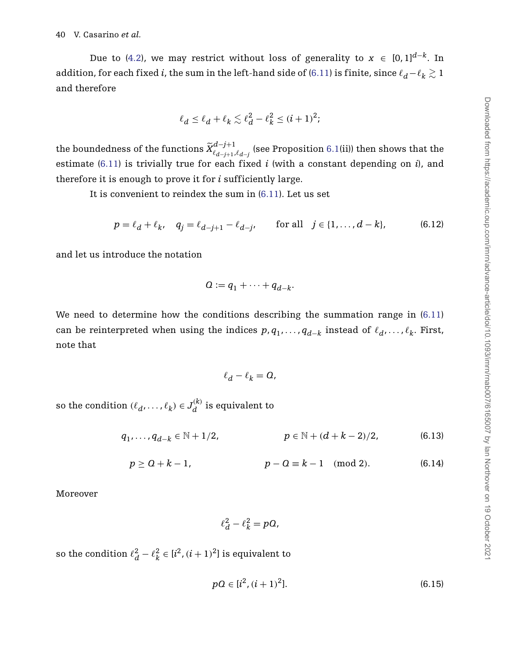Due to [\(4.2\)](#page-16-2), we may restrict without loss of generality to *x* ∈ [0, 1]<sup>d-*k*</sup>. In addition, for each fixed *i*, the sum in the left-hand side of [\(6.11\)](#page-39-1) is finite, since  $\ell_d - \ell_k \gtrsim 1$ and therefore

$$
\ell_d \le \ell_d + \ell_k \lesssim \ell_d^2 - \ell_k^2 \le (i+1)^2;
$$

the boundedness of the functions  $\widetilde{X}_{\ell_{d-j+1},\ell_{d-j}}^{d-j+1}$  (see Proposition [6.1\(](#page-32-2)ii)) then shows that the estimate [\(6.11\)](#page-39-1) is trivially true for each fixed *i* (with a constant depending on *i*), and therefore it is enough to prove it for *i* sufficiently large.

It is convenient to reindex the sum in [\(6.11\)](#page-39-1). Let us set

$$
p = \ell_d + \ell_k, \quad q_j = \ell_{d-j+1} - \ell_{d-j}, \quad \text{for all} \quad j \in \{1, \dots, d-k\},
$$
 (6.12)

and let us introduce the notation

<span id="page-40-1"></span>
$$
Q:=q_1+\cdots+q_{d-k}.
$$

We need to determine how the conditions describing the summation range in [\(6.11\)](#page-39-1) can be reinterpreted when using the indices  $p, q_1, \ldots, q_{d-k}$  instead of  $\ell_d, \ldots, \ell_k$ . First, note that

<span id="page-40-2"></span>
$$
\ell_d - \ell_k = 0,
$$

so the condition  $(\ell_d, \ldots, \ell_k) \in J_d^{(k)}$  is equivalent to

$$
q_1, \ldots, q_{d-k} \in \mathbb{N} + 1/2, \qquad p \in \mathbb{N} + (d+k-2)/2, \qquad (6.13)
$$

$$
p \ge 0 + k - 1, \qquad p - Q \equiv k - 1 \pmod{2}. \tag{6.14}
$$

<span id="page-40-3"></span>Moreover

$$
\ell_d^2 - \ell_k^2 = pQ,
$$

so the condition  $\ell_d^2 - \ell_k^2 \in [i^2, (i+1)^2]$  is equivalent to

<span id="page-40-0"></span>
$$
pQ \in [i^2, (i+1)^2]. \tag{6.15}
$$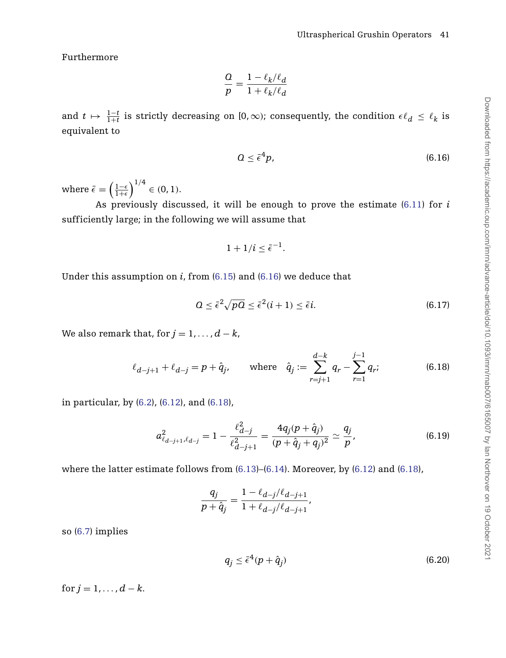Furthermore

$$
\frac{Q}{p} = \frac{1 - \ell_k/\ell_d}{1 + \ell_k/\ell_d}
$$

<span id="page-41-0"></span>and  $t \mapsto \frac{1-t}{1+t}$  is strictly decreasing on  $[0,\infty)$ ; consequently, the condition  $\epsilon \ell_d \leq \ell_k$  is equivalent to

$$
Q \leq \bar{\epsilon}^4 p,\tag{6.16}
$$

where  $\bar{\epsilon} = \left(\frac{1-\epsilon}{1+\epsilon}\right)^{1/4} \in (0,1)$ .

As previously discussed, it will be enough to prove the estimate [\(6.11\)](#page-39-1) for *i* sufficiently large; in the following we will assume that

$$
1+1/i \leq \bar{\epsilon}^{-1}.
$$

Under this assumption on *i*, from [\(6.15\)](#page-40-0) and [\(6.16\)](#page-41-0) we deduce that

<span id="page-41-1"></span>
$$
Q \le \bar{\epsilon}^2 \sqrt{pQ} \le \bar{\epsilon}^2 (i+1) \le \bar{\epsilon} i. \tag{6.17}
$$

We also remark that, for  $j = 1, \ldots, d - k$ ,

$$
\ell_{d-j+1} + \ell_{d-j} = p + \hat{q}_j, \quad \text{where} \quad \hat{q}_j := \sum_{r=j+1}^{d-k} q_r - \sum_{r=1}^{j-1} q_r; \quad (6.18)
$$

in particular, by [\(6.2\)](#page-33-3), [\(6.12\)](#page-40-1), and [\(6.18\)](#page-41-1),

<span id="page-41-2"></span>
$$
a_{\ell_{d-j+1},\ell_{d-j}}^2 = 1 - \frac{\ell_{d-j}^2}{\ell_{d-j+1}^2} = \frac{4q_j(p+\hat{q}_j)}{(p+\hat{q}_j+q_j)^2} \simeq \frac{q_j}{p},\tag{6.19}
$$

where the latter estimate follows from  $(6.13)$ – $(6.14)$ . Moreover, by  $(6.12)$  and  $(6.18)$ ,

$$
\frac{q_j}{p+\hat{q}_j} = \frac{1-\ell_{d-j}/\ell_{d-j+1}}{1+\ell_{d-j}/\ell_{d-j+1}},
$$

<span id="page-41-3"></span>so [\(6.7\)](#page-39-2) implies

$$
q_j \leq \bar{\epsilon}^4 (p + \hat{q}_j) \tag{6.20}
$$

for  $i = 1, ..., d - k$ .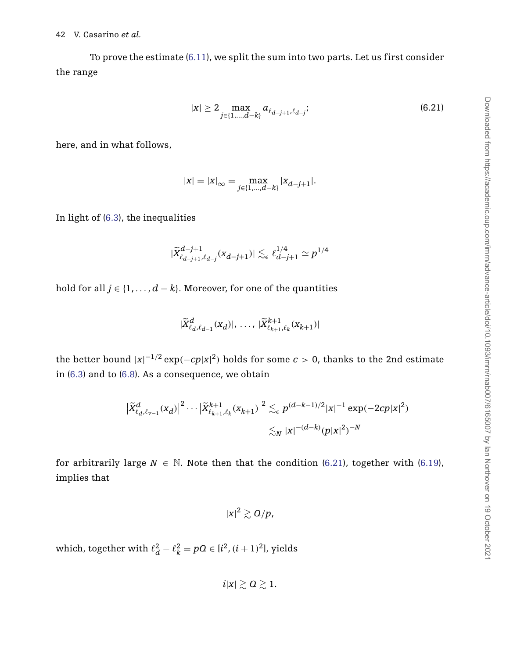<span id="page-42-0"></span>To prove the estimate [\(6.11\)](#page-39-1), we split the sum into two parts. Let us first consider the range

$$
|x| \ge 2 \max_{j \in \{1, \dots, d-k\}} a_{\ell_{d-j+1}, \ell_{d-j}}; \tag{6.21}
$$

here, and in what follows,

$$
|x| = |x|_{\infty} = \max_{j \in \{1, \dots, d-k\}} |x_{d-j+1}|.
$$

In light of [\(6.3\)](#page-33-1), the inequalities

$$
|\widetilde{X}_{\ell_{d-j+1},\ell_{d-j}}^{d-j+1}(x_{d-j+1})|\lesssim_\epsilon \ell_{d-j+1}^{1/4}\simeq p^{1/4}
$$

hold for all  $j \in \{1, ..., d - k\}$ . Moreover, for one of the quantities

$$
|\widetilde{X}_{\ell_{d},\ell_{d-1}}^{d}(x_{d})|, \ldots, |\widetilde{X}_{\ell_{k+1},\ell_{k}}^{k+1}(x_{k+1})|
$$

the better bound  $|x|^{-1/2} \exp(-cp|x|^2)$  holds for some  $c > 0$ , thanks to the 2nd estimate in [\(6.3\)](#page-33-1) and to [\(6.8\)](#page-39-3). As a consequence, we obtain

$$
\left| \widetilde{X}_{\ell_{d},\ell_{v-1}}^{d}(x_{d}) \right|^{2} \cdots \left| \widetilde{X}_{\ell_{k+1},\ell_{k}}^{k+1}(x_{k+1}) \right|^{2} \lesssim_{\epsilon} p^{(d-k-1)/2} |x|^{-1} \exp(-2cp|x|^{2})
$$
  

$$
\lesssim_{N} |x|^{-(d-k)} (p|x|^{2})^{-N}
$$

for arbitrarily large  $N \in \mathbb{N}$ . Note then that the condition [\(6.21\)](#page-42-0), together with [\(6.19\)](#page-41-2), implies that

$$
|x|^2\gtrsim Q/p,
$$

which, together with  $\ell_d^2 - \ell_k^2 = pQ \in [i^2, (i+1)^2]$ , yields

 $i|x| \gtrsim Q \gtrsim 1$ .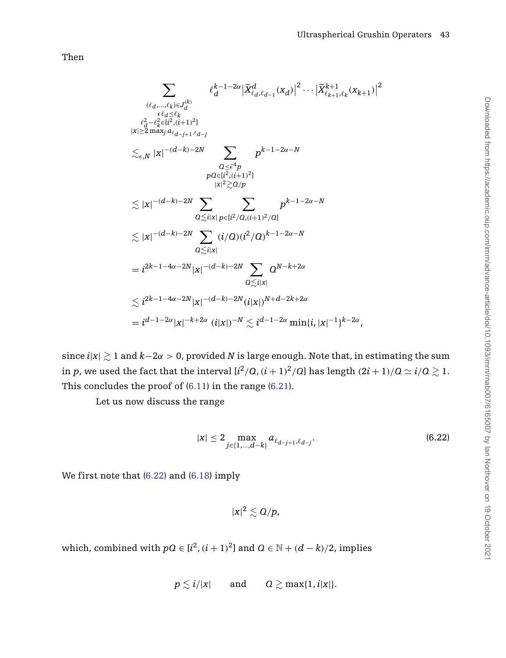2

Then

$$
\sum_{\substack{(\ell_d,\ldots,\ell_k)\in J_d^{(k)}\\ \varepsilon \leq \ell_k\\ \varepsilon' \leq \ell_k\\ \varepsilon' \leq \ell_k\\ \varepsilon' \leq \ell_k\\ |\varepsilon - j + 1| \leq \ell_k\\ |\varepsilon - j + 1| \leq \ell_k\\ |\varepsilon - j + 1| \leq \ell_k\\ |\varepsilon - j + 1| \leq \ell_k\\ |\varepsilon - j + 1| \leq \ell_k\\ |\varepsilon - j + 1| \leq \ell_k\\ |\varepsilon - j + 1| \leq \ell_k\\ |\varepsilon - j + 1| \leq \ell_k\\ |\varepsilon - j + 1| \leq \ell_k\\ |\varepsilon - j + 1| \leq \ell_k\\ |\varepsilon - j + 1| \leq \ell_k\\ |\varepsilon - j + 1| \leq \ell_k\\ |\varepsilon - j + 1| \leq \ell_k\\ |\varepsilon - j + 1| \leq \ell_k\\ |\varepsilon - j + 1| \leq \ell_k\\ |\varepsilon - j + 1| \leq \ell_k\\ |\varepsilon - j + 1| \leq \ell_k\\ |\varepsilon - j + 1| \leq \ell_k\\ |\varepsilon - j + 1| \leq \ell_k\\ |\varepsilon - j + 1| \leq \ell_k\\ |\varepsilon - j + 1| \leq \ell_k\\ |\varepsilon - j + 1| \leq \ell_k\\ |\varepsilon - j + 1| \leq \ell_k\\ |\varepsilon - j + 1| \leq \ell_k\\ |\varepsilon - j + 1| \leq \ell_k\\ |\varepsilon - j + 1| \leq \ell_k\\ |\varepsilon - j + 1| \leq \ell_k\\ |\varepsilon - j + 1| \leq \ell_k\\ |\varepsilon - j + 1| \leq \ell_k\\ |\varepsilon - j + 1| \leq \ell_k\\ |\varepsilon - j + 1| \leq \ell_k\\ |\varepsilon - j + 1| \leq \ell_k\\ |\varepsilon - j + 1| \leq \ell_k\\ |\varepsilon - j + 1| \leq \ell_k\\ |\varepsilon - j + 1| \leq \ell_k\\ |\varepsilon - j + 1| \leq \ell_k\\ |\varepsilon - j + 1| \leq \ell_k\\ |\varepsilon - j + 1| \leq \ell_k\\ |\varepsilon - j + 1| \leq \ell_k\\ |\varepsilon - j + 1| \leq \ell_k\\ |\varepsilon - j +
$$

since  $i|x| \gtrsim 1$  and  $k-2\alpha > 0$ , provided *N* is large enough. Note that, in estimating the sum in  $p$ , we used the fact that the interval [ $i^2/Q$ ,  $(i+1)^2/Q$ ] has length  $(2i+1)/Q\simeq i/Q\gtrsim 1.$ This concludes the proof of [\(6.11\)](#page-39-1) in the range [\(6.21\)](#page-42-0).

Let us now discuss the range

<span id="page-43-0"></span>
$$
|x| \le 2 \max_{j \in \{1, \ldots, d-k\}} a_{\ell_{d-j+1}, \ell_{d-j}}.
$$
\n(6.22)

We first note that [\(6.22\)](#page-43-0) and [\(6.18\)](#page-41-1) imply

$$
|x|^2\lesssim \mathcal{Q}/p,
$$

which, combined with  $pQ \in [i^2, (i+1)^2]$  and  $Q \in \mathbb{N} + (d-k)/2$ , implies

$$
p \lesssim i/|x| \qquad \text{and} \qquad Q \gtrsim \max\{1, i|x|\}.
$$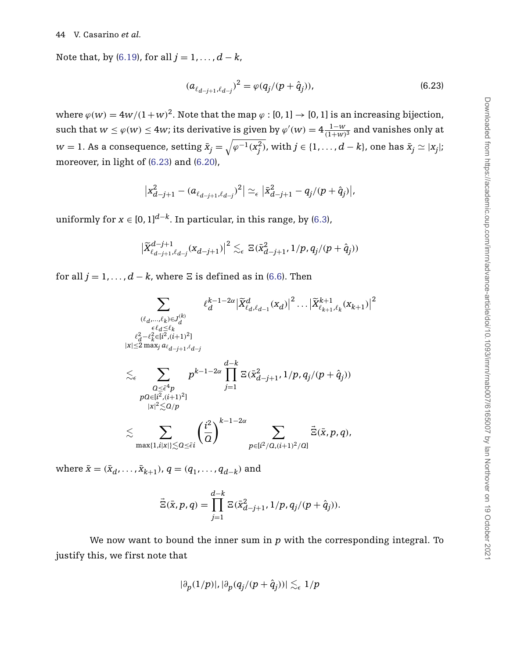Note that, by [\(6.19\)](#page-41-2), for all  $j = 1, ..., d - k$ ,

<span id="page-44-0"></span>
$$
(a_{\ell_{d-j+1},\ell_{d-j}})^2 = \varphi(q_j/(p+\hat{q}_j)),
$$
\n(6.23)

2

where  $\varphi(w) = 4w/(1+w)^2$ . Note that the map  $\varphi : [0,1] \to [0,1]$  is an increasing bijection, such that  $w \le \varphi(w) \le 4w$ ; its derivative is given by  $\varphi'(w) = 4 \frac{1-w}{(1+w)^3}$  and vanishes only at  $w = 1$ . As a consequence, setting  $\bar{x}_j = \sqrt{\varphi^{-1}(x_j^2)}$ , with  $j \in \{1, \ldots, d-k\}$ , one has  $\bar{x}_j \simeq |x_j|;$ moreover, in light of [\(6.23\)](#page-44-0) and [\(6.20\)](#page-41-3),

$$
|x_{d-j+1}^2 - (a_{\ell_{d-j+1},\ell_{d-j}})^2| \simeq \frac{|x_{d-j+1}^2 - q_j/(p+q_j)|}{n},
$$

uniformly for  $x \in [0, 1]^{d-k}$ . In particular, in this range, by [\(6.3\)](#page-33-1),

$$
\big|\widetilde{X}_{\ell_{d-j+1},\ell_{d-j}}^{d-j+1}(x_{d-j+1})\big|^2\lesssim_\epsilon\Xi(\bar{x}_{d-j+1}^2,1/p,q_j/(p+\hat{q}_j))
$$

for all  $j = 1, ..., d - k$ , where  $\Xi$  is defined as in [\(6.6\)](#page-36-1). Then

$$
\sum_{\substack{(\ell_d,\ldots,\ell_k)\in J_d^{(k)} \\ \epsilon \ell_d \leq \ell_k \\ \ell_d^2 - \ell_k^2 \in [i^2,(i+1)^2] \\ |x| \leq 2 \max_j a_{\ell d-j+1}, \ell_{d-j}}} \ell_d^{k-1-2\alpha} |\widetilde{X}_{\ell_d,\ell_{d-1}}^{d}(x_d)|^2 \ldots |\widetilde{X}_{\ell_{k+1},\ell_k}^{k+1}(x_{k+1})|
$$
\n
$$
\sum_{\substack{|\alpha| \leq 2 \max_j a_{\ell d-j+1}, \ell_{d-j} \\ \alpha \leq \tilde{\epsilon}^4 p \\ pQ \in [i^2,(i+1)^2] \\ |x|^2 \lesssim Q/p}} p^{k-1-2\alpha} \prod_{j=1}^{d-k} \Xi(\bar{x}_{d-j+1}^2, 1/p, q_j/(p+\hat{q}_j))
$$
\n
$$
\lesssim \sum_{\substack{\alpha \leq \tilde{\epsilon}^4 \\ \max\{1, i|x\}|\lesssim Q \leq \tilde{\epsilon}i}} \left(\frac{i^2}{Q}\right)^{k-1-2\alpha} \sum_{p \in [i^2/Q,(i+1)^2/Q]} \bar{\Xi}(\bar{x}, p, q),
$$

 $\bar{x} = (\bar{x}_{d}, \dots, \bar{x}_{k+1}), q = (q_1, \dots, q_{d-k})$  and

$$
\vec{\Xi}(\bar{x}, p, q) = \prod_{j=1}^{d-k} \Xi(\bar{x}_{d-j+1}^2, 1/p, q_j/(p + \hat{q}_j)).
$$

We now want to bound the inner sum in *p* with the corresponding integral. To justify this, we first note that

$$
|\partial_p(1/p)|, |\partial_p(q_j/(p+\hat{q}_j))| \lesssim_{\epsilon} 1/p
$$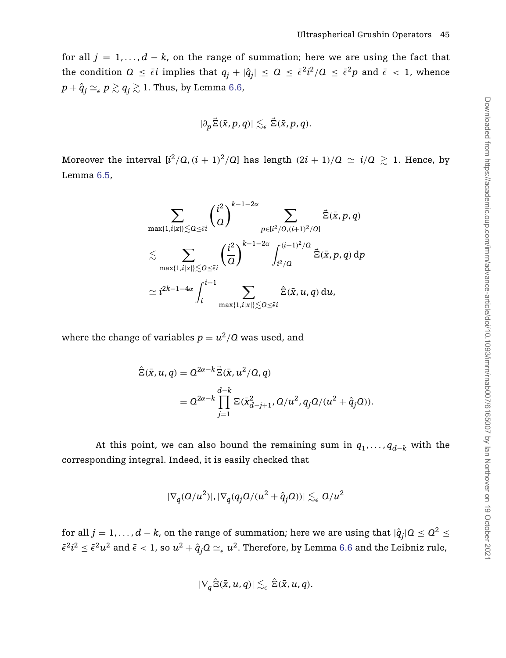for all  $j = 1, ..., d - k$ , on the range of summation; here we are using the fact that the condition  $Q \leq \bar{\epsilon}i$  implies that  $q_j+|\hat{q}_j|\leq Q \leq \bar{\epsilon}^2i^2/Q \leq \bar{\epsilon}^2p$  and  $\bar{\epsilon} < 1$ , whence  $p + \hat{q}_j \simeq_{\epsilon} p \gtrsim q_j \gtrsim 1.$  Thus, by Lemma [6.6,](#page-36-2)

$$
|\partial_p \vec{\Xi}(\bar{x},p,q)| \lesssim_{\epsilon} \vec{\Xi}(\bar{x},p,q).
$$

Moreover the interval  $[i^2/Q,(i+1)^2/Q]$  has length  $(2i+1)/Q\ \simeq\ i/Q\ \gtrsim\ 1.$  Hence, by Lemma [6.5,](#page-35-0)

$$
\sum_{\max\{1,i|x|\}\leq Q\leq\tilde{\epsilon}i}\left(\frac{i^2}{Q}\right)^{k-1-2\alpha}\sum_{p\in[i^2/Q,(i+1)^2/Q]}\vec{\Xi}(\bar{x},p,q)
$$
  

$$
\lesssim \sum_{\max\{1,i|x|\}\leq Q\leq\tilde{\epsilon}i}\left(\frac{i^2}{Q}\right)^{k-1-2\alpha}\int_{i^2/Q}^{(i+1)^2/Q}\vec{\Xi}(\bar{x},p,q)\,dp
$$
  

$$
\simeq i^{2k-1-4\alpha}\int_i^{i+1}\sum_{\max\{1,i|x|\}\leq Q\leq\tilde{\epsilon}i}\hat{\Xi}(\bar{x},u,q)\,du,
$$

where the change of variables  $p = u^2/Q$  was used, and

$$
\begin{aligned} \hat{\Xi}(\bar{x}, u, q) &= \mathcal{Q}^{2\alpha - k} \vec{\Xi}(\bar{x}, u^2 / \mathcal{Q}, q) \\ &= \mathcal{Q}^{2\alpha - k} \prod_{j=1}^{d-k} \Xi(\bar{x}_{d-j+1}^2, \mathcal{Q}/u^2, q_j \mathcal{Q}/(u^2 + \hat{q}_j \mathcal{Q})). \end{aligned}
$$

At this point, we can also bound the remaining sum in  $q_1, \ldots, q_{d-k}$  with the corresponding integral. Indeed, it is easily checked that

$$
|\nabla_q(Q/u^2)|, |\nabla_q(q_jQ/(u^2+\hat q_jQ))|\lesssim_\epsilon Q/u^2
$$

for all  $j = 1, ..., d - k$ , on the range of summation; here we are using that  $|\hat{q}_j|Q \leq Q^2 \leq$  $\bar\epsilon^2i^2\leq\bar\epsilon^2u^2$  and  $\bar\epsilon< 1$ , so  $u^2+\hat q_jO\simeq_\epsilon u^2.$  Therefore, by Lemma [6.6](#page-36-2) and the Leibniz rule,

$$
|\nabla_q\hat{\Xi}(\bar{x},u,q)|\lesssim_{\epsilon}\hat{\Xi}(\bar{x},u,q).
$$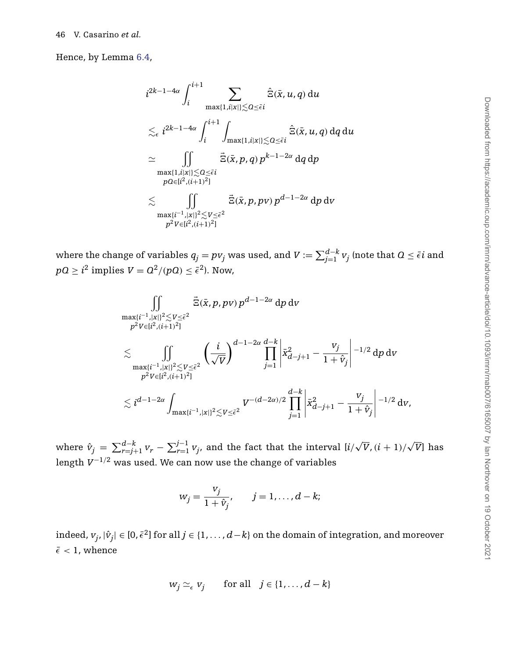Hence, by Lemma [6.4,](#page-35-1)

$$
i^{2k-1-4\alpha} \int_{i}^{i+1} \sum_{\max\{1,i|x|\}\leq Q \leq \bar{\epsilon}i} \hat{\Xi}(\bar{x}, u, q) du
$$
  

$$
\lesssim_{\epsilon} i^{2k-1-4\alpha} \int_{i}^{i+1} \int_{\max\{1,i|x|\}\leq Q \leq \bar{\epsilon}i} \hat{\Xi}(\bar{x}, u, q) dq du
$$
  

$$
\simeq \iint_{\max\{1,i|x|\}\leq Q \leq \bar{\epsilon}i} \bar{\Xi}(\bar{x}, p, q) p^{k-1-2\alpha} dq dp
$$
  

$$
\max_{pQ \in [i^{2}, (i+1)^{2}]}\leq \iint_{\max\{i-1, |x|\}^{2} \leq V \leq \bar{\epsilon}^{2}} \bar{\Xi}(\bar{x}, p, pv) p^{d-1-2\alpha} dp dv
$$
  

$$
\max_{p^{2}V \in [i^{2}, (i+1)^{2}]}
$$

where the change of variables  $q_j = pv_j$  was used, and  $V \coloneqq \sum_{j=1}^{d-k} v_j$  (note that  $Q \leq \bar{\epsilon}i$  and  $pQ \geq i^2 \text{ implies } V = Q^2/(pQ) \leq \bar{\epsilon}^2$ ). Now,

$$
\begin{split} & \iint\limits_{\max\{i^{-1},|x|\}^2 \lesssim V \leq \bar{\epsilon}^2} \vec{\Xi}(\bar{x},p,pv)\,p^{d-1-2\alpha}\,dp\,dv \\ & \simeq \iint\limits_{\max\{i^{-1},|x|\}^2 \lesssim V \leq \bar{\epsilon}^2} \bigg(\frac{i}{\sqrt{V}}\bigg)^{d-1-2\alpha}\frac{d-k}{\prod\limits_{j=1}^d \left|\bar{x}_{d-j+1}^2 - \frac{v_j}{1+\hat{v}_j}\right|^{-1/2}\,dp\,dv} \\ & \simeq i^{d-1-2\alpha}\int_{\max\{i^{-1},|x|\}^2 \lesssim V \leq \bar{\epsilon}^2} V^{-(d-2\alpha)/2}\prod\limits_{j=1}^{d-k} \left|\bar{x}_{d-j+1}^2 - \frac{v_j}{1+\hat{v}_j}\right|^{-1/2}\,dv, \end{split}
$$

where  $\hat{v}_j = \sum_{r=j+1}^{d-k} v_r - \sum_{r=1}^{j-1} v_j$ , and the fact that the interval  $[i/\sqrt{V}, (i+1)/\sqrt{V}]$  has length *V*−1*/*<sup>2</sup> was used. We can now use the change of variables

$$
w_j = \frac{v_j}{1 + \hat{v}_j}, \qquad j = 1, \ldots, d - k;
$$

indeed,  $v_j$ ,  $|\hat{v}_j|$  ∈ [0, $\bar{\epsilon}^2$ ] for all *j* ∈ {1, ..., *d*−*k*} on the domain of integration, and moreover  $\bar{\epsilon}$  < 1, whence

$$
w_j \simeq_{\epsilon} v_j \qquad \text{for all} \quad j \in \{1, \ldots, d-k\}
$$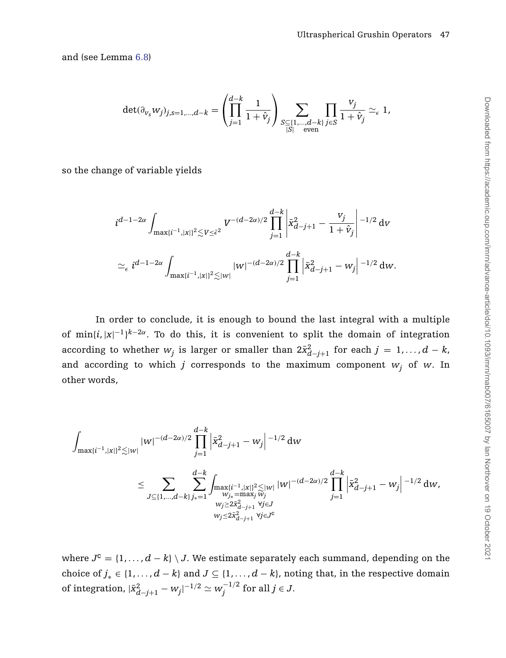and (see Lemma [6.8\)](#page-37-1)

$$
\det(\partial_{v_{\mathcal{S}}}w_j)_{j,\mathcal{S}=1,\dots,d-k}=\left(\prod_{j=1}^{d-k}\frac{1}{1+\hat{v}_j}\right)\sum_{\substack{S\subseteq\{1,\dots,d-k\}\\ |S| \quad \text{even}}} \prod_{j\in S}\frac{v_j}{1+\hat{v}_j}\simeq_\epsilon 1,
$$

so the change of variable yields

$$
\begin{split} i^{d-1-2\alpha}\int_{\max\{i^{-1},|x|\}^2\lesssim V\leq\bar{\epsilon}^2} V^{-(d-2\alpha)/2} \prod_{j=1}^{d-k} \left|\bar{x}_{d-j+1}^2-\frac{v_j}{1+\hat{v}_j}\right|^{-1/2} \mathrm{d} v \\ \simeq_\epsilon i^{d-1-2\alpha}\int_{\max\{i^{-1},|x|\}^2\lesssim |w|} |w|^{-(d-2\alpha)/2} \prod_{j=1}^{d-k} \left|\bar{x}_{d-j+1}^2-w_j\right|^{-1/2} \mathrm{d} w. \end{split}
$$

In order to conclude, it is enough to bound the last integral with a multiple of  $\min\{i, |x|^{-1}\}^{k-2\alpha}$ . To do this, it is convenient to split the domain of integration according to whether  $w_j$  is larger or smaller than  $2\bar{x}_{d-j+1}^2$  for each  $j = 1, ..., d - k$ , and according to which *j* corresponds to the maximum component  $w_j$  of  $w$ . In other words,

$$
\begin{aligned} \int_{\max\{i^{-1},|x|\}^2 \lesssim |w|} |w|^{-(d-2\alpha)/2} \prod_{j=1}^{d-k} \left| \bar{x}_{d-j+1}^2 - w_j \right|^{-1/2} \mathrm{d}w \\ \leq & \sum_{J \subseteq \{1,\dots,d-k\}} \sum_{j_*=1}^{d-k} \int_{\substack{w_{j_*} = \max_j \widetilde{w}_j \\ w_{j_*} = \max_j \widetilde{w}_j \\ w_j \leq 2\bar{x}_{d-j+1}^2 \ \forall j \in J}} |w|^{-(d-2\alpha)/2} \prod_{j=1}^{d-k} \left| \bar{x}_{d-j+1}^2 - w_j \right|^{-1/2} \mathrm{d}w , \end{aligned}
$$

where  $J^c = \{1, ..., d - k\} \setminus J$ . We estimate separately each summand, depending on the choice of *j*<sub>∗</sub> ∈ {1, *...*,*d* − *k*} and *J* ⊆ {1, *...*,*d* − *k*}, noting that, in the respective domain of integration,  $|\bar{x}_{d-j+1}^2 - w_j|^{-1/2} \simeq w_j^{-1/2}$  for all  $j \in J$ .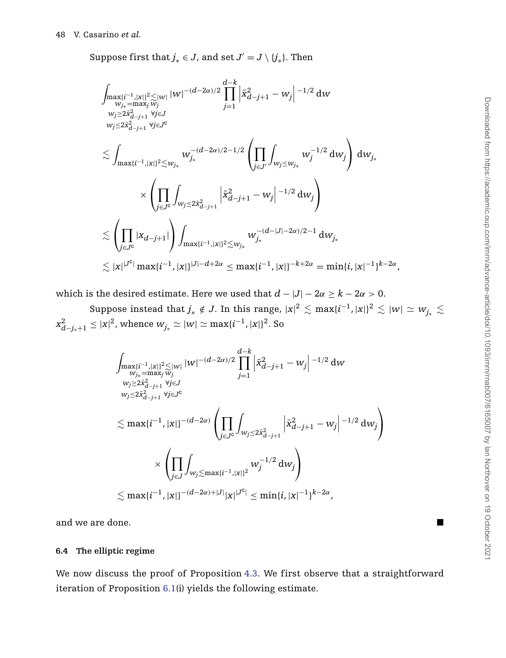Suppose first that  $j_* \in J$ , and set  $J' = J \setminus \{j_*\}$ . Then

$$
\begin{aligned} &\int_{\substack{W_{j\neq} = \max_{j} W_{j} \\ W_{j\neq} = \max_{j} W_{j}}} |w|^{-(d-2\alpha)/2} \prod_{j=1}^{d-k} \left| \bar{x}_{d-j+1}^{2} - w_{j} \right|^{-1/2} dw \\ &\quad \leq 2\bar{x}_{d-j+1}^{2} \; \forall j \in J \\ &\quad \leq \int_{\max\{i^{-1}, |x|\}^{2} \leq w_{j\ast}} w_{j\ast}^{-(d-2\alpha)/2-1/2} \left( \prod_{j \in J'} \int_{w_{j} \leq w_{j\ast}} w_{j}^{-1/2} dw_{j} \right) dw_{j\ast} \\ &\quad \times \left( \prod_{j \in J^{c}} \int_{w_{j} \leq 2\bar{x}_{d-j+1}^{2}} \left| \bar{x}_{d-j+1}^{2} - w_{j} \right|^{-1/2} dw_{j} \right) \\ &\quad \leq \left( \prod_{j \in J^{c}} |x_{d-j+1}| \right) \int_{\max\{i^{-1}, |x|\}^{2} \leq w_{j\ast}} w_{j\ast}^{-(d-|J|-2\alpha)/2-1} dw_{j\ast} \\ &\quad \lesssim |x|^{J^{c}|} \max\{i^{-1}, |x|\}^{|J|-d+2\alpha} \leq \max\{i^{-1}, |x|\}^{-k+2\alpha} = \min\{i, |x|^{-1}\}^{k-2\alpha}, \end{aligned}
$$

which is the desired estimate. Here we used that  $d - |J| - 2\alpha \geq k - 2\alpha > 0$ .

Suppose instead that  $j_* \notin J$ . In this range,  $|x|^2 \lesssim \max\{i^{-1}, |x|\}^2 \lesssim |w| \simeq w_{j_*} \lesssim$  $x_{d-j_*+1}^2 \le |x|^2$ , whence  $w_{j_*} \simeq |w| \simeq \max\{i^{-1}, |x|\}^2$ . So

$$
\begin{aligned} &\int_{\max\{i^{-1},|x|\}^2 \lesssim |w|} |w|^{-(d-2\alpha)/2} \prod_{j=1}^{d-k} \left| \bar{x}_{d-j+1}^2 - w_j \right|^{-1/2} \mathrm{d}w \\ &\underset{Wj \leq 2\bar{x}_{d-j+1}^2}{\sum_{i=1}^2} \bar{y}_{j \in J}^2 \\ &\lesssim \max\{i^{-1},|x|\}^{-(d-2\alpha)} \left(\prod_{j \in J^c} \int_{w_j \leq 2\bar{x}_{d-j+1}^2} \left| \bar{x}_{d-j+1}^2 - w_j \right|^{-1/2} \mathrm{d}w_j \right) \\ &\times \left(\prod_{j \in J} \int_{w_j \lesssim \max\{i^{-1},|x|\}^2} w_j^{-1/2} \mathrm{d}w_j \right) \\ &\lesssim \max\{i^{-1},|x|\}^{-(d-2\alpha)+|J|} |x|^{J^c|} \leq \min\{i,|x|^{-1}\}^{k-2\alpha}, \end{aligned}
$$

and we are done.

#### <span id="page-48-0"></span>**6.4 The elliptic regime**

We now discuss the proof of Proposition [4.3.](#page-26-0) We first observe that a straightforward iteration of Proposition [6.1\(](#page-32-2)i) yields the following estimate.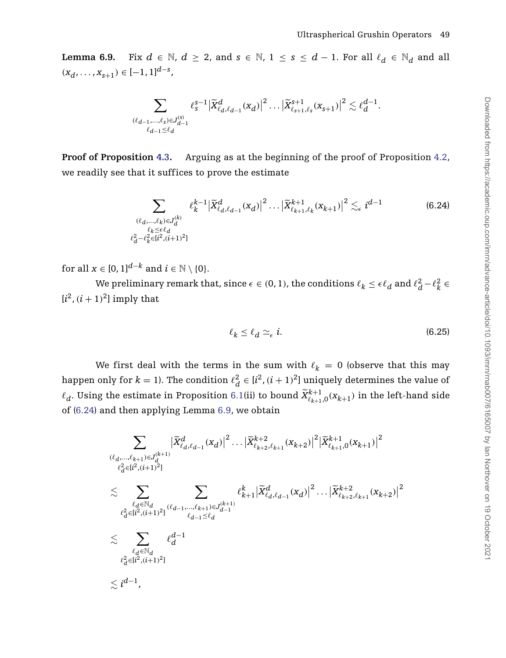<span id="page-49-1"></span>**Lemma 6.9.** Fix  $d \in \mathbb{N}$ ,  $d \geq 2$ , and  $s \in \mathbb{N}$ ,  $1 \leq s \leq d-1$ . For all  $\ell_d \in \mathbb{N}_d$  and all  $(x_d, \ldots, x_{s+1})$  ∈ [−1, 1]<sup>*d*−*s*</sup>,

$$
\sum_{\substack{(\ell_{d-1},\ldots,\ell_s)\in {\cal J}_{d-1}^{(s)}\\ \ell_{d-1}\leq \ell_d}}\ell_s^{s-1}\big|\widetilde{X}_{\ell_{d},\ell_{d-1}}^{d}(x_d)\big|^2\ldots \big|\widetilde{X}_{\ell_{s+1},\ell_s}^{s+1}(x_{s+1})\big|^2\lesssim \ell_d^{d-1}.
$$

**Proof of Proposition [4.3.](#page-26-0)** Arguing as at the beginning of the proof of Proposition [4.2,](#page-25-0) we readily see that it suffices to prove the estimate

$$
\sum_{\substack{(\ell_d,\ldots,\ell_k)\in J_d^{(k)}\\ \ell_k\leq \epsilon \ell_d\\ \ell_d^2-\ell_k^2\in [i^2,(i+1)^2]}} \ell_k^{k-1} |\widetilde{X}_{\ell_d,\ell_{d-1}}^d(x_d)|^2 \ldots |\widetilde{X}_{\ell_{k+1},\ell_k}^{k+1}(x_{k+1})|^2 \lesssim_{\epsilon} i^{d-1}
$$
\n(6.24)

for all  $x \in [0, 1]^{d-k}$  and  $i \in \mathbb{N} \setminus \{0\}.$ 

We preliminary remark that, since  $\epsilon \in (0, 1)$ , the conditions  $\ell_k \leq \epsilon \ell_d$  and  $\ell_d^2 - \ell_k^2 \in$  $[i^2, (i+1)^2]$  imply that

<span id="page-49-2"></span><span id="page-49-0"></span>
$$
\ell_k \le \ell_d \simeq_{\epsilon} i. \tag{6.25}
$$

We first deal with the terms in the sum with  $\ell_k = 0$  (observe that this may happen only for  $k = 1$ ). The condition  $\ell_d^2 \in [i^2, (i+1)^2]$  uniquely determines the value of  $\ell_d$ . Using the estimate in Proposition [6.1\(](#page-32-2)ii) to bound  $\widetilde{X}_{\ell_{k+1},0}^{k+1}(x_{k+1})$  in the left-hand side of [\(6.24\)](#page-49-0) and then applying Lemma [6.9,](#page-49-1) we obtain

$$
\begin{split} & \sum_{(\ell_d,\ldots,\ell_{k+1})\in J_d^{(k+1)}} \big|\widetilde{X}_{\ell_d,\ell_{d-1}}^d(x_d)\big|^2\ldots \big|\widetilde{X}_{\ell_{k+2},\ell_{k+1}}^{k+2}(x_{k+2})\big|^2 \big|\widetilde{X}_{\ell_{k+1},0}^{k+1}(x_{k+1})\big|^2 \\ & \stackrel{\ell_d\in \mathbb{N}_d}{\leq} \sum_{\substack{\ell_d\in \mathbb{N}_d \\ \ell_d^2\in [i^2,(i+1)^2]}} \sum_{(\ell_{d-1},\ldots,\ell_{k+1})\in J_{d-1}^{(k+1)}} \ell_{k+1}^k \big|\widetilde{X}_{\ell_d,\ell_{d-1}}^d(x_d)\big|^2\ldots \big|\widetilde{X}_{\ell_{k+2},\ell_{k+1}}^{k+2}(x_{k+2})\big|^2 \\ & \stackrel{\leq}{\lesssim} \sum_{\substack{\ell_d\in \mathbb{N}_d \\ \ell_d^2\in [i^2,(i+1)^2]}} \ell_d^{d-1} \\ & \stackrel{\leq}{\lesssim} i^{d-1}, \end{split}
$$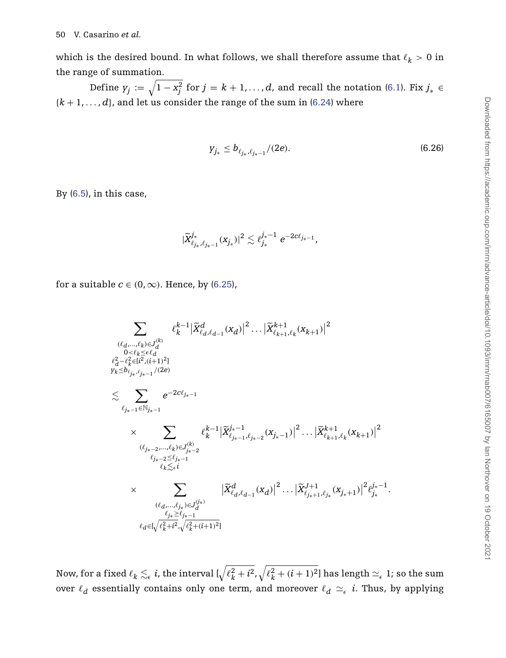which is the desired bound. In what follows, we shall therefore assume that  $\ell_k > 0$  in the range of summation.

Define  $y_j := \sqrt{1-x_j^2}$  for  $j=k+1,\ldots,d$ , and recall the notation [\(6.1\)](#page-33-4). Fix  $j_* \in$  ${k+1,...,d}$ , and let us consider the range of the sum in [\(6.24\)](#page-49-0) where

<span id="page-50-0"></span>
$$
Y_{j_*} \le b_{\ell_{j_*}, \ell_{j_*-1}} / (2e). \tag{6.26}
$$

By [\(6.5\)](#page-34-1), in this case,

$$
|\widetilde{X}_{\ell_{j_*},\ell_{j_*-1}}^{j_*}(x_{j_*})|^2\lesssim \ell_{j_*}^{j_*-1}\;e^{-2c\ell_{j_*-1}},
$$

for a suitable  $c \in (0, \infty)$ . Hence, by [\(6.25\)](#page-49-2),

$$
\sum_{\substack{(\ell_d,\ldots,\ell_k)\in J_d^{(k)}\\0<\ell_k\leq \epsilon \ell_d\\ \ell_d^2-\ell_k^2\in [i^2,(i+1)^2] \\ \gamma_k\leq b_{\ell_{j_*},\ell_{j_*-1}}/(2e) \\ \zeta \sum_{\substack{\ell_{j_*-1}\in \mathbb{N}_{j_{*}-1}\\ \ell_{j_{*}-1}\in \mathbb{N}_{j_{*}-1}}} e^{-2c\ell_{j_{*}-1}} \\ \times \sum_{\substack{\ell_{j_*-2},\ldots,\ell_k\in J_{j_{*}-2}^{(k)}\\ \ell_{j_{*}-2}\leq \ell_{j_{*}-1}}} \ell_k^{k-1} |\widetilde{X}_{\ell_{j_*-1},\ell_{j_{*}-2}}^{j_{*}-1}(x_{j_{*}-1})|^2\ldots |\widetilde{X}_{\ell_{k+1},\ell_k}^{k+1}(x_{k+1})|^2 \\ \times \sum_{\substack{\ell_{j_*-2}\in \mathbb{N}_{j_{*}-1}\\ \ell_k\leq \epsilon \\ \ell_k\leq \ell}} \ell_k^{k-1} |\widetilde{X}_{\ell_{j_{*}-1},\ell_{j_{*}-2}}^{j_{*}-1}(x_{j_{*}-1})|^2\ldots |\widetilde{X}_{\ell_{k+1},\ell_k}^{k+1}(x_{k+1})|^2 \\ \times \sum_{\substack{\ell_d,\ldots,\ell_{j_*}\in J_d^{(j_{*})}\\ \ell_{d}\in [\sqrt{\ell_k^2+\ell^2}, \sqrt{\ell_k^2+(\ell+1)^2] \\ \ell_k\leq \ell_{j_{*}-1}}} |\widetilde{X}_{\ell_d,\ell_{d-1}}^d(x_d)|^2\ldots |\widetilde{X}_{\ell_{j_{*}+1},\ell_{j_{*}}}^{J+1}(x_{j_{*}+1})|^2 \ell_{j_{*}}^{j_{*}-1}.
$$

Now, for a fixed  $\ell_k\lesssim_\epsilon i$ , the interval  $[\sqrt{\ell_k^2+i^2},\sqrt{\ell_k^2+(i+1)^2}]$  has length  $\simeq_\epsilon 1;$  so the sum over  $\ell_d$  essentially contains only one term, and moreover  $\ell_d \simeq \ell$  *i*. Thus, by applying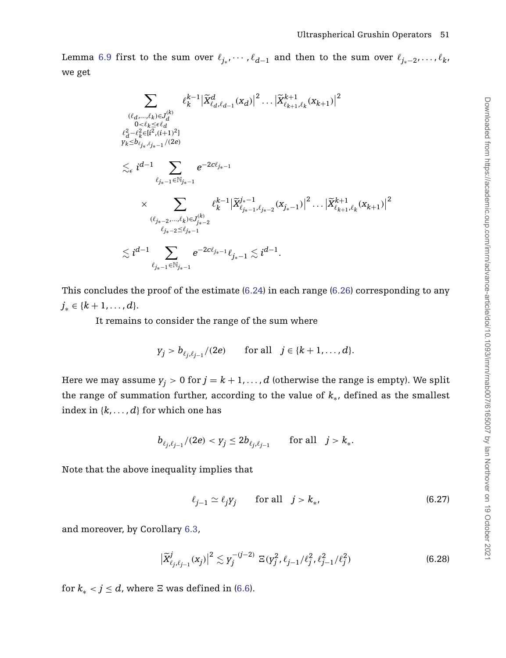Lemma [6.9](#page-49-1) first to the sum over  $\ell_{j_*}, \dots, \ell_{d-1}$  and then to the sum over  $\ell_{j_*-2}, \dots, \ell_k$ , we get

$$
\sum_{\substack{(\ell_d,\ldots,\ell_k)\in J_d^{(k)} \\ 0<\ell_k\leq \ell_d \\ \ell_d^2-\ell_k^2\in [i^2,(i+1)^2] \\ \forall k\leq b_{\ell_j,k',i_{k-1}}/(2e) \\ \chi_k\leq b_{\ell_j,k',i_{k-1}}/(2e) \\ \zeta_{\epsilon} \text{ } i^{d-1}\sum_{\substack{\ell_{j_{k-1}}\in \mathbb{N}_{j_{k-1}} \\ \ell_{j_{k-1}}\in \mathbb{N}_{j_{k-1}}}}e^{-2c\ell_{j_{k-1}}} \\ \times \sum_{\substack{\ell_{j_{k-1}}\in \mathbb{N}_{j_{k-1}} \\ \ell_{j_{k-2}\leq \ell_{j_{k-1}}}}} \xi_{k}^{k-1}\big|\widetilde{X}_{\ell_{j_{k-1},\ell_{j_{k-2}}}^{j_{k-1}}(x_{j_{k-1}})\big|^2\ldots\big|\widetilde{X}_{\ell_{k+1},\ell_k}^{k+1}(x_{k+1})\big|^2 \\ \qquad \qquad \ \ \, \cdot \xi_{j_{k-2}\leq \ell_{j_{k-1}}} \xi_{j_{k-2}}^{(k)} \\ \lesssim i^{d-1}\sum_{\substack{\ell_{j_{k-1}}\in \mathbb{N}_{j_{k-1}} \\ \ell_{j_{k-1}}\in \mathbb{N}_{j_{k-1}}}}e^{-2c\ell_{j_{k-1}}}\ell_{j_{k}-1} \lesssim i^{d-1}.
$$

This concludes the proof of the estimate [\(6.24\)](#page-49-0) in each range [\(6.26\)](#page-50-0) corresponding to any *j*<sup>∗</sup> ∈ { $k + 1, \ldots, d$  }.

It remains to consider the range of the sum where

$$
y_j > b_{\ell_j, \ell_{j-1}}/(2e) \quad \text{for all} \quad j \in \{k+1, \ldots, d\}.
$$

Here we may assume  $y_j > 0$  for  $j = k + 1, ..., d$  (otherwise the range is empty). We split the range of summation further, according to the value of *k*∗, defined as the smallest index in  $\{k, \ldots, d\}$  for which one has

$$
b_{\ell_j,\ell_{j-1}}/(2e) < y_j \le 2b_{\ell_j,\ell_{j-1}}
$$
 for all  $j > k_*$ .

Note that the above inequality implies that

<span id="page-51-1"></span><span id="page-51-0"></span>
$$
\ell_{j-1} \simeq \ell_j y_j \qquad \text{for all} \quad j > k_*, \tag{6.27}
$$

and moreover, by Corollary [6.3,](#page-34-2)

$$
\left|\widetilde{X}_{\ell_j,\ell_{j-1}}^j(x_j)\right|^2 \lesssim Y_j^{-(j-2)} \, \Xi\left(y_j^2,\ell_{j-1}/\ell_j^2,\ell_{j-1}^2/\ell_j^2\right) \tag{6.28}
$$

for  $k_* < j \leq d$ , where  $\Xi$  was defined in [\(6.6\)](#page-36-1).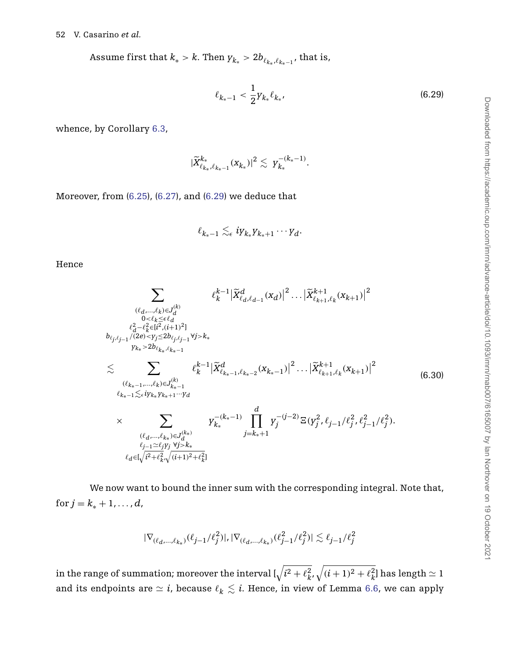Assume first that  $k_* > k$ . Then  $\gamma_{k_*} > 2b_{\ell_{k_*},\ell_{k_*-1}}$ , that is,

<span id="page-52-0"></span>
$$
\ell_{k_*-1} < \frac{1}{2} Y_{k_*} \ell_{k_*},\tag{6.29}
$$

whence, by Corollary [6.3,](#page-34-2)

$$
|\widetilde{X}_{\ell_{k_*},\ell_{k_*-1}}^{k_*}(x_{k_*})|^2\lesssim \ y_{k_*}^{-(k_*-1)}.
$$

Moreover, from [\(6.25\)](#page-49-2), [\(6.27\)](#page-51-0), and [\(6.29\)](#page-52-0) we deduce that

$$
\ell_{k_*-1} \lesssim_{\epsilon} i y_{k_*} y_{k_*+1} \cdots y_d.
$$

Hence

<span id="page-52-1"></span>
$$
\sum_{\substack{(\ell_{d},\ldots,\ell_{k})\in J_{d}^{(k)} \\ 0\leq \ell_{k} \leq \epsilon \ell_{d} \\ \ell_{d}^{2}-\ell_{k}^{2}\in [i^{2},(i+1)^{2}] \\ \forall_{i},\ell_{j-1}/(2e) < y_{j} \leq 2b_{\ell_{i},\ell_{j-1}} \forall j > k_{*} \\ y_{k_{*}}>2b_{\ell_{k_{*}},\ell_{k_{*}-1}} \\ \leq \sum_{\substack{(\ell_{k_{*}-1},\ldots,\ell_{k})\in J_{k_{*}-1}^{(k)} \\ \ell_{k_{*}-1} \leq \epsilon \text{ if } k_{k}>k_{*}+1 \cdots \forall d}} \frac{\ell_{k}^{k-1}|\widetilde{X}_{\ell_{k_{*}-1},\ell_{k_{*}-2}}^{d}(x_{k_{*}-1})|^{2} \ldots |\widetilde{X}_{\ell_{k+1},\ell_{k}}^{k+1}(x_{k+1})|^{2}}{(\delta.30)}
$$
\n
$$
\leq \sum_{\substack{(\ell_{k_{*}-1},\ldots,\ell_{k})\in J_{k_{*}-1}^{(k)} \\ \ell_{k_{*}-1} \leq \epsilon \text{ if } k_{*} \text{ if } k_{*}+1 \cdots \text{ if } k_{*}+1 \cdots \text{ if } k_{*}+1}} \frac{\ell_{k}^{k-1}|\widetilde{X}_{\ell_{k_{*}-1},\ell_{k_{*}-2}}^{d}(x_{k_{*}-1})|^{2} \ldots |\widetilde{X}_{\ell_{k+1},\ell_{k}}^{k+1}(x_{k+1})|^{2}}{(\delta.30)}
$$
\n
$$
\times \sum_{\substack{(\ell_{d},\ldots,\ell_{k_{*}})\in J_{d}^{(k_{*})} \\ \ell_{j-1} \leq \ell_{j} \text{ if } j \leq k_{*} \\ \ell_{d} \in [\sqrt{i^{2}+\ell_{k}^{2}}\sqrt{(i+1)^{2}+\ell_{k}^{2}}]}} \frac{Y_{k_{*}}^{-\left(k_{*}-1\right)} \prod_{j=k_{*}+1}^{d} Y_{j}^{-\left(j-2\right)} \Xi\left(Y_{j}^{2},\ell_{j-1}/\ell_{j}^{2},\ell_{j-1}^{2}/\ell_{j}^{2}\right)}{(\delta_{i})
$$

We now want to bound the inner sum with the corresponding integral. Note that, for  $j = k_{*} + 1, ..., d$ ,

$$
|\nabla_{(\ell_{d},\ldots,\ell_{k_*})}(\ell_{j-1}/\ell_{j}^2)|,|\nabla_{(\ell_{d},\ldots,\ell_{k_*})}(\ell_{j-1}^2/\ell_{j}^2)|\lesssim \ell_{j-1}/\ell_{j}^2
$$

in the range of summation; moreover the interval  $[\sqrt{\dot\imath^2+\ell_k^2},\sqrt{(i+1)^2+\ell_k^2}]$  has length  $\simeq 1$ and its endpoints are  $\simeq$   $i$ , because  $\ell_k \lesssim i$ . Hence, in view of Lemma [6.6,](#page-36-2) we can apply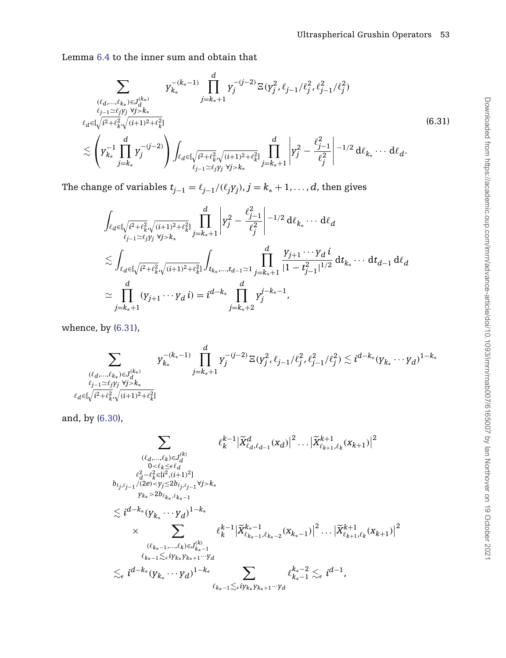Lemma [6.4](#page-35-1) to the inner sum and obtain that

<span id="page-53-0"></span>
$$
\sum_{\substack{(\ell_d,\ldots,\ell_{k}) \in J_d^{(k_*)} \\ \ell_{j-1} \simeq \ell_j y_j \forall j > k_* \\ \ell_d \in [\sqrt{i^2 + \ell_{k'}^2} \sqrt{(i+1)^2 + \ell_k^2}]} } y_{k_*}^{- (k_*-1)} \prod_{j=k_*+1}^d y_j^{-(j-2)} \Xi(y_j^2, \ell_{j-1}/\ell_j^2, \ell_{j-1}^2/\ell_j^2) \n\leq \left( y_{k_*}^{-1} \prod_{j=k_*}^d y_j^{-(j-2)} \right) \int_{\ell_d \in [\sqrt{i^2 + \ell_{k'}^2} \sqrt{(i+1)^2 + \ell_k^2}]} \prod_{j=k_*+1}^d \left| y_j^2 - \frac{\ell_{j-1}^2}{\ell_j^2} \right|^{-1/2} d\ell_{k_*} \cdots d\ell_d.
$$
\n(6.31)

The change of variables  $t_{j-1} = \ell_{j-1}/(\ell_j y_j)$ ,  $j = k_* + 1, \ldots, d$ , then gives

$$
\int_{\ell_d \in [\sqrt{i^2 + \ell_{k'}^2} \setminus (i+1)^2 + \ell_k^2]} \prod_{j=k_*+1}^d \left| y_j^2 - \frac{\ell_{j-1}^2}{\ell_j^2} \right|^{-1/2} d\ell_{k_*} \cdots d\ell_d
$$
\n
$$
\lesssim \int_{\ell_d \in [\sqrt{i^2 + \ell_{k'}^2} \setminus (i+1)^2 + \ell_k^2]} \int_{t_{k_*}, \dots, t_{d-1} \simeq 1} \prod_{j=k_*+1}^d \frac{y_{j+1} \cdots y_d i}{|1 - t_{j-1}^2|^{1/2}} dt_{k_*} \cdots dt_{d-1} d\ell_d
$$
\n
$$
\simeq \prod_{j=k_*+1}^d (y_{j+1} \cdots y_d i) = i^{d-k_*} \prod_{j=k_*+2}^d y_j^{j-k_*-1},
$$

whence, by [\(6.31\)](#page-53-0),

-*(d*,*...*,*k*<sup>∗</sup> *)*∈*J(k*∗*) d j*−<sup>1</sup> *jyj* ∀*j>k*<sup>∗</sup> *d*∈[ *i*2+<sup>2</sup> *k*, *(i*+1*)*2+<sup>2</sup> *k*] *y*−*(k*∗−1*) k*∗ *d j*=*k*∗+1 *y*−*(j*−2*) <sup>j</sup> (y*<sup>2</sup> *<sup>j</sup>* , *j*−1*/*<sup>2</sup> *<sup>j</sup>* , <sup>2</sup> *j*−1*/*<sup>2</sup> *<sup>j</sup> ) i <sup>d</sup>*−*k*<sup>∗</sup> *(yk*<sup>∗</sup> ··· *yd)* 1−*k*∗

and, by [\(6.30\)](#page-52-1),

$$
\sum_{\substack{(\ell_d,\ldots,\ell_k)\in J_d^{(k)} \\ 0\leq \ell_k\leq \epsilon \ell_d \\ \ell_d^2 - \ell_k^2 \in [i^2,(i+1)^2] \\ b_{\ell_j,\ell_{j-1}}/(2e) < \gamma_j \leq 2b_{\ell_j,\ell_{j-1}}} \forall j > k, \\ y_{k_*} > 2b_{\ell_k,\ell_{k_*-1}} \\ < i^{d-k_*}(y_{k_*}\cdots y_d)^{1-k_*} \\ < \sum_{\substack{(\ell_{k_*-1},\ldots,\ell_k)\in J_{k_*-1}^{(k)} \\ \ell_{k_*-1}\leq \epsilon i \gamma_{k_*} \gamma_{k_*+1}\cdots \gamma_d}} \ell_k^{k-1} \left| \widetilde{X}_{\ell_{k_*-1,\ell_{k_*-2}}}(x_{k_*-1}) \right|^2 \cdots \left| \widetilde{X}_{\ell_{k+1,\ell_{k}}}^{k+1}(x_{k+1}) \right|^2 \\ < \ell_{k_*-1}\lesssim \epsilon i^{d-k_*}(y_{k_*}y_{k_*+1}\cdots y_d \\ < \epsilon i^{d-k_*}(y_{k_*}\cdots y_d)^{1-k_*} \sum_{\ell_{k_*-1}\leq \epsilon i \gamma_{k_*} \gamma_{k_*+1}\cdots \gamma_d} \ell_{k_*-1}^{k_*-2} \lesssim_{\epsilon} i^{d-1},
$$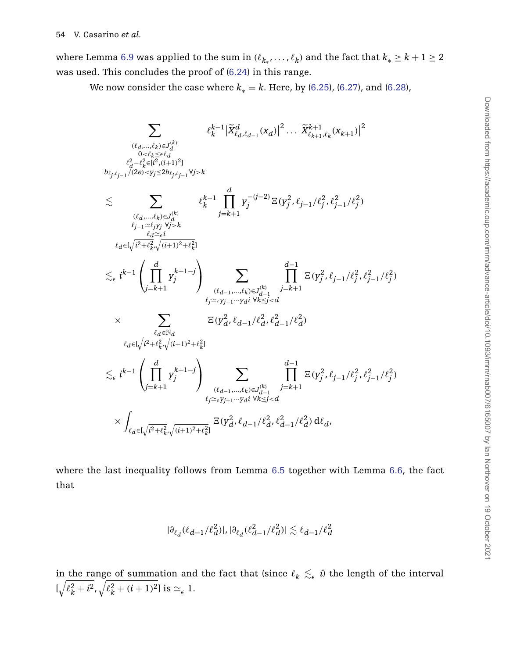where Lemma [6.9](#page-49-1) was applied to the sum in  $(\ell_{k_*}, \ldots, \ell_k)$  and the fact that  $k_* \geq k+1 \geq 2$ was used. This concludes the proof of [\(6.24\)](#page-49-0) in this range.

We now consider the case where  $k_* = k$ . Here, by [\(6.25\)](#page-49-2), [\(6.27\)](#page-51-0), and [\(6.28\)](#page-51-1),

$$
\sum_{\substack{(\ell_d,\ldots,\ell_k)\in J_d^{(k)}\\0<\ell_k\leq \ell_d^{(d)}\\ \ell_d^{2}-\ell_k^{2}\in [t^{2},(i+1)^{2}]}} \ell_k^{k-1} |\tilde{X}_{\ell_d,\ell_{d-1}}^{d}(x_d)|^2 \ldots |\tilde{X}_{\ell_{k+1},\ell_k}^{k+1}(x_{k+1})|^2
$$
\n
$$
\leq \sum_{\substack{(\ell_d,\ldots,\ell_k)\in J_d^{(k)}\\ \ell_j\supseteq \ell_j^{(k)}\\ \ell_j\supseteq \ell_k^{(k-1)}\\ \ell_j\supseteq \ell_j^{(k)}}} \ell_k^{k-1} \prod_{j=k+1}^d y_j^{-(j-2)} \Xi(y_j^2,\ell_{j-1}/\ell_j^2,\ell_{j-1}^2/\ell_j^2)
$$
\n
$$
\leq \sum_{\substack{\ell_d\in \ell \\ \ell_d\leq \ell \\ \ell_d\in [\sqrt{i^2+\ell_{k'}^2/(i+1)^2+\ell_k^2]}}}\ell_k^{k-1} \prod_{j=k+1}^d y_j^{-(j-2)} \Xi(y_j^2,\ell_{j-1}/\ell_j^2,\ell_{j-1}^2/\ell_j^2)
$$
\n
$$
\leq \epsilon i^{k-1} \left(\prod_{j=k+1}^d y_j^{k+1-j}\right) \sum_{\substack{(\ell_{d-1},\ldots,\ell_k)\in J_{d-1}^{(k)}\\ \ell_j\supseteq \ell_{j+1}\cdots\ell_d^{(k)}\\ \ell_d\in [\sqrt{i^2+\ell_{k'}^2/(i+1)^2+\ell_k^2]}} \Xi(y_d^2,\ell_{d-1}/\ell_d^2,\ell_{d-1}^2/\ell_d^2)
$$
\n
$$
\leq \epsilon i^{k-1} \left(\prod_{j=k+1}^d y_j^{k+1-j}\right) \sum_{\substack{(\ell_{d-1},\ldots,\ell_k)\in J_{d-1}^{(k)}\\ \ell_j\supseteq \ell_{j+1}\cdots\ell_d^{(k)}\\ \ell_j\supseteq \ell_{j+1}\cdots\ell_d^{(k)}\leq d}\Xi(y_d^2,\ell_{d-1}/\ell_d^2,\ell_{d-1}^2/\ell_d^2) dt_d,
$$

where the last inequality follows from Lemma [6.5](#page-35-0) together with Lemma [6.6,](#page-36-2) the fact that

$$
|\partial_{\ell_d}(\ell_{d-1}/\ell_d^2)|, |\partial_{\ell_d}(\ell_{d-1}^2/\ell_d^2)| \lesssim \ell_{d-1}/\ell_d^2
$$

in the range of summation and the fact that (since  $\ell_k \lesssim_{\epsilon} i$ ) the length of the interval  $[\sqrt{\ell_k^2 + i^2}, \sqrt{\ell_k^2 + (i+1)^2}]$  is  $\simeq_{\epsilon} 1$ .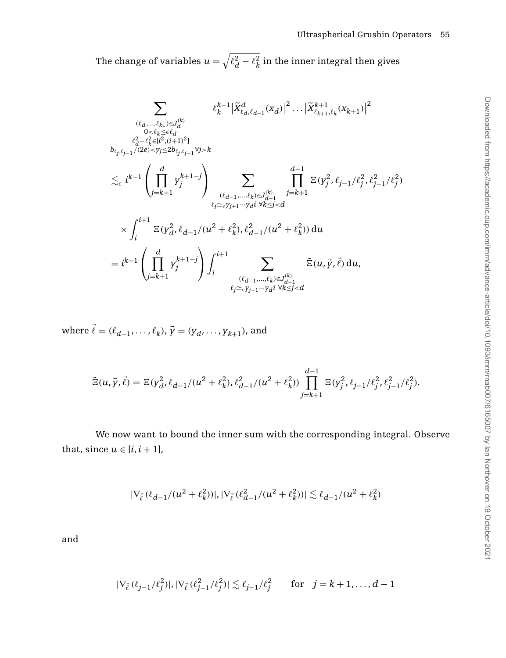The change of variables  $u = \sqrt{\ell_d^2 - \ell_k^2}$  in the inner integral then gives

$$
\sum_{\substack{(\ell_d,\ldots,\ell_{k_*})\in J_d^{(k)} \\ 0<\ell_k\leq \ell_d \\ \ell_d^2-\ell_k^2\in [i^2,(i+1)^2] \\ b_{\ell_j,\ell_{j-1}}/(2e)k}} \ell_k^{k-1} |\widetilde{X}_{\ell_d,\ell_{d-1}}^{d}(x_d)|^2 \ldots |\widetilde{X}_{\ell_{k+1},\ell_k}^{k+1}(x_{k+1})|^2
$$
\n
$$
\sum_{\substack{\ell_d^2-\ell_k^2\in [i^2,(i+1)^2] \\ \ell_j=k+1}} \sum_{\substack{(\ell_{d-1},\ldots,\ell_k)\in J_d^{(k)} \\ \ell_j\sim \epsilon}} \prod_{j=k+1}^{d-1} \Xi(\gamma_j^2,\ell_{j-1}/\ell_j^2,\ell_{j-1}^2/\ell_j^2) \\ \times \int_i^{i+1} \Xi(\gamma_d^2,\ell_{d-1}/(u^2+\ell_k^2),\ell_{d-1}^2/(u^2+\ell_k^2)) \, \mathrm{d}u
$$
\n
$$
= i^{k-1} \left(\prod_{j=k+1}^d \gamma_j^{k+1-j}\right) \int_i^{i+1} \sum_{\substack{(\ell_{d-1},\ldots,\ell_k)\in J_{d-1}^{(k)} \\ \ell_j\sim \epsilon y_{j+1}\cdots y_{d}}} \widetilde{\Xi}(u,\vec{y},\vec{\ell}) \, \mathrm{d}u,
$$

where  $\vec{\ell} = (\ell_{d-1}, \ldots, \ell_k), \vec{Y} = (y_d, \ldots, y_{k+1}),$  and

$$
\tilde{\Xi}(u,\vec{\gamma},\vec{\ell})=\Xi(y_{d}^2,\ell_{d-1}/(u^2+\ell_k^2),\ell_{d-1}^2/(u^2+\ell_k^2))\prod_{j=k+1}^{d-1}\Xi(y_j^2,\ell_{j-1}/\ell_j^2,\ell_{j-1}^2/\ell_j^2).
$$

We now want to bound the inner sum with the corresponding integral. Observe that, since  $u \in [i, i + 1]$ ,

$$
|\nabla_{\vec{\ell}} (\ell_{d-1}/(u^2+\ell_k^2))|, |\nabla_{\vec{\ell}} (\ell_{d-1}^2/(u^2+\ell_k^2))| \lesssim \ell_{d-1}/(u^2+\ell_k^2)
$$

and

$$
|\nabla_{\vec{\ell}} (\ell_{j-1}/\ell_j^2)|, |\nabla_{\vec{\ell}} (\ell_{j-1}^2/\ell_j^2)| \lesssim \ell_{j-1}/\ell_j^2 \quad \text{for} \quad j = k+1, \dots, d-1
$$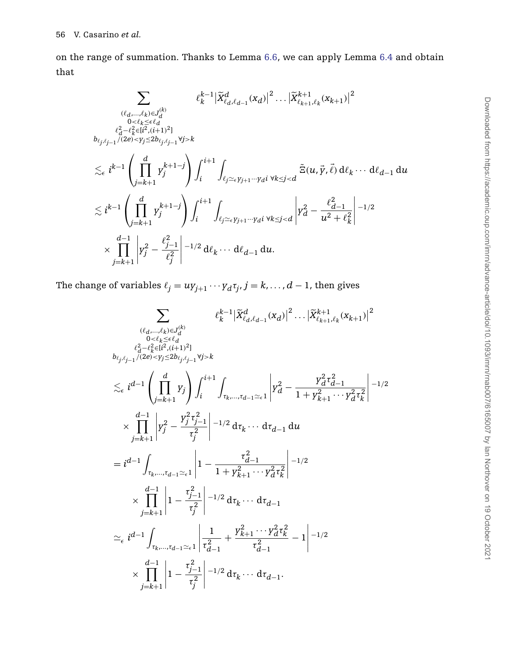on the range of summation. Thanks to Lemma [6.6,](#page-36-2) we can apply Lemma [6.4](#page-35-1) and obtain that

$$
\sum_{\substack{(\ell_{d}, \ldots, \ell_{k}) \in J_{d}^{(k)} \\ 0 \leq \ell_{k} \leq \epsilon \ell_{d} \\ \ell_{d}^{2} - \ell_{k}^{2} \in [i^{2}, (i+1)^{2}] \\ b_{\ell_{j}, \ell_{j-1}} / (2e) < y_{j} \leq 2b_{\ell_{j}, \ell_{j-1}} \forall j > k}} \ell_{k}^{k-1} \left| \widetilde{X}_{\ell_{d}, \ell_{d-1}}^{d}(x_{d}) \right|^{2} \cdots \left| \widetilde{X}_{\ell_{k+1}, \ell_{k}}^{k+1}(x_{k+1}) \right|^{2} \\ \leq_{\epsilon} i^{k-1} \left( \prod_{j=k+1}^{d} y_{j}^{k+1-j} \right) \int_{i}^{i+1} \int_{\ell_{j} \simeq_{\epsilon} y_{j+1} \cdots y_{d} i} \widetilde{z}(u, \vec{y}, \vec{\ell}) d\ell_{k} \cdots d\ell_{d-1} du \\ \leq i^{k-1} \left( \prod_{j=k+1}^{d} y_{j}^{k+1-j} \right) \int_{i}^{i+1} \int_{\ell_{j} \simeq_{\epsilon} y_{j+1} \cdots y_{d} i} \forall k \leq j < d \left| y_{d}^{2} - \frac{\ell_{d-1}^{2}}{u^{2} + \ell_{k}^{2}} \right|^{-1/2} \\ \times \prod_{j=k+1}^{d-1} \left| y_{j}^{2} - \frac{\ell_{j-1}^{2}}{\ell_{j}^{2}} \right|^{-1/2} d\ell_{k} \cdots d\ell_{d-1} du.
$$

The change of variables  $\ell_j = uy_{j+1} \cdots y_d \tau_j$ , *j* = *k*, ..., *d* − 1, then gives

$$
\sum_{\substack{(\ell_d,\ldots,\ell_k)\in J_d^{(k)}\\0<\ell_k\leq \ell_d\\ \ell_d^{2}-\ell_k^{2}\in [i^{2},(i+1)^{2}]}} \ell_k^{k-1} |\tilde{X}_{\ell_d,\ell_{d-1}}^{d}(x_d)|^2 \ldots |\tilde{X}_{\ell_{k+1},\ell_k}^{k+1}(x_{k+1})|^2
$$
\n
$$
\sum_{\substack{\ell_d^{2}-\ell_k^{2}\in [i^{2},(i+1)^{2}]\\j=k+1}} \sum_{\substack{\ell_d^{2}-\ell_k^{2}\in [i^{2},(i+1)^{2}]\\j=k+1}} \forall j \text{ s.t.}
$$
\n
$$
\lesssim_{\epsilon} i^{d-1} \left(\prod_{j=k+1}^d y_j\right) \int_i^{i+1} \int_{\tau_k,\ldots,\tau_{d-1}\simeq \epsilon} \left|y_d^2 - \frac{y_d^2 \tau_{d-1}^2}{1 + y_{k+1}^2 \cdots y_d^2 \tau_k^2}\right|^{-1/2}
$$
\n
$$
\times \prod_{j=k+1}^{d-1} \left|1 - \frac{\tau_{d-1}^2}{1 + y_{k+1}^2 \cdots y_d^2 \tau_k^2}\right|^{-1/2}
$$
\n
$$
\times \prod_{j=k+1}^{d-1} \left|1 - \frac{\tau_{j-1}^2}{\tau_j^2}\right|^{-1/2} d\tau_k \cdots d\tau_{d-1}
$$
\n
$$
\approx_{\epsilon} i^{d-1} \int_{\tau_k,\ldots,\tau_{d-1}\simeq \epsilon} \left|\frac{1}{\tau_{d-1}^2} + \frac{y_{k+1}^2 \cdots y_d^2 \tau_k^2}{\tau_{d-1}^2} - 1\right|^{-1/2}
$$
\n
$$
\times \prod_{j=k+1}^{d-1} \left|1 - \frac{\tau_{j-1}^2}{\tau_j^2}\right|^{-1/2} d\tau_k \cdots d\tau_{d-1}.
$$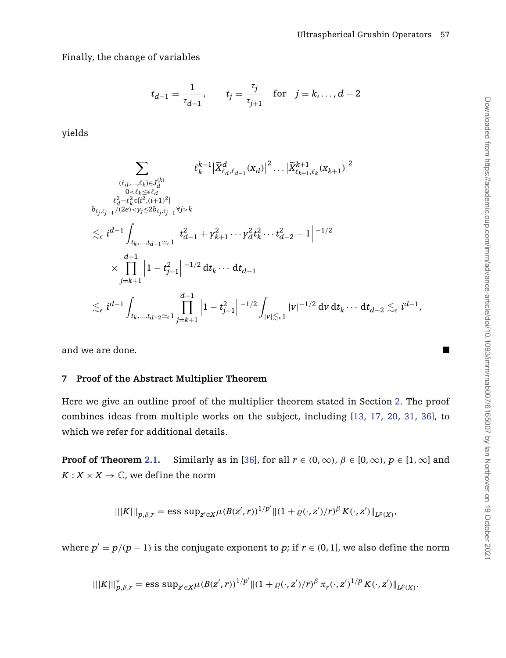Finally, the change of variables

$$
t_{d-1} = \frac{1}{\tau_{d-1}},
$$
  $t_j = \frac{\tau_j}{\tau_{j+1}}$  for  $j = k, ..., d-2$ 

yields

$$
\sum_{\substack{(\ell_d,\ldots,\ell_k)\in J_d^{(k)} \\ 0<\ell_k\leq \epsilon \ell_d \\ \ell_d^2-\ell_k^2\in [i^2,(i+1)^2] \\ b_{\ell_j,\ell_{j-1}}/(2e)<\gamma_j\leq 2b_{\ell_j,\ell_{j-1}} \forall j>k \\ \lesssim_\epsilon i^{d-1}\int_{t_k,\ldots,t_{d-1}\simeq_\epsilon 1}\left|t_{d-1}^2+y_{k+1}^2\cdots y_d^2t_k^2\cdots t_{d-2}^2-1\right|^{-1/2} \\ \times \prod_{j=k+1}^{d-1}\left|1-t_{j-1}^2\right|^{-1/2}\mathrm{d} t_k\cdots \mathrm{d} t_{d-1} \\ \lesssim_\epsilon i^{d-1}\int_{t_k,\ldots,t_{d-2}\simeq_\epsilon 1}\prod_{j=k+1}^{d-1}\left|1-t_{j-1}^2\right|^{-1/2}\int_{|v|\lesssim_\epsilon 1}|v|^{-1/2}\mathrm{d} v\,\mathrm{d} t_k\cdots \mathrm{d} t_{d-2}\lesssim_\epsilon i^{d-1},
$$

and we are done.

#### <span id="page-57-0"></span>**7 Proof of the Abstract Multiplier Theorem**

Here we give an outline proof of the multiplier theorem stated in Section [2.](#page-7-0) The proof combines ideas from multiple works on the subject, including [\[13,](#page-63-0) [17,](#page-64-7) [20,](#page-64-8) [31,](#page-64-10) [36\]](#page-64-13), to which we refer for additional details.

**Proof of Theorem** [2.1.](#page-8-2) Similarly as in [\[36\]](#page-64-13), for all  $r \in (0, \infty)$ ,  $\beta \in [0, \infty)$ ,  $p \in [1, \infty]$  and  $K: X \times X \rightarrow \mathbb{C}$ , we define the norm

$$
|||K|||_{p,\beta,r} = \text{ess sup}_{z' \in X} \mu(B(z',r))^{1/p'} ||(1 + \varrho(\cdot,z')/r)^{\beta} K(\cdot,z')||_{L^p(X)},
$$

where  $p' = p/(p-1)$  is the conjugate exponent to p; if  $r \in (0, 1]$ , we also define the norm

$$
|||K|||_{p,\beta,r}^* = \text{ess sup}_{z' \in X} \mu(B(z',r))^{1/p'} ||(1+\varrho(\cdot,z')/r)^{\beta} \pi_r(\cdot,z')^{1/p} K(\cdot,z')||_{L^p(X)}.
$$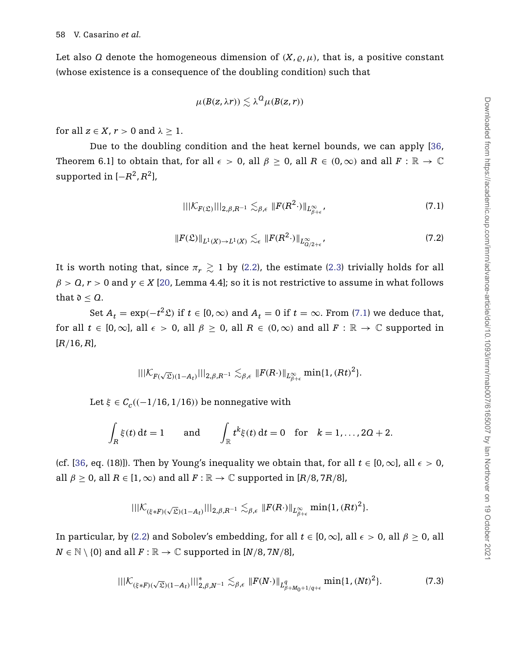Let also *Q* denote the homogeneous dimension of  $(X, \rho, \mu)$ , that is, a positive constant (whose existence is a consequence of the doubling condition) such that

$$
\mu(B(\mathbf{z},\lambda r))\lesssim \lambda^Q\mu(B(\mathbf{z},r))
$$

for all  $z \in X$ ,  $r > 0$  and  $\lambda \geq 1$ .

Due to the doubling condition and the heat kernel bounds, we can apply [\[36,](#page-64-13) Theorem 6.1] to obtain that, for all  $\epsilon > 0$ , all  $\beta \ge 0$ , all  $R \in (0, \infty)$  and all  $F : \mathbb{R} \to \mathbb{C}$ supported in  $[-R^2, R^2]$ ,

<span id="page-58-0"></span>
$$
|||K_{F(\mathfrak{L})}|||_{2,\beta,R^{-1}} \lesssim_{\beta,\epsilon} ||F(R^2 \cdot)||_{L_{\beta+\epsilon}^{\infty}},\tag{7.1}
$$

$$
||F(\mathfrak{L})||_{L^{1}(X)\to L^{1}(X)} \lesssim_{\epsilon} ||F(R^{2}\cdot)||_{L^{\infty}_{0/2+\epsilon}},
$$
\n(7.2)

<span id="page-58-2"></span>It is worth noting that, since  $\pi_r \geq 1$  by [\(2.2\)](#page-8-3), the estimate [\(2.3\)](#page-8-4) trivially holds for all  $\beta > 0$ ,  $r > 0$  and  $y \in X$  [\[20,](#page-64-8) Lemma 4.4]; so it is not restrictive to assume in what follows that  $\mathfrak{d} \leq \mathfrak{Q}$ .

Set  $A_t$  = exp( $-t^2$ L) if  $t \in [0, \infty)$  and  $A_t = 0$  if  $t = \infty$ . From [\(7.1\)](#page-58-0) we deduce that, for all  $t \in [0,\infty]$ , all  $\epsilon > 0$ , all  $\beta \geq 0$ , all  $R \in (0,\infty)$  and all  $F : \mathbb{R} \to \mathbb{C}$  supported in [*R/*16, *R*],

$$
|||\mathcal{K}_{F(\sqrt{\mathfrak{L}})(1-A_t)}|||_{2,\beta,R^{-1}}\lesssim_{\beta,\epsilon} \|F(R\cdot)\|_{L_{\beta+\epsilon}^\infty}\min\{1,(Rt)^2\}.
$$

Let  $\xi \in C_c((-1/16, 1/16))$  be nonnegative with

$$
\int_{R} \xi(t) dt = 1 \quad \text{and} \quad \int_{\mathbb{R}} t^{k} \xi(t) dt = 0 \quad \text{for} \quad k = 1, \ldots, 20 + 2.
$$

(cf. [\[36,](#page-64-13) eq. (18)]). Then by Young's inequality we obtain that, for all  $t \in [0, \infty]$ , all  $\epsilon > 0$ , all  $\beta \geq 0$ , all  $R \in [1,\infty)$  and all  $F : \mathbb{R} \to \mathbb{C}$  supported in  $[R/8, 7R/8]$ ,

<span id="page-58-1"></span>
$$
\text{tr}(\mathcal{K}_{(\xi *F)(\sqrt{\mathfrak{L}})(1-A_t)}[\|_{2,\beta,R^{-1}}\lesssim_{\beta,\epsilon} \|F(R\cdot)\|_{L_{\beta+\epsilon}^\infty}\min\{1,(Rt)^2\}.
$$

In particular, by [\(2.2\)](#page-8-3) and Sobolev's embedding, for all  $t \in [0, \infty]$ , all  $\epsilon > 0$ , all  $\beta \ge 0$ , all  $N \in \mathbb{N} \setminus \{0\}$  and all  $F : \mathbb{R} \to \mathbb{C}$  supported in  $[N/8, 7N/8]$ ,

$$
|||\mathcal{K}_{(\xi * F)(\sqrt{\mathfrak{L}})(1-A_t)}|||_{2,\beta,N^{-1}}^* \lesssim_{\beta,\epsilon} ||F(N \cdot)||_{L^q_{\beta+M_0+1/q+\epsilon}} \min\{1,(Nt)^2\}.
$$
 (7.3)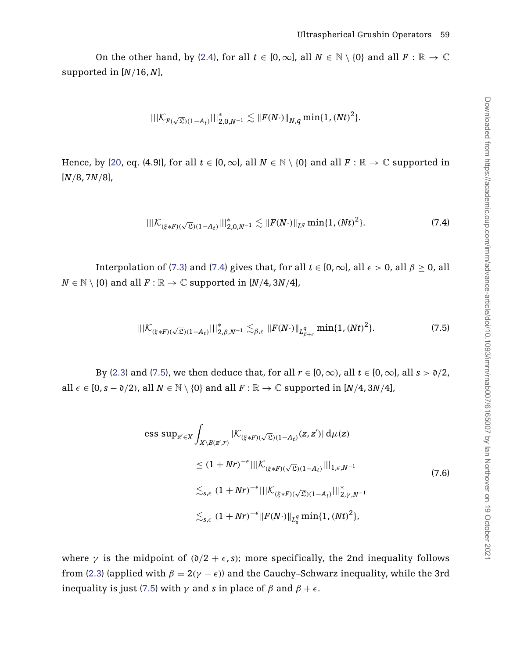On the other hand, by [\(2.4\)](#page-8-0), for all  $t \in [0, \infty]$ , all  $N \in \mathbb{N} \setminus \{0\}$  and all  $F : \mathbb{R} \to \mathbb{C}$ supported in [*N/*16, *N*],

$$
|||{\mathcal K}_{F(\sqrt{\mathfrak{L}})(1-A_t)}|||_{{2,0,N}^{-1}}^*\lesssim \|F(N\cdot)\|_{N,q}\min\{1,(Nt)^2\}.
$$

Hence, by [\[20,](#page-64-8) eq. (4.9)], for all  $t \in [0, \infty]$ , all  $N \in \mathbb{N} \setminus \{0\}$  and all  $F : \mathbb{R} \to \mathbb{C}$  supported in [*N/*8, 7*N/*8],

<span id="page-59-0"></span>
$$
\| ||\mathcal{K}_{(\xi *F)(\sqrt{\mathfrak{L}})(1-A_t)}||_{2,0,N^{-1}}^* \lesssim ||F(N \cdot)||_{L^q} \min\{1,(Nt)^2\}.
$$
 (7.4)

Interpolation of [\(7.3\)](#page-58-1) and [\(7.4\)](#page-59-0) gives that, for all  $t \in [0, \infty]$ , all  $\epsilon > 0$ , all  $\beta \ge 0$ , all  $N \in \mathbb{N} \setminus \{0\}$  and all  $F : \mathbb{R} \to \mathbb{C}$  supported in  $[N/4, 3N/4]$ ,

<span id="page-59-1"></span>
$$
|||\mathcal{K}_{(\xi * F)(\sqrt{\mathfrak{L}})(1-A_t)}|||_{2,\beta,N^{-1}}^* \lesssim_{\beta,\epsilon} ||F(N \cdot)||_{L^q_{\beta+\epsilon}} \min\{1,(Nt)^2\}.
$$
 (7.5)

By [\(2.3\)](#page-8-4) and [\(7.5\)](#page-59-1), we then deduce that, for all  $r \in [0, \infty)$ , all  $t \in [0, \infty]$ , all  $s > \mathfrak{d}/2$ , all  $\epsilon$  ∈ [0, *s* −  $\delta$ /2), all *N* ∈ N \ {0} and all *F* : R → C supported in [*N*/4, 3*N*/4],

<span id="page-59-2"></span>
$$
\begin{split} \text{ess sup}_{z' \in X} \int_{X \setminus B(z',r)} |K_{(\xi *F)(\sqrt{\Sigma})(1-A_t)}(z,z')| \, d\mu(z) \\ &\le (1+Nr)^{-\epsilon} |||K_{(\xi *F)(\sqrt{\Sigma})(1-A_t)}|||_{1,\epsilon,N^{-1}} \\ &\lesssim_{s,\epsilon} (1+Nr)^{-\epsilon} |||K_{(\xi *F)(\sqrt{\Sigma})(1-A_t)}|||_{2,\gamma,N^{-1}}^* \\ &\lesssim_{s,\epsilon} (1+Nr)^{-\epsilon} ||F(N \cdot)||_{L_s^q} \min\{1,(Nt)^2\}, \end{split} \tag{7.6}
$$

where *γ* is the midpoint of  $(0/2 + \epsilon, s)$ ; more specifically, the 2nd inequality follows from [\(2.3\)](#page-8-4) (applied with  $\beta = 2(\gamma - \epsilon)$ ) and the Cauchy–Schwarz inequality, while the 3rd inequality is just [\(7.5\)](#page-59-1) with  $\gamma$  and *s* in place of  $\beta$  and  $\beta + \epsilon$ .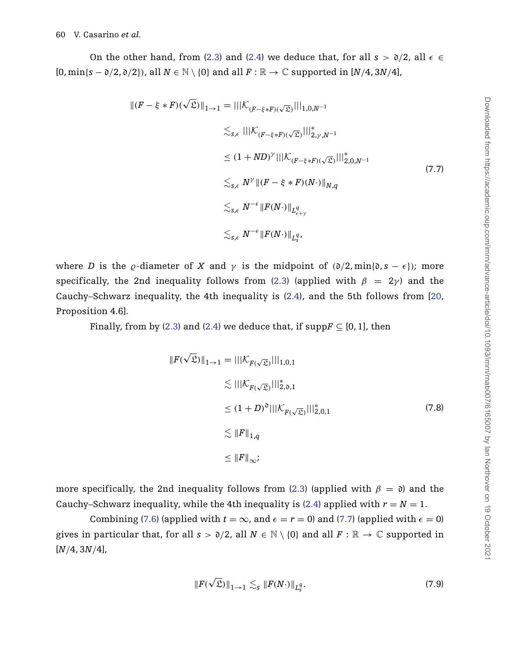On the other hand, from [\(2.3\)](#page-8-4) and [\(2.4\)](#page-8-0) we deduce that, for all  $s > \partial/2$ , all  $\epsilon \in$  $[0, \min\{s - \mathfrak{d}/2, \mathfrak{d}/2\}$ , all  $N \in \mathbb{N} \setminus \{0\}$  and all  $F : \mathbb{R} \to \mathbb{C}$  supported in  $[N/4, 3N/4]$ ,

<span id="page-60-0"></span>
$$
\| (F - \xi * F)(\sqrt{\mathfrak{L}}) \|_{1 \to 1} = || | \mathcal{K}_{(F - \xi * F)(\sqrt{\mathfrak{L}})} || |_{1,0,N^{-1}}
$$
  
\n
$$
\lesssim_{s,\epsilon} || | \mathcal{K}_{(F - \xi * F)(\sqrt{\mathfrak{L}})} || |_{2,\gamma,N^{-1}}^*
$$
  
\n
$$
\leq (1 + ND)^{\gamma} || | \mathcal{K}_{(F - \xi * F)(\sqrt{\mathfrak{L}})} || |_{2,0,N^{-1}}^*
$$
  
\n
$$
\lesssim_{s,\epsilon} N^{\gamma} || (F - \xi * F)(N \cdot) ||_{N,q}
$$
  
\n
$$
\lesssim_{s,\epsilon} N^{-\epsilon} || F(N \cdot) ||_{L_{\epsilon+\gamma}^q}
$$
  
\n
$$
\lesssim_{s,\epsilon} N^{-\epsilon} || F(N \cdot) ||_{L_g^q},
$$
  
\n(7.7)

where *D* is the *ρ*-diameter of *X* and  $\gamma$  is the midpoint of  $(\partial /2, \min{\{\partial, s - \epsilon\}})$ ; more specifically, the 2nd inequality follows from [\(2.3\)](#page-8-4) (applied with  $\beta = 2\gamma$ ) and the Cauchy–Schwarz inequality, the 4th inequality is [\(2.4\)](#page-8-0), and the 5th follows from [\[20,](#page-64-8) Proposition 4.6].

Finally, from by [\(2.3\)](#page-8-4) and [\(2.4\)](#page-8-0) we deduce that, if  $\text{supp}F \subseteq [0, 1]$ , then

<span id="page-60-1"></span>
$$
||F(\sqrt{\mathfrak{L}})||_{1\to1} = |||K_{F(\sqrt{\mathfrak{L}})}|||_{1,0,1}
$$
  
\n
$$
\lesssim |||K_{F(\sqrt{\mathfrak{L}})}|||_{2,0,1}^{*}
$$
  
\n
$$
\leq (1+D)^{0}|||K_{F(\sqrt{\mathfrak{L}})}|||_{2,0,1}^{*}
$$
  
\n
$$
\lesssim ||F||_{1,q}
$$
  
\n
$$
\leq ||F||_{\infty};
$$
\n(7.8)

more specifically, the 2nd inequality follows from [\(2.3\)](#page-8-4) (applied with  $\beta = 0$ ) and the Cauchy–Schwarz inequality, while the 4th inequality is [\(2.4\)](#page-8-0) applied with  $r = N = 1$ .

Combining [\(7.6\)](#page-59-2) (applied with  $t = \infty$ , and  $\epsilon = r = 0$ ) and [\(7.7\)](#page-60-0) (applied with  $\epsilon = 0$ ) gives in particular that, for all  $s > \partial/2$ , all  $N \in \mathbb{N} \setminus \{0\}$  and all  $F : \mathbb{R} \to \mathbb{C}$  supported in [*N/*4, 3*N/*4],

$$
\|F(\sqrt{\mathfrak{L}})\|_{1\to 1} \lesssim_{\mathcal{S}} \|F(N\cdot)\|_{L_{\mathfrak{S}}^q}.
$$
\n(7.9)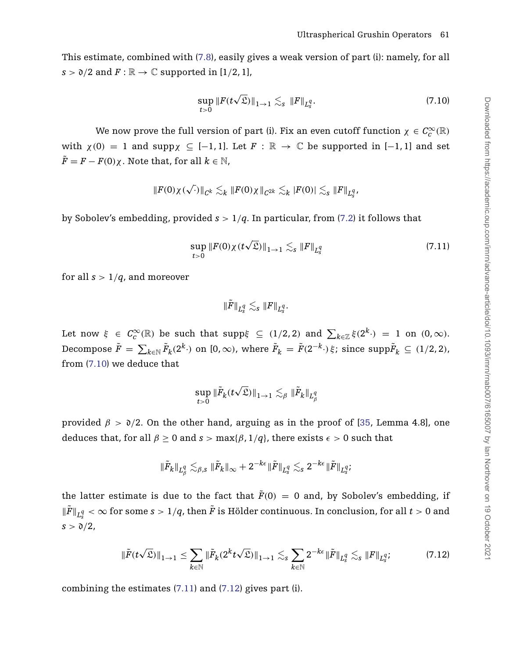This estimate, combined with [\(7.8\)](#page-60-1), easily gives a weak version of part (i): namely, for all  $s > \partial/2$  and  $F : \mathbb{R} \to \mathbb{C}$  supported in [1/2, 1],

<span id="page-61-0"></span>
$$
\sup_{t>0} ||F(t\sqrt{\mathfrak{L}})||_{1\to 1} \lesssim_{s} ||F||_{L_{s}^{q}}.
$$
\n(7.10)

We now prove the full version of part (i). Fix an even cutoff function  $\chi \in C_c^{\infty}(\mathbb{R})$ with  $\chi(0) = 1$  and supp $\chi \subseteq [-1, 1]$ . Let  $F : \mathbb{R} \to \mathbb{C}$  be supported in  $[-1, 1]$  and set  $\tilde{F} = F - F(0)\chi$ . Note that, for all  $k \in \mathbb{N}$ ,

$$
\|F(0)\chi(\sqrt{\cdot})\|_{C^k} \lesssim_k \|F(0)\chi\|_{C^{2k}} \lesssim_k |F(0)| \lesssim_s \|F\|_{L_s^q},
$$

by Sobolev's embedding, provided *s >* 1*/q*. In particular, from [\(7.2\)](#page-58-2) it follows that

$$
\sup_{t>0} ||F(0)\chi(t\sqrt{\mathfrak{L}})||_{1\to 1} \lesssim_{s} ||F||_{L_{s}^{q}}
$$
\n(7.11)

for all  $s > 1/q$ , and moreover

<span id="page-61-1"></span> $\|\tilde{F}\|_{L^q_s} \lesssim_s \|F\|_{L^q_s}.$ 

Let now  $\xi \in C_c^{\infty}(\mathbb{R})$  be such that  $\text{supp}\xi \subseteq (1/2, 2)$  and  $\sum_{k \in \mathbb{Z}} \xi(2^k \cdot) = 1$  on  $(0, \infty)$ . Decompose  $\tilde{F} = \sum_{k \in \mathbb{N}} \tilde{F}_k(2^k \cdot)$  on  $[0, \infty)$ , where  $\tilde{F}_k = \tilde{F}(2^{-k} \cdot) \xi$ ; since  $\mathrm{supp} \tilde{F}_k \subseteq (1/2, 2)$ , from [\(7.10\)](#page-61-0) we deduce that

$$
\sup_{t>0} \|\tilde{F}_k(t\sqrt{\mathfrak{L}})\|_{1\to 1} \lesssim_{\beta} \|\tilde{F}_k\|_{L^q_{\beta}}
$$

provided  $\beta > \partial/2$ . On the other hand, arguing as in the proof of [\[35,](#page-64-20) Lemma 4.8], one deduces that, for all  $\beta \geq 0$  and  $s > \max{\beta, 1/q}$ , there exists  $\epsilon > 0$  such that

$$
\|\tilde F_k\|_{L^q_\beta}\lesssim_{\beta,s} \|\tilde F_k\|_\infty + 2^{-k\epsilon}\|\tilde F\|_{L^q_s}\lesssim_s 2^{-k\epsilon}\|\tilde F\|_{L^q_s};
$$

the latter estimate is due to the fact that  $\bar{F}(0) = 0$  and, by Sobolev's embedding, if  $\|\tilde{F}\|_{L_{S}^q}<\infty$  for some  $s>1/q$ , then  $\tilde{F}$  is Hölder continuous. In conclusion, for all  $t>0$  and  $s > \partial/2$ ,

<span id="page-61-2"></span>
$$
\|\tilde{F}(t\sqrt{\mathfrak{L}})\|_{1\to 1} \leq \sum_{k\in \mathbb{N}} \|\tilde{F}_k(2^k t\sqrt{\mathfrak{L}})\|_{1\to 1} \lesssim_{s} \sum_{k\in \mathbb{N}} 2^{-k\epsilon} \|\tilde{F}\|_{L_s^q} \lesssim_{s} \|F\|_{L_s^q};\tag{7.12}
$$

combining the estimates [\(7.11\)](#page-61-1) and [\(7.12\)](#page-61-2) gives part (i).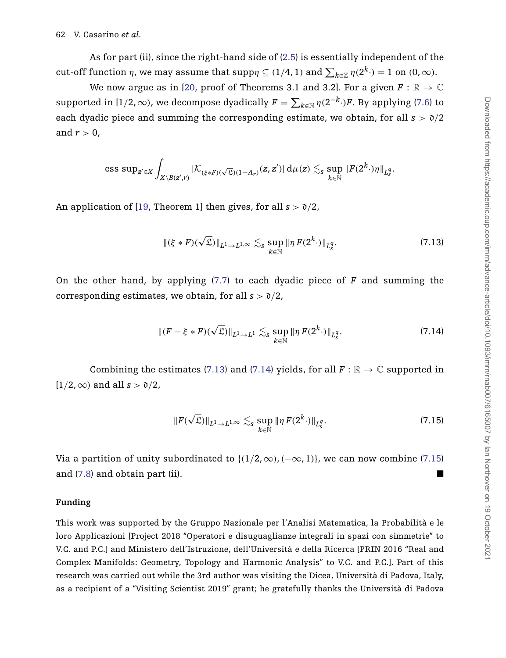As for part (ii), since the right-hand side of [\(2.5\)](#page-9-1) is essentially independent of the cut-off function *η*, we may assume that  $\text{supp}\eta \subseteq (1/4, 1)$  and  $\sum_{k \in \mathbb{Z}} \eta(2^k \cdot) = 1$  on  $(0, \infty)$ .

We now argue as in [\[20,](#page-64-8) proof of Theorems 3.1 and 3.2]. For a given  $F : \mathbb{R} \to \mathbb{C}$ supported in [1/2,  $\infty$ ), we decompose dyadically  $F = \sum_{k \in \mathbb{N}} \eta(2^{-k} \cdot) F$ . By applying [\(7.6\)](#page-59-2) to each dyadic piece and summing the corresponding estimate, we obtain, for all  $s > \frac{\delta}{2}$ and  $r > 0$ ,

$$
\text{ess sup}_{z' \in X} \int_{X \setminus B(z',r)} |\mathcal{K}_{(\xi * F)(\sqrt{\mathfrak{L}})(1-A_r)}(z,z')| \, \mathrm{d} \mu(z) \lesssim_s \sup_{k \in \mathbb{N}} \|F(2^k \cdot) \eta\|_{L^q_s}.
$$

An application of [\[19,](#page-64-21) Theorem 1] then gives, for all  $s > \frac{\partial}{2}$ ,

<span id="page-62-0"></span>
$$
\|(\xi * F)(\sqrt{\mathfrak{L}})\|_{L^1 \to L^{1,\infty}} \lesssim_{s} \sup_{k \in \mathbb{N}} \|\eta F(2^k \cdot)\|_{L_s^q}.
$$
\n(7.13)

On the other hand, by applying [\(7.7\)](#page-60-0) to each dyadic piece of *F* and summing the corresponding estimates, we obtain, for all  $s > \partial/2$ .

<span id="page-62-1"></span>
$$
\| (F - \xi * F)(\sqrt{\mathfrak{L}}) \|_{L^1 \to L^1} \lesssim_{s} \sup_{k \in \mathbb{N}} \| \eta F(2^k \cdot) \|_{L^q_s}.
$$
 (7.14)

Combining the estimates [\(7.13\)](#page-62-0) and [\(7.14\)](#page-62-1) yields, for all  $F : \mathbb{R} \to \mathbb{C}$  supported in [1*/*2,∞*)* and all *s >* d*/*2,

<span id="page-62-2"></span>
$$
||F(\sqrt{\mathfrak{L}})||_{L^{1}\to L^{1,\infty}} \lesssim_{s} \sup_{k\in\mathbb{N}} ||\eta F(2^{k}\cdot)||_{L_{s}^{q}}.
$$
\n(7.15)

Via a partition of unity subordinated to  $\{(1/2, \infty), (-\infty, 1)\}\)$ , we can now combine [\(7.15\)](#page-62-2) and [\(7.8\)](#page-60-1) and obtain part (ii).

#### **Funding**

This work was supported by the Gruppo Nazionale per l'Analisi Matematica, la Probabilità e le loro Applicazioni [Project 2018 "Operatori e disuguaglianze integrali in spazi con simmetrie" to V.C. and P.C.] and Ministero dell'Istruzione, dell'Università e della Ricerca [PRIN 2016 "Real and Complex Manifolds: Geometry, Topology and Harmonic Analysis" to V.C. and P.C.]. Part of this research was carried out while the 3rd author was visiting the Dicea, Università di Padova, Italy, as a recipient of a "Visiting Scientist 2019" grant; he gratefully thanks the Università di Padova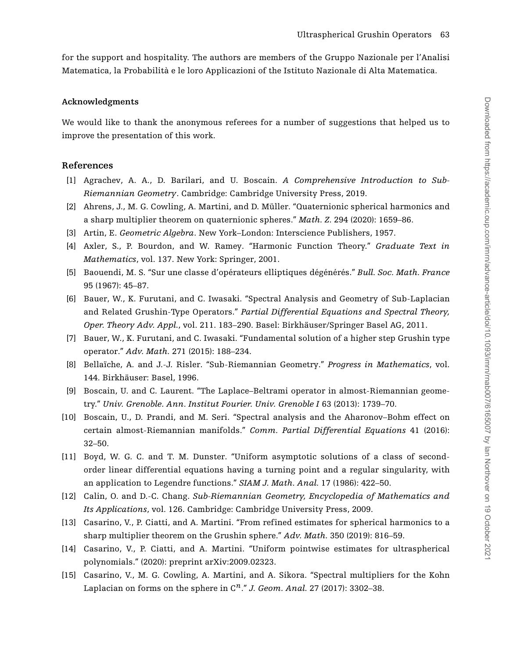for the support and hospitality. The authors are members of the Gruppo Nazionale per l'Analisi Matematica, la Probabilità e le loro Applicazioni of the Istituto Nazionale di Alta Matematica.

#### **Acknowledgments**

We would like to thank the anonymous referees for a number of suggestions that helped us to improve the presentation of this work.

#### **References**

- <span id="page-63-10"></span>[1] Agrachev, A. A., D. Barilari, and U. Boscain. *A Comprehensive Introduction to Sub-Riemannian Geometry*. Cambridge: Cambridge University Press, 2019.
- <span id="page-63-8"></span>[2] Ahrens, J., M. G. Cowling, A. Martini, and D. Müller. "Quaternionic spherical harmonics and a sharp multiplier theorem on quaternionic spheres." *Math. Z.* 294 (2020): 1659–86.
- <span id="page-63-14"></span>[3] Artin, E. *Geometric Algebra*. New York–London: Interscience Publishers, 1957.
- <span id="page-63-13"></span>[4] Axler, S., P. Bourdon, and W. Ramey. "Harmonic Function Theory." *Graduate Text in Mathematics*, vol. 137. New York: Springer, 2001.
- <span id="page-63-1"></span>[5] Baouendi, M. S. "Sur une classe d'opérateurs elliptiques dégénérés." *Bull. Soc. Math. France* 95 (1967): 45–87.
- <span id="page-63-2"></span>[6] Bauer, W., K. Furutani, and C. Iwasaki. "Spectral Analysis and Geometry of Sub-Laplacian and Related Grushin-Type Operators." *Partial Differential Equations and Spectral Theory, Oper. Theory Adv. Appl.*, vol. 211. 183–290. Basel: Birkhäuser/Springer Basel AG, 2011.
- <span id="page-63-3"></span>[7] Bauer, W., K. Furutani, and C. Iwasaki. "Fundamental solution of a higher step Grushin type operator." *Adv. Math.* 271 (2015): 188–234.
- <span id="page-63-11"></span>[8] Bellaïche, A. and J.-J. Risler. "Sub-Riemannian Geometry." *Progress in Mathematics*, vol. 144. Birkhäuser: Basel, 1996.
- <span id="page-63-4"></span>[9] Boscain, U. and C. Laurent. "The Laplace–Beltrami operator in almost-Riemannian geometry." *Univ. Grenoble. Ann. Institut Fourier. Univ. Grenoble I* 63 (2013): 1739–70.
- <span id="page-63-5"></span>[10] Boscain, U., D. Prandi, and M. Seri. "Spectral analysis and the Aharonov–Bohm effect on certain almost-Riemannian manifolds." *Comm. Partial Differential Equations* 41 (2016): 32–50.
- <span id="page-63-6"></span>[11] Boyd, W. G. C. and T. M. Dunster. "Uniform asymptotic solutions of a class of secondorder linear differential equations having a turning point and a regular singularity, with an application to Legendre functions." *SIAM J. Math. Anal.* 17 (1986): 422–50.
- <span id="page-63-12"></span>[12] Calin, O. and D.-C. Chang. *Sub-Riemannian Geometry, Encyclopedia of Mathematics and Its Applications*, vol. 126. Cambridge: Cambridge University Press, 2009.
- <span id="page-63-0"></span>[13] Casarino, V., P. Ciatti, and A. Martini. "From refined estimates for spherical harmonics to a sharp multiplier theorem on the Grushin sphere." *Adv. Math.* 350 (2019): 816–59.
- <span id="page-63-7"></span>[14] Casarino, V., P. Ciatti, and A. Martini. "Uniform pointwise estimates for ultraspherical polynomials." (2020): preprint arXiv:2009.02323.
- <span id="page-63-9"></span>[15] Casarino, V., M. G. Cowling, A. Martini, and A. Sikora. "Spectral multipliers for the Kohn Laplacian on forms on the sphere in  $\mathbb{C}^n$ ." *J. Geom. Anal.* 27 (2017): 3302–38.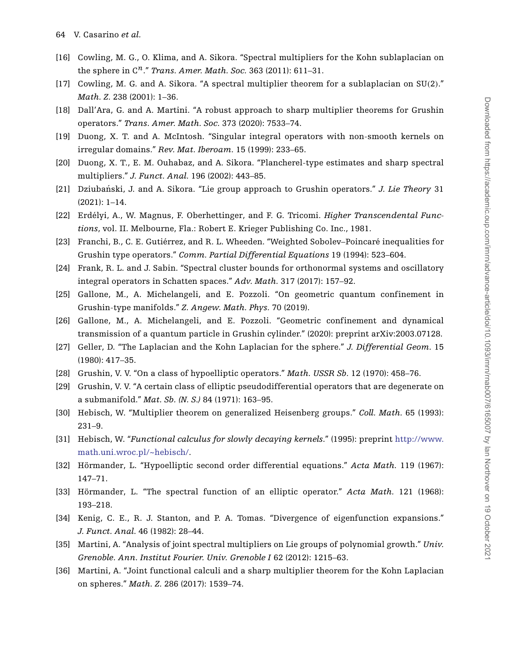- <span id="page-64-16"></span>[16] Cowling, M. G., O. Klima, and A. Sikora. "Spectral multipliers for the Kohn sublaplacian on the sphere in C*n*." *Trans. Amer. Math. Soc.* 363 (2011): 611–31.
- <span id="page-64-7"></span>[17] Cowling, M. G. and A. Sikora. "A spectral multiplier theorem for a sublaplacian on SU*(*2*)*." *Math. Z.* 238 (2001): 1–36.
- <span id="page-64-3"></span>[18] Dall'Ara, G. and A. Martini. "A robust approach to sharp multiplier theorems for Grushin operators." *Trans. Amer. Math. Soc.* 373 (2020): 7533–74.
- <span id="page-64-21"></span>[19] Duong, X. T. and A. McIntosh. "Singular integral operators with non-smooth kernels on irregular domains." *Rev. Mat. Iberoam.* 15 (1999): 233–65.
- <span id="page-64-8"></span>[20] Duong, X. T., E. M. Ouhabaz, and A. Sikora. "Plancherel-type estimates and sharp spectral multipliers." *J. Funct. Anal.* 196 (2002): 443–85.
- <span id="page-64-9"></span>[21] Dziubański, J. and A. Sikora. "Lie group approach to Grushin operators." J. Lie Theory 31 (2021): 1–14.
- <span id="page-64-19"></span>[22] Erdélyi, A., W. Magnus, F. Oberhettinger, and F. G. Tricomi. *Higher Transcendental Functions*, vol. II. Melbourne, Fla.: Robert E. Krieger Publishing Co. Inc., 1981.
- <span id="page-64-4"></span>[23] Franchi, B., C. E. Gutiérrez, and R. L. Wheeden. "Weighted Sobolev–Poincaré inequalities for Grushin type operators." *Comm. Partial Differential Equations* 19 (1994): 523–604.
- <span id="page-64-15"></span>[24] Frank, R. L. and J. Sabin. "Spectral cluster bounds for orthonormal systems and oscillatory integral operators in Schatten spaces." *Adv. Math.* 317 (2017): 157–92.
- <span id="page-64-5"></span>[25] Gallone, M., A. Michelangeli, and E. Pozzoli. "On geometric quantum confinement in Grushin-type manifolds." *Z. Angew. Math. Phys.* 70 (2019).
- <span id="page-64-6"></span>[26] Gallone, M., A. Michelangeli, and E. Pozzoli. "Geometric confinement and dynamical transmission of a quantum particle in Grushin cylinder." (2020): preprint arXiv:2003.07128.
- <span id="page-64-18"></span>[27] Geller, D. "The Laplacian and the Kohn Laplacian for the sphere." *J. Differential Geom.* 15 (1980): 417–35.
- <span id="page-64-1"></span>[28] Grushin, V. V. "On a class of hypoelliptic operators." *Math. USSR Sb.* 12 (1970): 458–76.
- <span id="page-64-2"></span>[29] Grushin, V. V. "A certain class of elliptic pseudodifferential operators that are degenerate on a submanifold." *Mat. Sb. (N. S.)* 84 (1971): 163–95.
- <span id="page-64-12"></span>[30] Hebisch, W. "Multiplier theorem on generalized Heisenberg groups." *Coll. Math.* 65 (1993): 231–9.
- <span id="page-64-10"></span>[31] Hebisch, W. "*Functional calculus for slowly decaying kernels*." (1995): preprint [http://www.](http://www.math.uni.wroc.pl/~hebisch/) [math.uni.wroc.pl/~hebisch/.](http://www.math.uni.wroc.pl/~hebisch/)
- <span id="page-64-0"></span>[32] Hörmander, L. "Hypoelliptic second order differential equations." *Acta Math.* 119 (1967): 147–71.
- <span id="page-64-14"></span>[33] Hörmander, L. "The spectral function of an elliptic operator." *Acta Math.* 121 (1968): 193–218.
- <span id="page-64-11"></span>[34] Kenig, C. E., R. J. Stanton, and P. A. Tomas. "Divergence of eigenfunction expansions." *J. Funct. Anal.* 46 (1982): 28–44.
- <span id="page-64-20"></span>[35] Martini, A. "Analysis of joint spectral multipliers on Lie groups of polynomial growth." *Univ. Grenoble. Ann. Institut Fourier. Univ. Grenoble I* 62 (2012): 1215–63.
- <span id="page-64-17"></span><span id="page-64-13"></span>[36] Martini, A. "Joint functional calculi and a sharp multiplier theorem for the Kohn Laplacian on spheres." *Math. Z.* 286 (2017): 1539–74.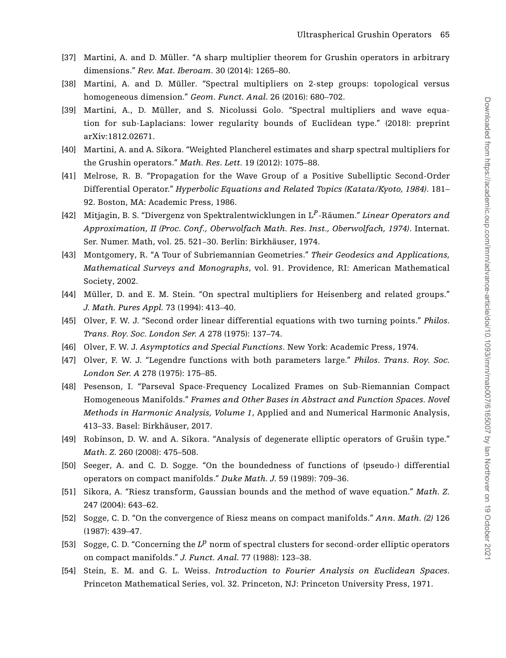- [37] Martini, A. and D. Müller. "A sharp multiplier theorem for Grushin operators in arbitrary dimensions." *Rev. Mat. Iberoam.* 30 (2014): 1265–80.
- <span id="page-65-4"></span>[38] Martini, A. and D. Müller. "Spectral multipliers on 2-step groups: topological versus homogeneous dimension." *Geom. Funct. Anal.* 26 (2016): 680–702.
- <span id="page-65-5"></span>[39] Martini, A., D. Müller, and S. Nicolussi Golo. "Spectral multipliers and wave equation for sub-Laplacians: lower regularity bounds of Euclidean type." (2018): preprint arXiv:1812.02671.
- <span id="page-65-6"></span>[40] Martini, A. and A. Sikora. "Weighted Plancherel estimates and sharp spectral multipliers for the Grushin operators." *Math. Res. Lett.* 19 (2012): 1075–88.
- <span id="page-65-16"></span>[41] Melrose, R. B. "Propagation for the Wave Group of a Positive Subelliptic Second-Order Differential Operator." *Hyperbolic Equations and Related Topics (Katata/Kyoto, 1984)*. 181– 92. Boston, MA: Academic Press, 1986.
- <span id="page-65-2"></span>[42] Mitjagin, B. S. "Divergenz von Spektralentwicklungen in L*P*-Räumen." *Linear Operators and Approximation, II (Proc. Conf., Oberwolfach Math. Res. Inst., Oberwolfach, 1974)*. Internat. Ser. Numer. Math, vol. 25. 521–30. Berlin: Birkhäuser, 1974.
- <span id="page-65-13"></span>[43] Montgomery, R. "A Tour of Subriemannian Geometries." *Their Geodesics and Applications, Mathematical Surveys and Monographs*, vol. 91. Providence, RI: American Mathematical Society, 2002.
- <span id="page-65-3"></span>[44] Müller, D. and E. M. Stein. "On spectral multipliers for Heisenberg and related groups." *J. Math. Pures Appl.* 73 (1994): 413–40.
- <span id="page-65-10"></span>[45] Olver, F. W. J. "Second order linear differential equations with two turning points." *Philos. Trans. Roy. Soc. London Ser. A* 278 (1975): 137–74.
- [46] Olver, F. W. J. *Asymptotics and Special Functions*. New York: Academic Press, 1974.
- <span id="page-65-11"></span>[47] Olver, F. W. J. "Legendre functions with both parameters large." *Philos. Trans. Roy. Soc. London Ser. A* 278 (1975): 175–85.
- <span id="page-65-1"></span>[48] Pesenson, I. "Parseval Space-Frequency Localized Frames on Sub-Riemannian Compact Homogeneous Manifolds." *Frames and Other Bases in Abstract and Function Spaces. Novel Methods in Harmonic Analysis, Volume 1*, Applied and and Numerical Harmonic Analysis, 413–33. Basel: Birkhäuser, 2017.
- <span id="page-65-0"></span>[49] Robinson, D. W. and A. Sikora. "Analysis of degenerate elliptic operators of Grušin type." *Math. Z.* 260 (2008): 475–508.
- <span id="page-65-7"></span>[50] Seeger, A. and C. D. Sogge. "On the boundedness of functions of (pseudo-) differential operators on compact manifolds." *Duke Math. J.* 59 (1989): 709–36.
- <span id="page-65-12"></span>[51] Sikora, A. "Riesz transform, Gaussian bounds and the method of wave equation." *Math. Z.* 247 (2004): 643–62.
- <span id="page-65-8"></span>[52] Sogge, C. D. "On the convergence of Riesz means on compact manifolds." *Ann. Math. (2)* 126 (1987): 439–47.
- <span id="page-65-9"></span>[53] Sogge, C. D. "Concerning the *L<sup>p</sup>* norm of spectral clusters for second-order elliptic operators on compact manifolds." *J. Funct. Anal.* 77 (1988): 123–38.
- <span id="page-65-15"></span><span id="page-65-14"></span>[54] Stein, E. M. and G. L. Weiss. *Introduction to Fourier Analysis on Euclidean Spaces*. Princeton Mathematical Series, vol. 32. Princeton, NJ: Princeton University Press, 1971.